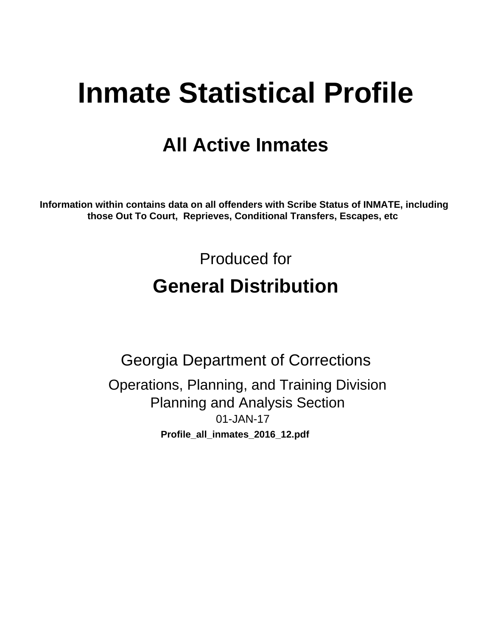# **Inmate Statistical Profile**

# **All Active Inmates**

Information within contains data on all offenders with Scribe Status of INMATE, including those Out To Court, Reprieves, Conditional Transfers, Escapes, etc

> Produced for **General Distribution**

**Georgia Department of Corrections** Operations, Planning, and Training Division **Planning and Analysis Section** 01-JAN-17 Profile\_all\_inmates\_2016\_12.pdf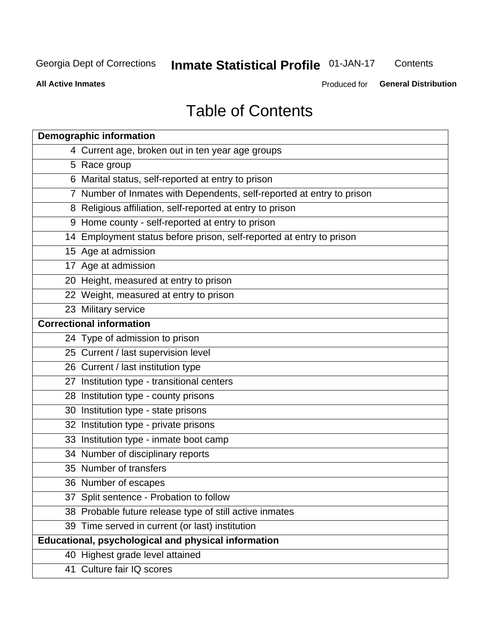## **Inmate Statistical Profile 01-JAN-17**

Contents

**All Active Inmates** 

Produced for General Distribution

# **Table of Contents**

| <b>Demographic information</b>                                        |
|-----------------------------------------------------------------------|
| 4 Current age, broken out in ten year age groups                      |
| 5 Race group                                                          |
| 6 Marital status, self-reported at entry to prison                    |
| 7 Number of Inmates with Dependents, self-reported at entry to prison |
| 8 Religious affiliation, self-reported at entry to prison             |
| 9 Home county - self-reported at entry to prison                      |
| 14 Employment status before prison, self-reported at entry to prison  |
| 15 Age at admission                                                   |
| 17 Age at admission                                                   |
| 20 Height, measured at entry to prison                                |
| 22 Weight, measured at entry to prison                                |
| 23 Military service                                                   |
| <b>Correctional information</b>                                       |
| 24 Type of admission to prison                                        |
| 25 Current / last supervision level                                   |
| 26 Current / last institution type                                    |
| 27 Institution type - transitional centers                            |
| 28 Institution type - county prisons                                  |
| 30 Institution type - state prisons                                   |
| 32 Institution type - private prisons                                 |
| 33 Institution type - inmate boot camp                                |
| 34 Number of disciplinary reports                                     |
| 35 Number of transfers                                                |
| 36 Number of escapes                                                  |
| 37 Split sentence - Probation to follow                               |
| 38 Probable future release type of still active inmates               |
| 39 Time served in current (or last) institution                       |
| Educational, psychological and physical information                   |
| 40 Highest grade level attained                                       |
| 41 Culture fair IQ scores                                             |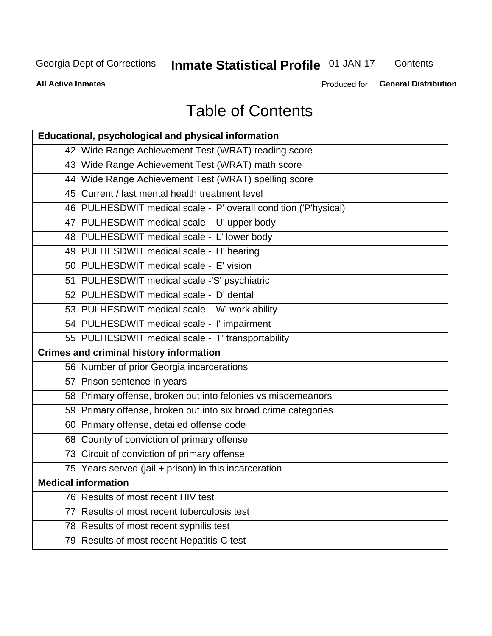# **Inmate Statistical Profile 01-JAN-17**

Contents

**All Active Inmates** 

Produced for **General Distribution** 

# **Table of Contents**

| Educational, psychological and physical information              |
|------------------------------------------------------------------|
| 42 Wide Range Achievement Test (WRAT) reading score              |
| 43 Wide Range Achievement Test (WRAT) math score                 |
| 44 Wide Range Achievement Test (WRAT) spelling score             |
| 45 Current / last mental health treatment level                  |
| 46 PULHESDWIT medical scale - 'P' overall condition ('P'hysical) |
| 47 PULHESDWIT medical scale - 'U' upper body                     |
| 48 PULHESDWIT medical scale - 'L' lower body                     |
| 49 PULHESDWIT medical scale - 'H' hearing                        |
| 50 PULHESDWIT medical scale - 'E' vision                         |
| 51 PULHESDWIT medical scale -'S' psychiatric                     |
| 52 PULHESDWIT medical scale - 'D' dental                         |
| 53 PULHESDWIT medical scale - 'W' work ability                   |
| 54 PULHESDWIT medical scale - 'I' impairment                     |
| 55 PULHESDWIT medical scale - 'T' transportability               |
| <b>Crimes and criminal history information</b>                   |
| 56 Number of prior Georgia incarcerations                        |
| 57 Prison sentence in years                                      |
| 58 Primary offense, broken out into felonies vs misdemeanors     |
| 59 Primary offense, broken out into six broad crime categories   |
| 60 Primary offense, detailed offense code                        |
| 68 County of conviction of primary offense                       |
| 73 Circuit of conviction of primary offense                      |
| 75 Years served (jail + prison) in this incarceration            |
| <b>Medical information</b>                                       |
| 76 Results of most recent HIV test                               |
| 77 Results of most recent tuberculosis test                      |
| 78 Results of most recent syphilis test                          |
| 79 Results of most recent Hepatitis-C test                       |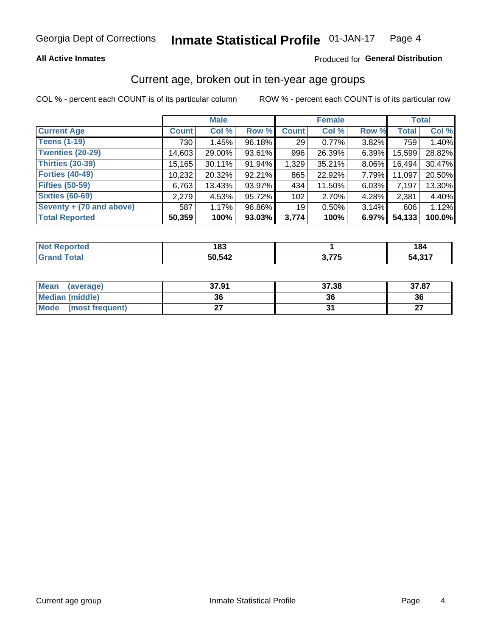### **All Active Inmates**

### Produced for General Distribution

### Current age, broken out in ten-year age groups

COL % - percent each COUNT is of its particular column

|                          | <b>Male</b>  |        |        | <b>Female</b>   |          |          | <b>Total</b> |        |
|--------------------------|--------------|--------|--------|-----------------|----------|----------|--------------|--------|
| <b>Current Age</b>       | <b>Count</b> | Col %  | Row %  | <b>Count</b>    | Col %    | Row %    | <b>Total</b> | Col %  |
| <b>Teens (1-19)</b>      | 730          | 1.45%  | 96.18% | 29              | 0.77%    | 3.82%    | 759          | 1.40%  |
| <b>Twenties (20-29)</b>  | 14,603       | 29.00% | 93.61% | 996             | 26.39%   | $6.39\%$ | 15,599       | 28.82% |
| Thirties (30-39)         | 15,165       | 30.11% | 91.94% | 1,329           | 35.21%   | 8.06%    | 16,494       | 30.47% |
| <b>Forties (40-49)</b>   | 10,232       | 20.32% | 92.21% | 865             | 22.92%   | 7.79%    | 11,097       | 20.50% |
| <b>Fifties (50-59)</b>   | 6,763        | 13.43% | 93.97% | 434             | 11.50%   | $6.03\%$ | 7,197        | 13.30% |
| <b>Sixties (60-69)</b>   | 2,279        | 4.53%  | 95.72% | 102             | 2.70%    | 4.28%    | 2,381        | 4.40%  |
| Seventy + (70 and above) | 587          | 1.17%  | 96.86% | 19 <sup>1</sup> | $0.50\%$ | 3.14%    | 606          | 1.12%  |
| <b>Total Reported</b>    | 50,359       | 100%   | 93.03% | 3,774           | 100%     | 6.97%    | 54,133       | 100.0% |

| <b>Not Repo</b><br><b>Enorted</b> | 102<br>юə |            | 184                |
|-----------------------------------|-----------|------------|--------------------|
| Total                             | 50,542    | ララア<br>. . | 54 31 <sup>-</sup> |

| <b>Mean</b><br>(average)       | 37.91 | 37.38 | 37.87         |
|--------------------------------|-------|-------|---------------|
| Median (middle)                | 36    | 36    | 36            |
| <b>Mode</b><br>(most frequent) |       |       | $\sim$<br>. . |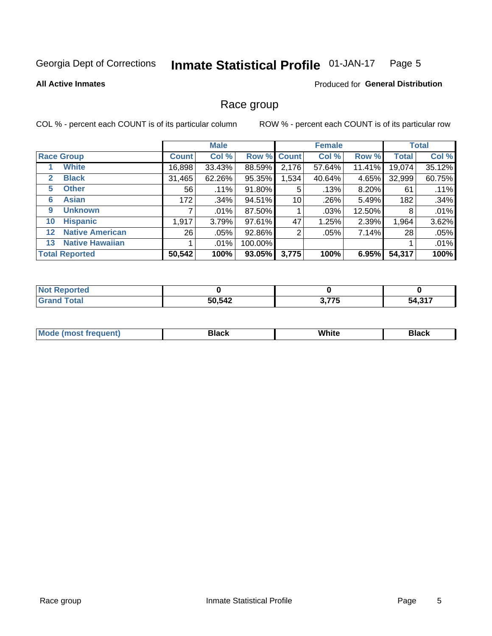#### **Inmate Statistical Profile 01-JAN-17** Page 5

#### **All Active Inmates**

### Produced for General Distribution

### Race group

COL % - percent each COUNT is of its particular column

|                  |                        |                 | <b>Male</b> |           |             | <b>Female</b> |        |              | <b>Total</b> |  |
|------------------|------------------------|-----------------|-------------|-----------|-------------|---------------|--------|--------------|--------------|--|
|                  | <b>Race Group</b>      | <b>Count</b>    | Col %       |           | Row % Count | Col %         | Row %  | <b>Total</b> | Col %        |  |
|                  | <b>White</b>           | 16,898          | 33.43%      | 88.59%    | 2,176       | 57.64%        | 11.41% | 19,074       | 35.12%       |  |
| $\mathbf{2}$     | <b>Black</b>           | 31,465          | 62.26%      | 95.35%    | 1,534       | 40.64%        | 4.65%  | 32,999       | 60.75%       |  |
| 5.               | <b>Other</b>           | 56              | .11%        | 91.80%    | 5           | .13%          | 8.20%  | 61           | .11%         |  |
| 6                | <b>Asian</b>           | 172             | .34%        | 94.51%    | 10          | .26%          | 5.49%  | 182          | .34%         |  |
| 9                | <b>Unknown</b>         |                 | .01%        | 87.50%    |             | .03%          | 12.50% | 8            | .01%         |  |
| 10               | <b>Hispanic</b>        | 1,917           | 3.79%       | 97.61%    | 47          | 1.25%         | 2.39%  | 1,964        | 3.62%        |  |
| 12 <sup>12</sup> | <b>Native American</b> | 26 <sub>1</sub> | $.05\%$     | 92.86%    | 2           | .05%          | 7.14%  | 28           | .05%         |  |
| 13               | <b>Native Hawaiian</b> |                 | .01%        | 100.00%   |             |               |        |              | .01%         |  |
|                  | <b>Total Reported</b>  | 50,542          | 100%        | $93.05\%$ | 3,775       | 100%          | 6.95%  | 54,317       | 100%         |  |

| <b>Not Reported</b> |        |               |        |
|---------------------|--------|---------------|--------|
| <b>Total</b>        | 50,542 | 2775<br>J.IIJ | 54,317 |

| <b>Mode</b><br>---<br>most frequent) | Black | White | <b>Black</b> |
|--------------------------------------|-------|-------|--------------|
|                                      |       |       |              |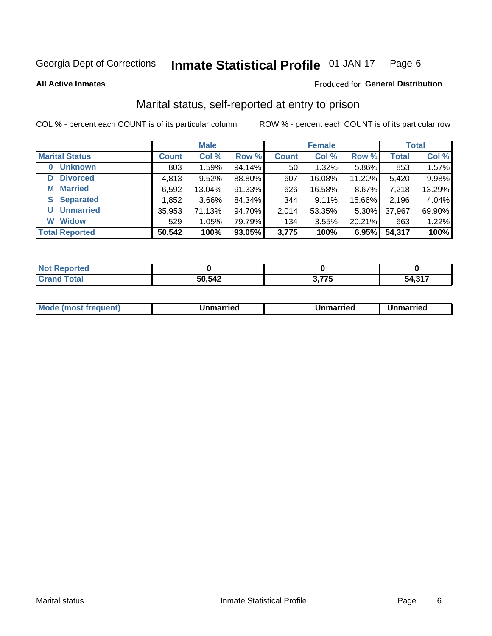#### **Inmate Statistical Profile 01-JAN-17** Page 6

**All Active Inmates** 

### Produced for General Distribution

### Marital status, self-reported at entry to prison

COL % - percent each COUNT is of its particular column

|                            | <b>Male</b>  |          |        |              | <b>Female</b> | <b>Total</b> |              |        |
|----------------------------|--------------|----------|--------|--------------|---------------|--------------|--------------|--------|
| <b>Marital Status</b>      | <b>Count</b> | Col %    | Row %  | <b>Count</b> | Col %         | Row %        | <b>Total</b> | Col %  |
| <b>Unknown</b><br>$\bf{0}$ | 803          | 1.59%    | 94.14% | 50           | 1.32%         | 5.86%        | 853          | 1.57%  |
| <b>Divorced</b><br>D       | 4,813        | 9.52%    | 88.80% | 607          | 16.08%        | 11.20%       | 5,420        | 9.98%  |
| <b>Married</b><br>М        | 6,592        | 13.04%   | 91.33% | 626          | 16.58%        | 8.67%        | 7,218        | 13.29% |
| <b>Separated</b><br>S.     | 1,852        | $3.66\%$ | 84.34% | 344          | 9.11%         | 15.66%       | 2,196        | 4.04%  |
| <b>Unmarried</b><br>U      | 35,953       | 71.13%   | 94.70% | 2,014        | 53.35%        | 5.30%        | 37,967       | 69.90% |
| <b>Widow</b><br>W          | 529          | 1.05%    | 79.79% | 134          | 3.55%         | 20.21%       | 663          | 1.22%  |
| <b>Total Reported</b>      | 50,542       | 100%     | 93.05% | 3,775        | 100%          | 6.95%        | 54,317       | 100%   |

| rted<br><b>NOT</b> |        |                                         |                   |
|--------------------|--------|-----------------------------------------|-------------------|
|                    | 50,542 | $\sim$ $\rightarrow$ $\sim$<br>J. I I J | .247<br>54.<br>.ט |

|--|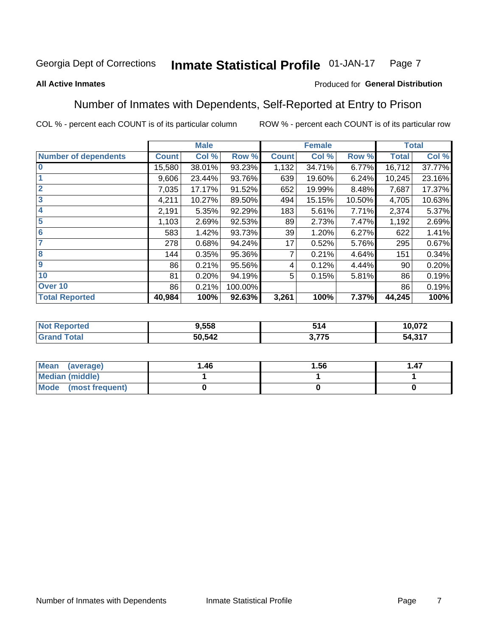#### **Inmate Statistical Profile 01-JAN-17** Page 7

### **All Active Inmates**

### Produced for General Distribution

### Number of Inmates with Dependents, Self-Reported at Entry to Prison

COL % - percent each COUNT is of its particular column

|                             |              | <b>Male</b> |         |              | <b>Female</b> |        |              | <b>Total</b> |
|-----------------------------|--------------|-------------|---------|--------------|---------------|--------|--------------|--------------|
| <b>Number of dependents</b> | <b>Count</b> | Col %       | Row %   | <b>Count</b> | Col %         | Row %  | <b>Total</b> | Col %        |
| l 0                         | 15,580       | 38.01%      | 93.23%  | 1,132        | 34.71%        | 6.77%  | 16,712       | 37.77%       |
|                             | 9,606        | 23.44%      | 93.76%  | 639          | 19.60%        | 6.24%  | 10,245       | 23.16%       |
| $\overline{2}$              | 7,035        | 17.17%      | 91.52%  | 652          | 19.99%        | 8.48%  | 7,687        | 17.37%       |
| $\overline{\mathbf{3}}$     | 4,211        | 10.27%      | 89.50%  | 494          | 15.15%        | 10.50% | 4,705        | 10.63%       |
| 4                           | 2,191        | 5.35%       | 92.29%  | 183          | 5.61%         | 7.71%  | 2,374        | 5.37%        |
| 5                           | 1,103        | 2.69%       | 92.53%  | 89           | 2.73%         | 7.47%  | 1,192        | 2.69%        |
| 6                           | 583          | 1.42%       | 93.73%  | 39           | 1.20%         | 6.27%  | 622          | 1.41%        |
| 7                           | 278          | 0.68%       | 94.24%  | 17           | 0.52%         | 5.76%  | 295          | 0.67%        |
| $\overline{\mathbf{8}}$     | 144          | 0.35%       | 95.36%  | 7            | 0.21%         | 4.64%  | 151          | 0.34%        |
| 9                           | 86           | 0.21%       | 95.56%  | 4            | 0.12%         | 4.44%  | 90           | 0.20%        |
| 10                          | 81           | 0.20%       | 94.19%  | 5            | 0.15%         | 5.81%  | 86           | 0.19%        |
| Over 10                     | 86           | 0.21%       | 100.00% |              |               |        | 86           | 0.19%        |
| <b>Total Reported</b>       | 40,984       | 100%        | 92.63%  | 3,261        | 100%          | 7.37%  | 44,245       | 100%         |

| 9,558  | 514         | פרת הו<br>.U / 4 |
|--------|-------------|------------------|
| 50,542 | ラフト<br>- 10 | 247<br>54,31.    |

| Mean (average)         | 1.46 | 1.56 | 1.47 |
|------------------------|------|------|------|
| <b>Median (middle)</b> |      |      |      |
| Mode (most frequent)   |      |      |      |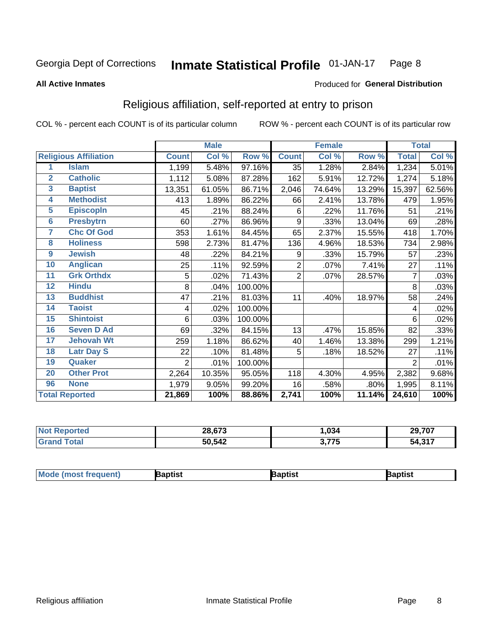#### Inmate Statistical Profile 01-JAN-17 Page 8

#### **All Active Inmates**

### Produced for General Distribution

### Religious affiliation, self-reported at entry to prison

COL % - percent each COUNT is of its particular column

|                         |                              |                | <b>Male</b> |         |                 | <b>Female</b> |        |                | <b>Total</b> |
|-------------------------|------------------------------|----------------|-------------|---------|-----------------|---------------|--------|----------------|--------------|
|                         | <b>Religious Affiliation</b> | <b>Count</b>   | Col %       | Row %   | <b>Count</b>    | Col %         | Row %  | <b>Total</b>   | Col %        |
| 1                       | <b>Islam</b>                 | 1,199          | 5.48%       | 97.16%  | $\overline{35}$ | 1.28%         | 2.84%  | 1,234          | 5.01%        |
| $\overline{2}$          | <b>Catholic</b>              | 1,112          | 5.08%       | 87.28%  | 162             | 5.91%         | 12.72% | 1,274          | 5.18%        |
| 3                       | <b>Baptist</b>               | 13,351         | 61.05%      | 86.71%  | 2,046           | 74.64%        | 13.29% | 15,397         | 62.56%       |
| $\overline{\mathbf{4}}$ | <b>Methodist</b>             | 413            | 1.89%       | 86.22%  | 66              | 2.41%         | 13.78% | 479            | 1.95%        |
| 5                       | <b>EpiscopIn</b>             | 45             | .21%        | 88.24%  | 6               | .22%          | 11.76% | 51             | .21%         |
| $6\phantom{a}$          | <b>Presbytrn</b>             | 60             | .27%        | 86.96%  | 9               | .33%          | 13.04% | 69             | .28%         |
| 7                       | <b>Chc Of God</b>            | 353            | 1.61%       | 84.45%  | 65              | 2.37%         | 15.55% | 418            | 1.70%        |
| 8                       | <b>Holiness</b>              | 598            | 2.73%       | 81.47%  | 136             | 4.96%         | 18.53% | 734            | 2.98%        |
| $\boldsymbol{9}$        | <b>Jewish</b>                | 48             | .22%        | 84.21%  | 9               | .33%          | 15.79% | 57             | .23%         |
| 10                      | <b>Anglican</b>              | 25             | .11%        | 92.59%  | $\overline{2}$  | .07%          | 7.41%  | 27             | .11%         |
| 11                      | <b>Grk Orthdx</b>            | 5              | .02%        | 71.43%  | $\overline{2}$  | .07%          | 28.57% | 7              | .03%         |
| 12                      | <b>Hindu</b>                 | 8              | .04%        | 100.00% |                 |               |        | 8              | .03%         |
| 13                      | <b>Buddhist</b>              | 47             | .21%        | 81.03%  | 11              | .40%          | 18.97% | 58             | .24%         |
| 14                      | <b>Taoist</b>                | 4              | .02%        | 100.00% |                 |               |        | 4              | .02%         |
| 15                      | <b>Shintoist</b>             | 6              | .03%        | 100.00% |                 |               |        | 6              | .02%         |
| 16                      | <b>Seven D Ad</b>            | 69             | .32%        | 84.15%  | 13              | .47%          | 15.85% | 82             | .33%         |
| 17                      | <b>Jehovah Wt</b>            | 259            | 1.18%       | 86.62%  | 40              | 1.46%         | 13.38% | 299            | 1.21%        |
| 18                      | <b>Latr Day S</b>            | 22             | .10%        | 81.48%  | 5               | .18%          | 18.52% | 27             | .11%         |
| 19                      | Quaker                       | $\overline{2}$ | .01%        | 100.00% |                 |               |        | $\overline{2}$ | .01%         |
| 20                      | <b>Other Prot</b>            | 2,264          | 10.35%      | 95.05%  | 118             | 4.30%         | 4.95%  | 2,382          | 9.68%        |
| 96                      | <b>None</b>                  | 1,979          | 9.05%       | 99.20%  | 16              | .58%          | .80%   | 1,995          | 8.11%        |
|                         | <b>Total Reported</b>        | 21,869         | 100%        | 88.86%  | 2,741           | 100%          | 11.14% | 24,610         | 100%         |

| 28,673 | ,034         | 29.707           |
|--------|--------------|------------------|
| 50,542 | ? 775<br>1 J | 247<br>. . 54, ت |

|  | <b>Moc</b><br>de (most frequent) | งptist | ้วtısı | רוסר. |
|--|----------------------------------|--------|--------|-------|
|--|----------------------------------|--------|--------|-------|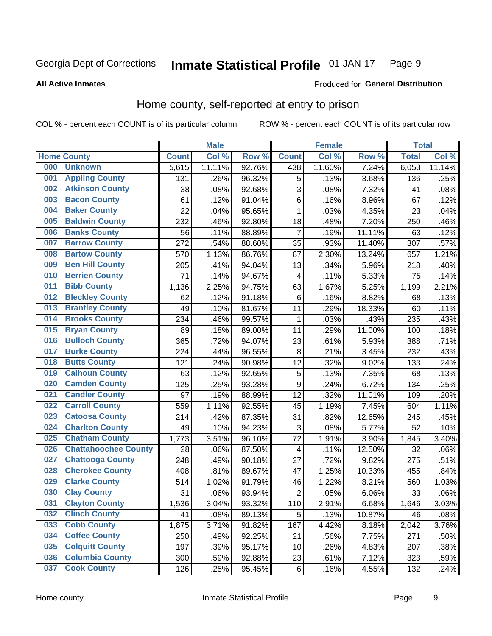#### **Inmate Statistical Profile 01-JAN-17** Page 9

**All Active Inmates** 

### Produced for General Distribution

### Home county, self-reported at entry to prison

COL % - percent each COUNT is of its particular column

|     |                             |              | <b>Male</b> |                  |                | <b>Female</b> |        | <b>Total</b> |        |
|-----|-----------------------------|--------------|-------------|------------------|----------------|---------------|--------|--------------|--------|
|     | <b>Home County</b>          | <b>Count</b> | Col %       | Row <sup>%</sup> | <b>Count</b>   | Col %         | Row %  | <b>Total</b> | Col %  |
| 000 | <b>Unknown</b>              | 5,615        | 11.11%      | 92.76%           | 438            | 11.60%        | 7.24%  | 6,053        | 11.14% |
| 001 | <b>Appling County</b>       | 131          | .26%        | 96.32%           | 5              | .13%          | 3.68%  | 136          | .25%   |
| 002 | <b>Atkinson County</b>      | 38           | .08%        | 92.68%           | 3              | .08%          | 7.32%  | 41           | .08%   |
| 003 | <b>Bacon County</b>         | 61           | .12%        | 91.04%           | $\,6$          | .16%          | 8.96%  | 67           | .12%   |
| 004 | <b>Baker County</b>         | 22           | .04%        | 95.65%           | $\mathbf 1$    | .03%          | 4.35%  | 23           | .04%   |
| 005 | <b>Baldwin County</b>       | 232          | .46%        | 92.80%           | 18             | .48%          | 7.20%  | 250          | .46%   |
| 006 | <b>Banks County</b>         | 56           | .11%        | 88.89%           | $\overline{7}$ | .19%          | 11.11% | 63           | .12%   |
| 007 | <b>Barrow County</b>        | 272          | .54%        | 88.60%           | 35             | .93%          | 11.40% | 307          | .57%   |
| 008 | <b>Bartow County</b>        | 570          | 1.13%       | 86.76%           | 87             | 2.30%         | 13.24% | 657          | 1.21%  |
| 009 | <b>Ben Hill County</b>      | 205          | .41%        | 94.04%           | 13             | .34%          | 5.96%  | 218          | .40%   |
| 010 | <b>Berrien County</b>       | 71           | .14%        | 94.67%           | 4              | .11%          | 5.33%  | 75           | .14%   |
| 011 | <b>Bibb County</b>          | 1,136        | 2.25%       | 94.75%           | 63             | 1.67%         | 5.25%  | 1,199        | 2.21%  |
| 012 | <b>Bleckley County</b>      | 62           | .12%        | 91.18%           | 6              | .16%          | 8.82%  | 68           | .13%   |
| 013 | <b>Brantley County</b>      | 49           | .10%        | 81.67%           | 11             | .29%          | 18.33% | 60           | .11%   |
| 014 | <b>Brooks County</b>        | 234          | .46%        | 99.57%           | $\mathbf{1}$   | .03%          | .43%   | 235          | .43%   |
| 015 | <b>Bryan County</b>         | 89           | .18%        | 89.00%           | 11             | .29%          | 11.00% | 100          | .18%   |
| 016 | <b>Bulloch County</b>       | 365          | .72%        | 94.07%           | 23             | .61%          | 5.93%  | 388          | .71%   |
| 017 | <b>Burke County</b>         | 224          | .44%        | 96.55%           | 8              | .21%          | 3.45%  | 232          | .43%   |
| 018 | <b>Butts County</b>         | 121          | .24%        | 90.98%           | 12             | .32%          | 9.02%  | 133          | .24%   |
| 019 | <b>Calhoun County</b>       | 63           | .12%        | 92.65%           | 5              | .13%          | 7.35%  | 68           | .13%   |
| 020 | <b>Camden County</b>        | 125          | .25%        | 93.28%           | 9              | .24%          | 6.72%  | 134          | .25%   |
| 021 | <b>Candler County</b>       | 97           | .19%        | 88.99%           | 12             | .32%          | 11.01% | 109          | .20%   |
| 022 | <b>Carroll County</b>       | 559          | 1.11%       | 92.55%           | 45             | 1.19%         | 7.45%  | 604          | 1.11%  |
| 023 | <b>Catoosa County</b>       | 214          | .42%        | 87.35%           | 31             | .82%          | 12.65% | 245          | .45%   |
| 024 | <b>Charlton County</b>      | 49           | .10%        | 94.23%           | 3              | .08%          | 5.77%  | 52           | .10%   |
| 025 | <b>Chatham County</b>       | 1,773        | 3.51%       | 96.10%           | 72             | 1.91%         | 3.90%  | 1,845        | 3.40%  |
| 026 | <b>Chattahoochee County</b> | 28           | .06%        | 87.50%           | 4              | .11%          | 12.50% | 32           | .06%   |
| 027 | <b>Chattooga County</b>     | 248          | .49%        | 90.18%           | 27             | .72%          | 9.82%  | 275          | .51%   |
| 028 | <b>Cherokee County</b>      | 408          | .81%        | 89.67%           | 47             | 1.25%         | 10.33% | 455          | .84%   |
| 029 | <b>Clarke County</b>        | 514          | 1.02%       | 91.79%           | 46             | 1.22%         | 8.21%  | 560          | 1.03%  |
| 030 | <b>Clay County</b>          | 31           | .06%        | 93.94%           | $\overline{2}$ | .05%          | 6.06%  | 33           | .06%   |
| 031 | <b>Clayton County</b>       | 1,536        | 3.04%       | 93.32%           | 110            | 2.91%         | 6.68%  | 1,646        | 3.03%  |
| 032 | <b>Clinch County</b>        | 41           | .08%        | 89.13%           | 5              | .13%          | 10.87% | 46           | .08%   |
| 033 | <b>Cobb County</b>          | 1,875        | 3.71%       | 91.82%           | 167            | 4.42%         | 8.18%  | 2,042        | 3.76%  |
| 034 | <b>Coffee County</b>        | 250          | .49%        | 92.25%           | 21             | .56%          | 7.75%  | 271          | .50%   |
| 035 | <b>Colquitt County</b>      | 197          | .39%        | 95.17%           | 10             | .26%          | 4.83%  | 207          | .38%   |
| 036 | <b>Columbia County</b>      | 300          | .59%        | 92.88%           | 23             | .61%          | 7.12%  | 323          | .59%   |
| 037 | <b>Cook County</b>          | 126          | .25%        | 95.45%           | $\,6\,$        | .16%          | 4.55%  | 132          | .24%   |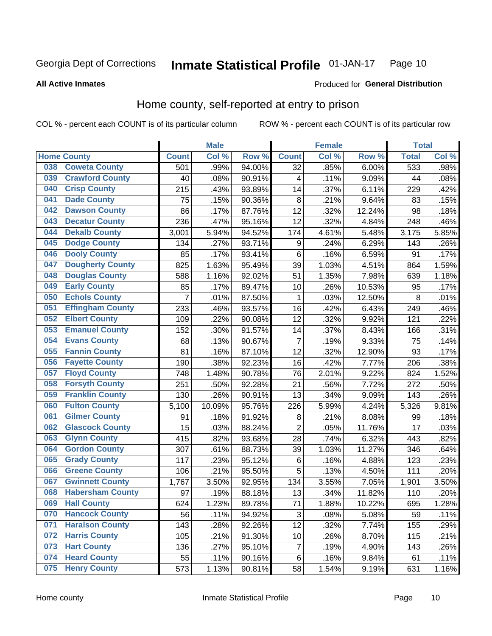#### Inmate Statistical Profile 01-JAN-17 Page 10

### **All Active Inmates**

### Produced for General Distribution

### Home county, self-reported at entry to prison

COL % - percent each COUNT is of its particular column

|     |                         |                | <b>Male</b> |        |                 | <b>Female</b> |        | <b>Total</b> |       |
|-----|-------------------------|----------------|-------------|--------|-----------------|---------------|--------|--------------|-------|
|     | <b>Home County</b>      | <b>Count</b>   | Col %       | Row %  | <b>Count</b>    | Col %         | Row %  | <b>Total</b> | Col%  |
| 038 | <b>Coweta County</b>    | 501            | .99%        | 94.00% | $\overline{32}$ | .85%          | 6.00%  | 533          | .98%  |
| 039 | <b>Crawford County</b>  | 40             | .08%        | 90.91% | 4               | .11%          | 9.09%  | 44           | .08%  |
| 040 | <b>Crisp County</b>     | 215            | .43%        | 93.89% | 14              | .37%          | 6.11%  | 229          | .42%  |
| 041 | <b>Dade County</b>      | 75             | .15%        | 90.36% | 8               | .21%          | 9.64%  | 83           | .15%  |
| 042 | <b>Dawson County</b>    | 86             | .17%        | 87.76% | 12              | .32%          | 12.24% | 98           | .18%  |
| 043 | <b>Decatur County</b>   | 236            | .47%        | 95.16% | 12              | .32%          | 4.84%  | 248          | .46%  |
| 044 | <b>Dekalb County</b>    | 3,001          | 5.94%       | 94.52% | 174             | 4.61%         | 5.48%  | 3,175        | 5.85% |
| 045 | <b>Dodge County</b>     | 134            | .27%        | 93.71% | 9               | .24%          | 6.29%  | 143          | .26%  |
| 046 | <b>Dooly County</b>     | 85             | .17%        | 93.41% | 6               | .16%          | 6.59%  | 91           | .17%  |
| 047 | <b>Dougherty County</b> | 825            | 1.63%       | 95.49% | 39              | 1.03%         | 4.51%  | 864          | 1.59% |
| 048 | <b>Douglas County</b>   | 588            | 1.16%       | 92.02% | 51              | 1.35%         | 7.98%  | 639          | 1.18% |
| 049 | <b>Early County</b>     | 85             | .17%        | 89.47% | 10              | .26%          | 10.53% | 95           | .17%  |
| 050 | <b>Echols County</b>    | $\overline{7}$ | .01%        | 87.50% | $\mathbf{1}$    | .03%          | 12.50% | 8            | .01%  |
| 051 | <b>Effingham County</b> | 233            | .46%        | 93.57% | 16              | .42%          | 6.43%  | 249          | .46%  |
| 052 | <b>Elbert County</b>    | 109            | .22%        | 90.08% | 12              | .32%          | 9.92%  | 121          | .22%  |
| 053 | <b>Emanuel County</b>   | 152            | .30%        | 91.57% | 14              | .37%          | 8.43%  | 166          | .31%  |
| 054 | <b>Evans County</b>     | 68             | .13%        | 90.67% | 7               | .19%          | 9.33%  | 75           | .14%  |
| 055 | <b>Fannin County</b>    | 81             | .16%        | 87.10% | 12              | .32%          | 12.90% | 93           | .17%  |
| 056 | <b>Fayette County</b>   | 190            | .38%        | 92.23% | 16              | .42%          | 7.77%  | 206          | .38%  |
| 057 | <b>Floyd County</b>     | 748            | 1.48%       | 90.78% | 76              | 2.01%         | 9.22%  | 824          | 1.52% |
| 058 | <b>Forsyth County</b>   | 251            | .50%        | 92.28% | 21              | .56%          | 7.72%  | 272          | .50%  |
| 059 | <b>Franklin County</b>  | 130            | .26%        | 90.91% | 13              | .34%          | 9.09%  | 143          | .26%  |
| 060 | <b>Fulton County</b>    | 5,100          | 10.09%      | 95.76% | 226             | 5.99%         | 4.24%  | 5,326        | 9.81% |
| 061 | <b>Gilmer County</b>    | 91             | .18%        | 91.92% | 8               | .21%          | 8.08%  | 99           | .18%  |
| 062 | <b>Glascock County</b>  | 15             | .03%        | 88.24% | $\overline{2}$  | .05%          | 11.76% | 17           | .03%  |
| 063 | <b>Glynn County</b>     | 415            | .82%        | 93.68% | 28              | .74%          | 6.32%  | 443          | .82%  |
| 064 | <b>Gordon County</b>    | 307            | .61%        | 88.73% | 39              | 1.03%         | 11.27% | 346          | .64%  |
| 065 | <b>Grady County</b>     | 117            | .23%        | 95.12% | 6               | .16%          | 4.88%  | 123          | .23%  |
| 066 | <b>Greene County</b>    | 106            | .21%        | 95.50% | 5               | .13%          | 4.50%  | 111          | .20%  |
| 067 | <b>Gwinnett County</b>  | 1,767          | 3.50%       | 92.95% | 134             | 3.55%         | 7.05%  | 1,901        | 3.50% |
| 068 | <b>Habersham County</b> | 97             | .19%        | 88.18% | 13              | .34%          | 11.82% | 110          | .20%  |
| 069 | <b>Hall County</b>      | 624            | 1.23%       | 89.78% | 71              | 1.88%         | 10.22% | 695          | 1.28% |
| 070 | <b>Hancock County</b>   | 56             | .11%        | 94.92% | 3               | .08%          | 5.08%  | 59           | .11%  |
| 071 | <b>Haralson County</b>  | 143            | .28%        | 92.26% | 12              | .32%          | 7.74%  | 155          | .29%  |
| 072 | <b>Harris County</b>    | 105            | .21%        | 91.30% | 10              | .26%          | 8.70%  | 115          | .21%  |
| 073 | <b>Hart County</b>      | 136            | .27%        | 95.10% | $\overline{7}$  | .19%          | 4.90%  | 143          | .26%  |
| 074 | <b>Heard County</b>     | 55             | .11%        | 90.16% | 6               | .16%          | 9.84%  | 61           | .11%  |
| 075 | <b>Henry County</b>     | 573            | 1.13%       | 90.81% | 58              | 1.54%         | 9.19%  | 631          | 1.16% |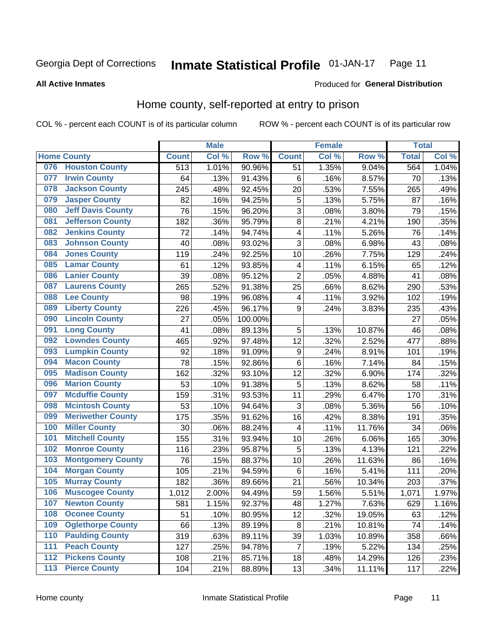#### **Inmate Statistical Profile 01-JAN-17** Page 11

#### **All Active Inmates**

### Produced for General Distribution

### Home county, self-reported at entry to prison

COL % - percent each COUNT is of its particular column

|                  |                          |              | <b>Male</b> |         |                  | <b>Female</b> |                  | <b>Total</b> |       |
|------------------|--------------------------|--------------|-------------|---------|------------------|---------------|------------------|--------------|-------|
|                  | <b>Home County</b>       | <b>Count</b> | Col %       | Row %   | <b>Count</b>     | Col %         | Row <sup>%</sup> | <b>Total</b> | Col % |
| 076              | <b>Houston County</b>    | 513          | 1.01%       | 90.96%  | 51               | 1.35%         | 9.04%            | 564          | 1.04% |
| 077              | <b>Irwin County</b>      | 64           | .13%        | 91.43%  | 6                | .16%          | 8.57%            | 70           | .13%  |
| 078              | <b>Jackson County</b>    | 245          | .48%        | 92.45%  | 20               | .53%          | 7.55%            | 265          | .49%  |
| 079              | <b>Jasper County</b>     | 82           | .16%        | 94.25%  | 5                | .13%          | 5.75%            | 87           | .16%  |
| 080              | <b>Jeff Davis County</b> | 76           | .15%        | 96.20%  | 3                | .08%          | 3.80%            | 79           | .15%  |
| 081              | <b>Jefferson County</b>  | 182          | .36%        | 95.79%  | $\overline{8}$   | .21%          | 4.21%            | 190          | .35%  |
| 082              | <b>Jenkins County</b>    | 72           | .14%        | 94.74%  | 4                | .11%          | 5.26%            | 76           | .14%  |
| 083              | <b>Johnson County</b>    | 40           | .08%        | 93.02%  | 3                | .08%          | 6.98%            | 43           | .08%  |
| 084              | <b>Jones County</b>      | 119          | .24%        | 92.25%  | 10               | .26%          | 7.75%            | 129          | .24%  |
| 085              | <b>Lamar County</b>      | 61           | .12%        | 93.85%  | 4                | .11%          | 6.15%            | 65           | .12%  |
| 086              | <b>Lanier County</b>     | 39           | .08%        | 95.12%  | $\overline{2}$   | .05%          | 4.88%            | 41           | .08%  |
| 087              | <b>Laurens County</b>    | 265          | .52%        | 91.38%  | 25               | .66%          | 8.62%            | 290          | .53%  |
| 088              | <b>Lee County</b>        | 98           | .19%        | 96.08%  | 4                | .11%          | 3.92%            | 102          | .19%  |
| 089              | <b>Liberty County</b>    | 226          | .45%        | 96.17%  | 9                | .24%          | 3.83%            | 235          | .43%  |
| 090              | <b>Lincoln County</b>    | 27           | .05%        | 100.00% |                  |               |                  | 27           | .05%  |
| 091              | <b>Long County</b>       | 41           | .08%        | 89.13%  | 5                | .13%          | 10.87%           | 46           | .08%  |
| 092              | <b>Lowndes County</b>    | 465          | .92%        | 97.48%  | 12               | .32%          | 2.52%            | 477          | .88%  |
| 093              | <b>Lumpkin County</b>    | 92           | .18%        | 91.09%  | $\boldsymbol{9}$ | .24%          | 8.91%            | 101          | .19%  |
| 094              | <b>Macon County</b>      | 78           | .15%        | 92.86%  | $\,6$            | .16%          | 7.14%            | 84           | .15%  |
| 095              | <b>Madison County</b>    | 162          | .32%        | 93.10%  | 12               | .32%          | 6.90%            | 174          | .32%  |
| 096              | <b>Marion County</b>     | 53           | .10%        | 91.38%  | 5                | .13%          | 8.62%            | 58           | .11%  |
| 097              | <b>Mcduffie County</b>   | 159          | .31%        | 93.53%  | 11               | .29%          | 6.47%            | 170          | .31%  |
| 098              | <b>Mcintosh County</b>   | 53           | .10%        | 94.64%  | 3                | .08%          | 5.36%            | 56           | .10%  |
| 099              | <b>Meriwether County</b> | 175          | .35%        | 91.62%  | 16               | .42%          | 8.38%            | 191          | .35%  |
| 100              | <b>Miller County</b>     | 30           | .06%        | 88.24%  | 4                | .11%          | 11.76%           | 34           | .06%  |
| 101              | <b>Mitchell County</b>   | 155          | .31%        | 93.94%  | 10               | .26%          | 6.06%            | 165          | .30%  |
| 102              | <b>Monroe County</b>     | 116          | .23%        | 95.87%  | 5                | .13%          | 4.13%            | 121          | .22%  |
| 103              | <b>Montgomery County</b> | 76           | .15%        | 88.37%  | 10               | .26%          | 11.63%           | 86           | .16%  |
| 104              | <b>Morgan County</b>     | 105          | .21%        | 94.59%  | 6                | .16%          | 5.41%            | 111          | .20%  |
| 105              | <b>Murray County</b>     | 182          | .36%        | 89.66%  | 21               | .56%          | 10.34%           | 203          | .37%  |
| 106              | <b>Muscogee County</b>   | 1,012        | 2.00%       | 94.49%  | 59               | 1.56%         | 5.51%            | 1,071        | 1.97% |
| 107              | <b>Newton County</b>     | 581          | 1.15%       | 92.37%  | 48               | 1.27%         | 7.63%            | 629          | 1.16% |
| 108              | <b>Oconee County</b>     | 51           | .10%        | 80.95%  | 12               | .32%          | 19.05%           | 63           | .12%  |
| 109              | <b>Oglethorpe County</b> | 66           | .13%        | 89.19%  | 8                | .21%          | 10.81%           | 74           | .14%  |
| 110              | <b>Paulding County</b>   | 319          | .63%        | 89.11%  | 39               | 1.03%         | 10.89%           | 358          | .66%  |
| 111              | <b>Peach County</b>      | 127          | .25%        | 94.78%  | $\overline{7}$   | .19%          | 5.22%            | 134          | .25%  |
| $\overline{112}$ | <b>Pickens County</b>    | 108          | .21%        | 85.71%  | 18               | .48%          | 14.29%           | 126          | .23%  |
| 113              | <b>Pierce County</b>     | 104          | .21%        | 88.89%  | 13               | .34%          | $11.11\%$        | 117          | .22%  |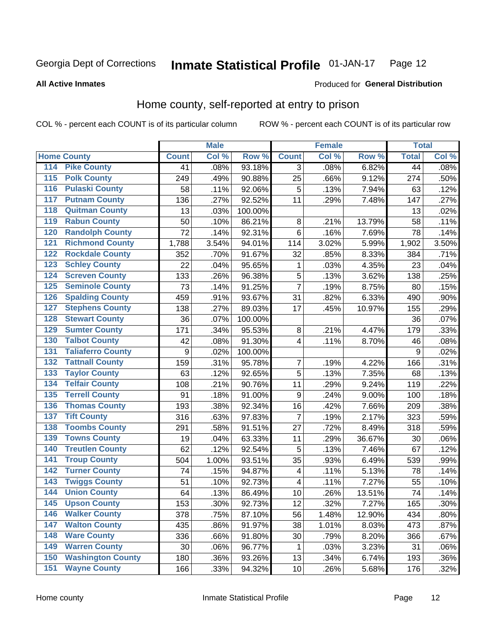#### Inmate Statistical Profile 01-JAN-17 Page 12

**All Active Inmates** 

### Produced for General Distribution

### Home county, self-reported at entry to prison

COL % - percent each COUNT is of its particular column

|     |                          |                  | <b>Male</b> |         |                         | <b>Female</b> |        | <b>Total</b>    |       |
|-----|--------------------------|------------------|-------------|---------|-------------------------|---------------|--------|-----------------|-------|
|     | <b>Home County</b>       | <b>Count</b>     | Col %       | Row %   | <b>Count</b>            | Col %         | Row %  | <b>Total</b>    | Col % |
| 114 | <b>Pike County</b>       | 41               | .08%        | 93.18%  | 3                       | .08%          | 6.82%  | $\overline{44}$ | .08%  |
| 115 | <b>Polk County</b>       | 249              | .49%        | 90.88%  | 25                      | .66%          | 9.12%  | 274             | .50%  |
| 116 | <b>Pulaski County</b>    | 58               | .11%        | 92.06%  | 5                       | .13%          | 7.94%  | 63              | .12%  |
| 117 | <b>Putnam County</b>     | 136              | .27%        | 92.52%  | 11                      | .29%          | 7.48%  | 147             | .27%  |
| 118 | <b>Quitman County</b>    | 13               | .03%        | 100.00% |                         |               |        | 13              | .02%  |
| 119 | <b>Rabun County</b>      | 50               | .10%        | 86.21%  | 8                       | .21%          | 13.79% | 58              | .11%  |
| 120 | <b>Randolph County</b>   | 72               | .14%        | 92.31%  | $\,6$                   | .16%          | 7.69%  | 78              | .14%  |
| 121 | <b>Richmond County</b>   | 1,788            | 3.54%       | 94.01%  | 114                     | 3.02%         | 5.99%  | 1,902           | 3.50% |
| 122 | <b>Rockdale County</b>   | 352              | .70%        | 91.67%  | 32                      | .85%          | 8.33%  | 384             | .71%  |
| 123 | <b>Schley County</b>     | 22               | .04%        | 95.65%  | 1                       | .03%          | 4.35%  | 23              | .04%  |
| 124 | <b>Screven County</b>    | 133              | .26%        | 96.38%  | 5                       | .13%          | 3.62%  | 138             | .25%  |
| 125 | <b>Seminole County</b>   | 73               | .14%        | 91.25%  | $\overline{7}$          | .19%          | 8.75%  | 80              | .15%  |
| 126 | <b>Spalding County</b>   | 459              | .91%        | 93.67%  | 31                      | .82%          | 6.33%  | 490             | .90%  |
| 127 | <b>Stephens County</b>   | 138              | .27%        | 89.03%  | 17                      | .45%          | 10.97% | 155             | .29%  |
| 128 | <b>Stewart County</b>    | 36               | .07%        | 100.00% |                         |               |        | 36              | .07%  |
| 129 | <b>Sumter County</b>     | 171              | .34%        | 95.53%  | 8                       | .21%          | 4.47%  | 179             | .33%  |
| 130 | <b>Talbot County</b>     | 42               | .08%        | 91.30%  | $\overline{\mathbf{4}}$ | .11%          | 8.70%  | 46              | .08%  |
| 131 | <b>Taliaferro County</b> | $\boldsymbol{9}$ | .02%        | 100.00% |                         |               |        | 9               | .02%  |
| 132 | <b>Tattnall County</b>   | 159              | .31%        | 95.78%  | $\boldsymbol{7}$        | .19%          | 4.22%  | 166             | .31%  |
| 133 | <b>Taylor County</b>     | 63               | .12%        | 92.65%  | 5                       | .13%          | 7.35%  | 68              | .13%  |
| 134 | <b>Telfair County</b>    | 108              | .21%        | 90.76%  | 11                      | .29%          | 9.24%  | 119             | .22%  |
| 135 | <b>Terrell County</b>    | 91               | .18%        | 91.00%  | $\boldsymbol{9}$        | .24%          | 9.00%  | 100             | .18%  |
| 136 | <b>Thomas County</b>     | 193              | .38%        | 92.34%  | 16                      | .42%          | 7.66%  | 209             | .38%  |
| 137 | <b>Tift County</b>       | 316              | .63%        | 97.83%  | $\overline{7}$          | .19%          | 2.17%  | 323             | .59%  |
| 138 | <b>Toombs County</b>     | 291              | .58%        | 91.51%  | 27                      | .72%          | 8.49%  | 318             | .59%  |
| 139 | <b>Towns County</b>      | 19               | .04%        | 63.33%  | 11                      | .29%          | 36.67% | 30              | .06%  |
| 140 | <b>Treutlen County</b>   | 62               | .12%        | 92.54%  | 5                       | .13%          | 7.46%  | 67              | .12%  |
| 141 | <b>Troup County</b>      | 504              | 1.00%       | 93.51%  | 35                      | .93%          | 6.49%  | 539             | .99%  |
| 142 | <b>Turner County</b>     | 74               | .15%        | 94.87%  | $\overline{\mathbf{4}}$ | .11%          | 5.13%  | 78              | .14%  |
| 143 | <b>Twiggs County</b>     | 51               | .10%        | 92.73%  | $\overline{\mathbf{4}}$ | .11%          | 7.27%  | 55              | .10%  |
| 144 | <b>Union County</b>      | 64               | .13%        | 86.49%  | 10                      | .26%          | 13.51% | 74              | .14%  |
| 145 | <b>Upson County</b>      | 153              | .30%        | 92.73%  | 12                      | .32%          | 7.27%  | 165             | .30%  |
| 146 | <b>Walker County</b>     | 378              | .75%        | 87.10%  | 56                      | 1.48%         | 12.90% | 434             | .80%  |
| 147 | <b>Walton County</b>     | 435              | .86%        | 91.97%  | 38                      | 1.01%         | 8.03%  | 473             | .87%  |
| 148 | <b>Ware County</b>       | 336              | .66%        | 91.80%  | 30                      | .79%          | 8.20%  | 366             | .67%  |
| 149 | <b>Warren County</b>     | 30               | .06%        | 96.77%  | 1                       | .03%          | 3.23%  | 31              | .06%  |
| 150 | <b>Washington County</b> | 180              | .36%        | 93.26%  | 13                      | .34%          | 6.74%  | 193             | .36%  |
| 151 | <b>Wayne County</b>      | 166              | .33%        | 94.32%  | 10                      | .26%          | 5.68%  | 176             | .32%  |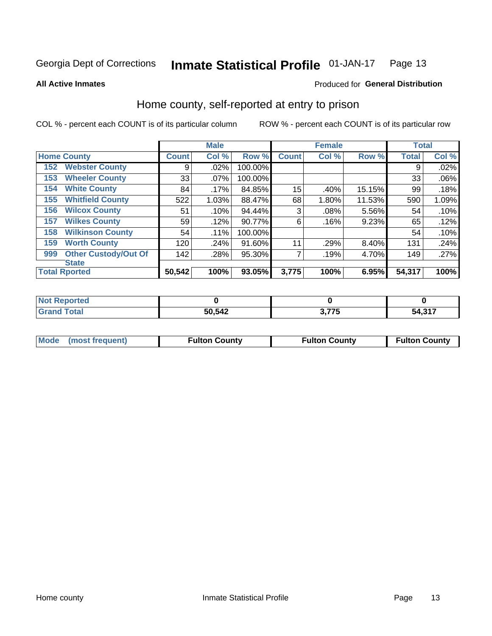#### Inmate Statistical Profile 01-JAN-17 Page 13

Produced for General Distribution

### **All Active Inmates**

### Home county, self-reported at entry to prison

COL % - percent each COUNT is of its particular column

|     |                             |              | <b>Male</b> |         |              | <b>Female</b> |        | <b>Total</b> |       |
|-----|-----------------------------|--------------|-------------|---------|--------------|---------------|--------|--------------|-------|
|     | <b>Home County</b>          | <b>Count</b> | Col %       | Row %   | <b>Count</b> | Col %         | Row %  | <b>Total</b> | Col % |
| 152 | <b>Webster County</b>       | 9            | .02%        | 100.00% |              |               |        | 9            | .02%  |
| 153 | <b>Wheeler County</b>       | 33           | .07%        | 100.00% |              |               |        | 33           | .06%  |
| 154 | <b>White County</b>         | 84           | .17%        | 84.85%  | 15           | .40%          | 15.15% | 99           | .18%  |
| 155 | <b>Whitfield County</b>     | 522          | 1.03%       | 88.47%  | 68           | 1.80%         | 11.53% | 590          | 1.09% |
| 156 | <b>Wilcox County</b>        | 51           | .10%        | 94.44%  | 3            | .08%          | 5.56%  | 54           | .10%  |
| 157 | <b>Wilkes County</b>        | 59           | .12%        | 90.77%  | 6            | .16%          | 9.23%  | 65           | .12%  |
| 158 | <b>Wilkinson County</b>     | 54           | .11%        | 100.00% |              |               |        | 54           | .10%  |
| 159 | <b>Worth County</b>         | 120          | .24%        | 91.60%  | 11           | .29%          | 8.40%  | 131          | .24%  |
| 999 | <b>Other Custody/Out Of</b> | 142          | .28%        | 95.30%  |              | .19%          | 4.70%  | 149          | .27%  |
|     | <b>State</b>                |              |             |         |              |               |        |              |       |
|     | <b>Total Rported</b>        | 50,542       | 100%        | 93.05%  | 3,775        | 100%          | 6.95%  | 54,317       | 100%  |

| Reported<br><b>NO1</b> |        |            |        |
|------------------------|--------|------------|--------|
| <b>otal</b>            | 50,542 | 277<br>. . | 54,317 |

|  | Mode (most frequent) | <b>Fulton County</b> | <b>Fulton County</b> | <b>Fulton County</b> |
|--|----------------------|----------------------|----------------------|----------------------|
|--|----------------------|----------------------|----------------------|----------------------|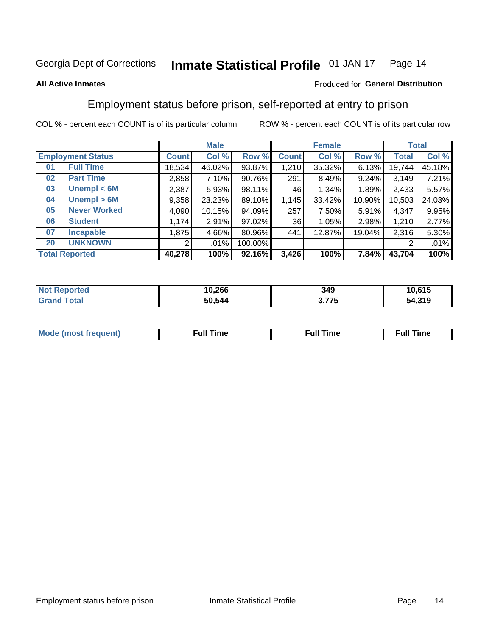#### Inmate Statistical Profile 01-JAN-17 Page 14

### **All Active Inmates**

### Produced for General Distribution

### Employment status before prison, self-reported at entry to prison

COL % - percent each COUNT is of its particular column

|                           | <b>Male</b>  |          |         |              | <b>Female</b> |          |        | <b>Total</b> |
|---------------------------|--------------|----------|---------|--------------|---------------|----------|--------|--------------|
| <b>Employment Status</b>  | <b>Count</b> | Col %    | Row %   | <b>Count</b> | Col %         | Row %    | Total  | Col %        |
| <b>Full Time</b><br>01    | 18,534       | 46.02%   | 93.87%  | 1,210        | 35.32%        | 6.13%    | 19,744 | 45.18%       |
| <b>Part Time</b><br>02    | 2,858        | $7.10\%$ | 90.76%  | 291          | 8.49%         | 9.24%    | 3,149  | 7.21%        |
| Unempl $<$ 6M<br>03       | 2,387        | 5.93%    | 98.11%  | 46           | $1.34\%$      | 1.89%    | 2,433  | 5.57%        |
| Unempl > 6M<br>04         | 9,358        | 23.23%   | 89.10%  | 1,145        | 33.42%        | 10.90%   | 10,503 | 24.03%       |
| <b>Never Worked</b><br>05 | 4,090        | 10.15%   | 94.09%  | 257          | 7.50%         | $5.91\%$ | 4,347  | 9.95%        |
| <b>Student</b><br>06      | 1,174        | $2.91\%$ | 97.02%  | 36           | 1.05%         | 2.98%    | 1,210  | 2.77%        |
| 07<br><b>Incapable</b>    | 1,875        | 4.66%    | 80.96%  | 441          | 12.87%        | 19.04%   | 2,316  | 5.30%        |
| <b>UNKNOWN</b><br>20      | 2            | $.01\%$  | 100.00% |              |               |          | 2      | .01%         |
| <b>Total Reported</b>     | 40,278       | 100%     | 92.16%  | 3,426        | 100%          | 7.84%    | 43,704 | 100%         |

| <b>Not Reported</b> | 10,266 | 349   | 10,615 |
|---------------------|--------|-------|--------|
| <b>Grand Total</b>  | 50,544 | 3,775 | 54,319 |

| <b>Mode (most frequent)</b> | $^{\prime\prime}$ Time | <b>Time</b><br>rull i |
|-----------------------------|------------------------|-----------------------|
|                             |                        |                       |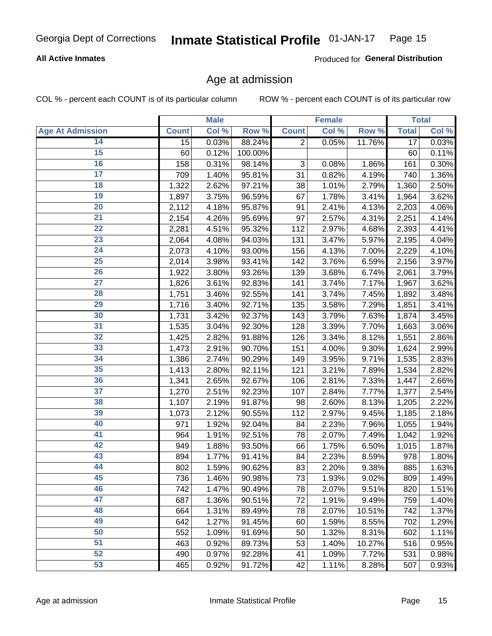### **All Active Inmates**

Produced for General Distribution

### Age at admission

COL % - percent each COUNT is of its particular column

|                         |                 | <b>Male</b> |         |                           | <b>Female</b> |        |                 | <b>Total</b> |
|-------------------------|-----------------|-------------|---------|---------------------------|---------------|--------|-----------------|--------------|
| <b>Age At Admission</b> | <b>Count</b>    | Col %       | Row %   | <b>Count</b>              | Col %         | Row %  | <b>Total</b>    | Col %        |
| 14                      | $\overline{15}$ | 0.03%       | 88.24%  | $\overline{2}$            | 0.05%         | 11.76% | $\overline{17}$ | 0.03%        |
| 15                      | 60              | 0.12%       | 100.00% |                           |               |        | 60              | 0.11%        |
| 16                      | 158             | 0.31%       | 98.14%  | $\ensuremath{\mathsf{3}}$ | 0.08%         | 1.86%  | 161             | 0.30%        |
| $\overline{17}$         | 709             | 1.40%       | 95.81%  | 31                        | 0.82%         | 4.19%  | 740             | 1.36%        |
| $\overline{18}$         | 1,322           | 2.62%       | 97.21%  | 38                        | 1.01%         | 2.79%  | 1,360           | 2.50%        |
| 19                      | 1,897           | 3.75%       | 96.59%  | 67                        | 1.78%         | 3.41%  | 1,964           | 3.62%        |
| 20                      | 2,112           | 4.18%       | 95.87%  | 91                        | 2.41%         | 4.13%  | 2,203           | 4.06%        |
| $\overline{21}$         | 2,154           | 4.26%       | 95.69%  | 97                        | 2.57%         | 4.31%  | 2,251           | 4.14%        |
| $\overline{22}$         | 2,281           | 4.51%       | 95.32%  | 112                       | 2.97%         | 4.68%  | 2,393           | 4.41%        |
| 23                      | 2,064           | 4.08%       | 94.03%  | 131                       | 3.47%         | 5.97%  | 2,195           | 4.04%        |
| 24                      | 2,073           | 4.10%       | 93.00%  | 156                       | 4.13%         | 7.00%  | 2,229           | 4.10%        |
| $\overline{25}$         | 2,014           | 3.98%       | 93.41%  | 142                       | 3.76%         | 6.59%  | 2,156           | 3.97%        |
| $\overline{26}$         | 1,922           | 3.80%       | 93.26%  | 139                       | 3.68%         | 6.74%  | 2,061           | 3.79%        |
| $\overline{27}$         | 1,826           | 3.61%       | 92.83%  | 141                       | 3.74%         | 7.17%  | 1,967           | 3.62%        |
| 28                      | 1,751           | 3.46%       | 92.55%  | 141                       | 3.74%         | 7.45%  | 1,892           | 3.48%        |
| 29                      | 1,716           | 3.40%       | 92.71%  | 135                       | 3.58%         | 7.29%  | 1,851           | 3.41%        |
| 30                      | 1,731           | 3.42%       | 92.37%  | 143                       | 3.79%         | 7.63%  | 1,874           | 3.45%        |
| 31                      | 1,535           | 3.04%       | 92.30%  | 128                       | 3.39%         | 7.70%  | 1,663           | 3.06%        |
| 32                      | 1,425           | 2.82%       | 91.88%  | 126                       | 3.34%         | 8.12%  | 1,551           | 2.86%        |
| 33                      | 1,473           | 2.91%       | 90.70%  | 151                       | 4.00%         | 9.30%  | 1,624           | 2.99%        |
| 34                      | 1,386           | 2.74%       | 90.29%  | 149                       | 3.95%         | 9.71%  | 1,535           | 2.83%        |
| 35                      | 1,413           | 2.80%       | 92.11%  | 121                       | 3.21%         | 7.89%  | 1,534           | 2.82%        |
| 36                      | 1,341           | 2.65%       | 92.67%  | 106                       | 2.81%         | 7.33%  | 1,447           | 2.66%        |
| 37                      | 1,270           | 2.51%       | 92.23%  | 107                       | 2.84%         | 7.77%  | 1,377           | 2.54%        |
| 38                      | 1,107           | 2.19%       | 91.87%  | 98                        | 2.60%         | 8.13%  | 1,205           | 2.22%        |
| 39                      | 1,073           | 2.12%       | 90.55%  | 112                       | 2.97%         | 9.45%  | 1,185           | 2.18%        |
| 40                      | 971             | 1.92%       | 92.04%  | 84                        | 2.23%         | 7.96%  | 1,055           | 1.94%        |
| 41                      | 964             | 1.91%       | 92.51%  | 78                        | 2.07%         | 7.49%  | 1,042           | 1.92%        |
| 42                      | 949             | 1.88%       | 93.50%  | 66                        | 1.75%         | 6.50%  | 1,015           | 1.87%        |
| 43                      | 894             | 1.77%       | 91.41%  | 84                        | 2.23%         | 8.59%  | 978             | 1.80%        |
| 44                      | 802             | 1.59%       | 90.62%  | 83                        | 2.20%         | 9.38%  | 885             | 1.63%        |
| 45                      | 736             | 1.46%       | 90.98%  | 73                        | 1.93%         | 9.02%  | 809             | 1.49%        |
| 46                      | 742             | 1.47%       | 90.49%  | 78                        | 2.07%         | 9.51%  | 820             | 1.51%        |
| 47                      | 687             | 1.36%       | 90.51%  | 72                        | 1.91%         | 9.49%  | 759             | 1.40%        |
| 48                      | 664             | 1.31%       | 89.49%  | 78                        | 2.07%         | 10.51% | 742             | 1.37%        |
| 49                      | 642             | 1.27%       | 91.45%  | 60                        | 1.59%         | 8.55%  | 702             | 1.29%        |
| 50                      | 552             | 1.09%       | 91.69%  | 50                        | 1.32%         | 8.31%  | 602             | 1.11%        |
| 51                      | 463             | 0.92%       | 89.73%  | 53                        | 1.40%         | 10.27% | 516             | 0.95%        |
| 52                      | 490             | 0.97%       | 92.28%  | 41                        | 1.09%         | 7.72%  | 531             | 0.98%        |
| 53                      | 465             | 0.92%       | 91.72%  | 42                        | 1.11%         | 8.28%  | 507             | 0.93%        |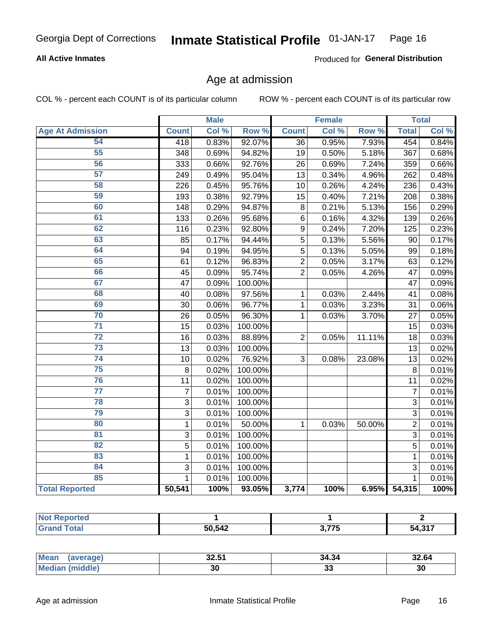### **All Active Inmates**

Produced for General Distribution

### Age at admission

COL % - percent each COUNT is of its particular column

|                         |                | <b>Male</b> |                  |                | <b>Female</b> |                  |                | <b>Total</b> |
|-------------------------|----------------|-------------|------------------|----------------|---------------|------------------|----------------|--------------|
| <b>Age At Admission</b> | <b>Count</b>   | Col %       | Row <sup>%</sup> | <b>Count</b>   | Col %         | Row <sup>%</sup> | <b>Total</b>   | Col %        |
| 54                      | 418            | 0.83%       | 92.07%           | 36             | 0.95%         | 7.93%            | 454            | 0.84%        |
| 55                      | 348            | 0.69%       | 94.82%           | 19             | 0.50%         | 5.18%            | 367            | 0.68%        |
| 56                      | 333            | 0.66%       | 92.76%           | 26             | 0.69%         | 7.24%            | 359            | 0.66%        |
| 57                      | 249            | 0.49%       | 95.04%           | 13             | 0.34%         | 4.96%            | 262            | 0.48%        |
| 58                      | 226            | 0.45%       | 95.76%           | 10             | 0.26%         | 4.24%            | 236            | 0.43%        |
| 59                      | 193            | 0.38%       | 92.79%           | 15             | 0.40%         | 7.21%            | 208            | 0.38%        |
| 60                      | 148            | 0.29%       | 94.87%           | 8              | 0.21%         | 5.13%            | 156            | 0.29%        |
| 61                      | 133            | 0.26%       | 95.68%           | 6              | 0.16%         | 4.32%            | 139            | 0.26%        |
| 62                      | 116            | 0.23%       | 92.80%           | 9              | 0.24%         | 7.20%            | 125            | 0.23%        |
| 63                      | 85             | 0.17%       | 94.44%           | 5              | 0.13%         | 5.56%            | 90             | 0.17%        |
| 64                      | 94             | 0.19%       | 94.95%           | 5              | 0.13%         | 5.05%            | 99             | 0.18%        |
| 65                      | 61             | 0.12%       | 96.83%           | $\overline{2}$ | 0.05%         | 3.17%            | 63             | 0.12%        |
| 66                      | 45             | 0.09%       | 95.74%           | $\overline{2}$ | 0.05%         | 4.26%            | 47             | 0.09%        |
| 67                      | 47             | 0.09%       | 100.00%          |                |               |                  | 47             | 0.09%        |
| 68                      | 40             | 0.08%       | 97.56%           | 1              | 0.03%         | 2.44%            | 41             | 0.08%        |
| 69                      | 30             | 0.06%       | 96.77%           | 1              | 0.03%         | 3.23%            | 31             | 0.06%        |
| 70                      | 26             | 0.05%       | 96.30%           | $\mathbf 1$    | 0.03%         | 3.70%            | 27             | 0.05%        |
| $\overline{71}$         | 15             | 0.03%       | 100.00%          |                |               |                  | 15             | 0.03%        |
| $\overline{72}$         | 16             | 0.03%       | 88.89%           | $\overline{2}$ | 0.05%         | 11.11%           | 18             | 0.03%        |
| $\overline{73}$         | 13             | 0.03%       | 100.00%          |                |               |                  | 13             | 0.02%        |
| $\overline{74}$         | 10             | 0.02%       | 76.92%           | 3              | 0.08%         | 23.08%           | 13             | 0.02%        |
| 75                      | 8              | 0.02%       | 100.00%          |                |               |                  | 8              | 0.01%        |
| 76                      | 11             | 0.02%       | 100.00%          |                |               |                  | 11             | 0.02%        |
| $\overline{77}$         | $\overline{7}$ | 0.01%       | 100.00%          |                |               |                  | $\overline{7}$ | 0.01%        |
| 78                      | $\overline{3}$ | 0.01%       | 100.00%          |                |               |                  | $\overline{3}$ | 0.01%        |
| 79                      | $\overline{3}$ | 0.01%       | 100.00%          |                |               |                  | $\overline{3}$ | 0.01%        |
| 80                      | $\mathbf{1}$   | 0.01%       | 50.00%           | 1              | 0.03%         | 50.00%           | $\overline{2}$ | 0.01%        |
| 81                      | $\mathbf{3}$   | 0.01%       | 100.00%          |                |               |                  | $\overline{3}$ | 0.01%        |
| $\overline{82}$         | $\overline{5}$ | 0.01%       | 100.00%          |                |               |                  | $\overline{5}$ | 0.01%        |
| 83                      | $\mathbf{1}$   | 0.01%       | 100.00%          |                |               |                  | $\mathbf{1}$   | 0.01%        |
| 84                      | 3              | 0.01%       | 100.00%          |                |               |                  | 3              | 0.01%        |
| 85                      | 1              | 0.01%       | 100.00%          |                |               |                  | $\mathbf{1}$   | 0.01%        |
| <b>Total Reported</b>   | 50,541         | 100%        | 93.05%           | 3,774          | 100%          | 6.95%            | 54,315         | 100%         |

| Reported<br>NOT |        |              |       |
|-----------------|--------|--------------|-------|
| $F$ ntal        | 50.542 | , ,,,<br>. . | 54.31 |

| <b>Mean</b><br>(average) | 50 P.A<br>ו שובש | 34.34 | 32.64 |
|--------------------------|------------------|-------|-------|
| <i>iddle</i><br>Mei      | 30               | აა    | 30    |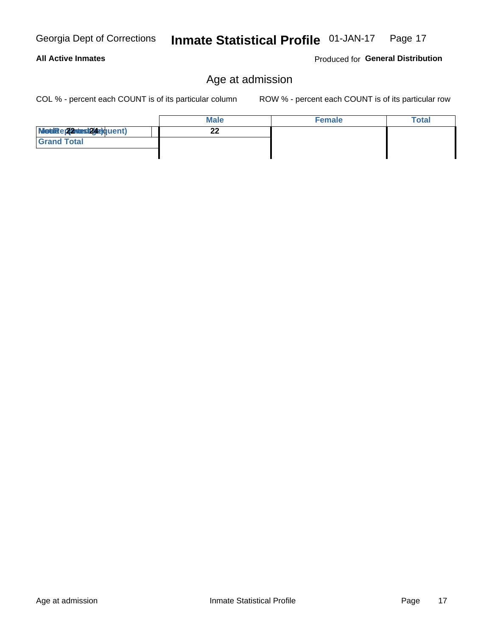### **All Active Inmates**

Produced for General Distribution

### Age at admission

COL % - percent each COUNT is of its particular column

|                          | <b>Male</b> | <b>Female</b> | <b>Total</b> |
|--------------------------|-------------|---------------|--------------|
| Modiae 22 Mest24e)quent) | ົ           |               |              |
| <b>Grand Total</b>       |             |               |              |
|                          |             |               |              |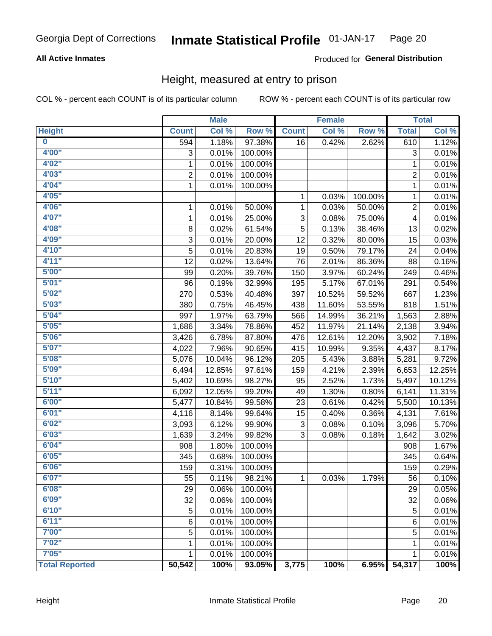### **All Active Inmates**

### **Produced for General Distribution**

### Height, measured at entry to prison

COL % - percent each COUNT is of its particular column

|                         |                | <b>Male</b> |         |              | <b>Female</b> |         |                           | <b>Total</b> |
|-------------------------|----------------|-------------|---------|--------------|---------------|---------|---------------------------|--------------|
| <b>Height</b>           | <b>Count</b>   | Col %       | Row %   | <b>Count</b> | Col %         | Row %   | <b>Total</b>              | Col %        |
| $\overline{\mathbf{0}}$ | 594            | 1.18%       | 97.38%  | 16           | 0.42%         | 2.62%   | 610                       | 1.12%        |
| 4'00"                   | 3              | 0.01%       | 100.00% |              |               |         | $\ensuremath{\mathsf{3}}$ | 0.01%        |
| 4'02"                   | 1              | 0.01%       | 100.00% |              |               |         | 1                         | 0.01%        |
| 4'03''                  | $\overline{c}$ | 0.01%       | 100.00% |              |               |         | $\overline{c}$            | 0.01%        |
| 4'04"                   | $\mathbf{1}$   | 0.01%       | 100.00% |              |               |         | 1                         | 0.01%        |
| 4'05"                   |                |             |         | $\mathbf{1}$ | 0.03%         | 100.00% | 1                         | 0.01%        |
| 4'06"                   | 1              | 0.01%       | 50.00%  | 1            | 0.03%         | 50.00%  | 2                         | 0.01%        |
| 4'07"                   | 1              | 0.01%       | 25.00%  | 3            | 0.08%         | 75.00%  | 4                         | 0.01%        |
| 4'08"                   | 8              | 0.02%       | 61.54%  | 5            | 0.13%         | 38.46%  | 13                        | 0.02%        |
| 4'09"                   | 3              | 0.01%       | 20.00%  | 12           | 0.32%         | 80.00%  | 15                        | 0.03%        |
| 4'10''                  | 5              | 0.01%       | 20.83%  | 19           | 0.50%         | 79.17%  | 24                        | 0.04%        |
| 4'11''                  | 12             | 0.02%       | 13.64%  | 76           | 2.01%         | 86.36%  | 88                        | 0.16%        |
| 5'00''                  | 99             | 0.20%       | 39.76%  | 150          | 3.97%         | 60.24%  | 249                       | 0.46%        |
| 5'01''                  | 96             | 0.19%       | 32.99%  | 195          | 5.17%         | 67.01%  | 291                       | 0.54%        |
| 5'02"                   | 270            | 0.53%       | 40.48%  | 397          | 10.52%        | 59.52%  | 667                       | 1.23%        |
| 5'03''                  | 380            | 0.75%       | 46.45%  | 438          | 11.60%        | 53.55%  | 818                       | 1.51%        |
| 5'04"                   | 997            | 1.97%       | 63.79%  | 566          | 14.99%        | 36.21%  | 1,563                     | 2.88%        |
| 5'05"                   | 1,686          | 3.34%       | 78.86%  | 452          | 11.97%        | 21.14%  | 2,138                     | 3.94%        |
| 5'06''                  | 3,426          | 6.78%       | 87.80%  | 476          | 12.61%        | 12.20%  | 3,902                     | 7.18%        |
| 5'07''                  | 4,022          | 7.96%       | 90.65%  | 415          | 10.99%        | 9.35%   | 4,437                     | 8.17%        |
| 5'08''                  | 5,076          | 10.04%      | 96.12%  | 205          | 5.43%         | 3.88%   | 5,281                     | 9.72%        |
| 5'09''                  | 6,494          | 12.85%      | 97.61%  | 159          | 4.21%         | 2.39%   | 6,653                     | 12.25%       |
| 5'10''                  | 5,402          | 10.69%      | 98.27%  | 95           | 2.52%         | 1.73%   | 5,497                     | 10.12%       |
| 5'11''                  | 6,092          | 12.05%      | 99.20%  | 49           | 1.30%         | 0.80%   | 6,141                     | 11.31%       |
| 6'00''                  | 5,477          | 10.84%      | 99.58%  | 23           | 0.61%         | 0.42%   | 5,500                     | 10.13%       |
| 6'01''                  | 4,116          | 8.14%       | 99.64%  | 15           | 0.40%         | 0.36%   | 4,131                     | 7.61%        |
| 6'02"                   | 3,093          | 6.12%       | 99.90%  | 3            | 0.08%         | 0.10%   | 3,096                     | 5.70%        |
| 6'03''                  | 1,639          | 3.24%       | 99.82%  | 3            | 0.08%         | 0.18%   | 1,642                     | 3.02%        |
| 6'04"                   | 908            | 1.80%       | 100.00% |              |               |         | 908                       | 1.67%        |
| 6'05"                   | 345            | 0.68%       | 100.00% |              |               |         | 345                       | 0.64%        |
| 6'06''                  | 159            | 0.31%       | 100.00% |              |               |         | 159                       | 0.29%        |
| 6'07"                   | 55             | 0.11%       | 98.21%  | 1            | 0.03%         | 1.79%   | 56                        | 0.10%        |
| 6'08"                   | 29             | 0.06%       | 100.00% |              |               |         | 29                        | 0.05%        |
| 6'09''                  | 32             | 0.06%       | 100.00% |              |               |         | 32                        | 0.06%        |
| 6'10''                  | 5              | 0.01%       | 100.00% |              |               |         | 5                         | 0.01%        |
| 6'11''                  | 6              | 0.01%       | 100.00% |              |               |         | 6                         | 0.01%        |
| 7'00"                   | 5              | 0.01%       | 100.00% |              |               |         | 5                         | 0.01%        |
| 7'02"                   | 1              | 0.01%       | 100.00% |              |               |         | 1                         | 0.01%        |
| 7'05''                  | 1              | 0.01%       | 100.00% |              |               |         | 1                         | 0.01%        |
| <b>Total Reported</b>   | 50,542         | 100%        | 93.05%  | 3,775        | 100%          | 6.95%   | 54,317                    | 100%         |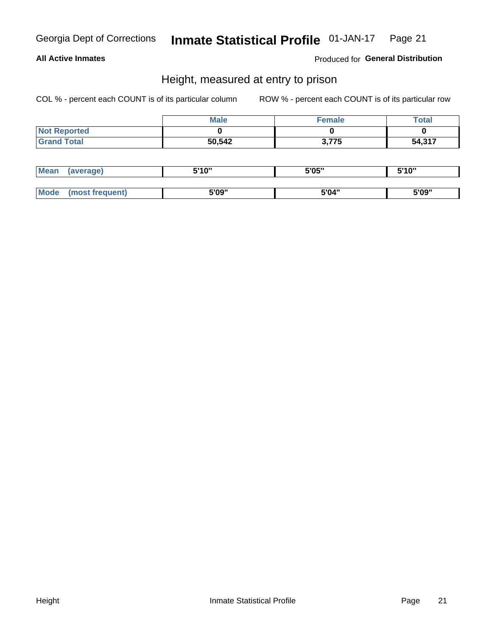### **All Active Inmates**

Produced for General Distribution

### Height, measured at entry to prison

COL % - percent each COUNT is of its particular column

|                     | Male   | <b>Female</b> | Total  |
|---------------------|--------|---------------|--------|
| <b>Not Reported</b> |        |               |        |
| <b>Grand Total</b>  | 50,542 | 3,775         | 54,317 |

| <b>Mean</b> | 'average) | EI4 OIL | 5'05" | 5'10" |
|-------------|-----------|---------|-------|-------|
|             |           |         |       |       |
| $M_{\odot}$ | frequent) | 5'09"   | 5'04" | 5'09" |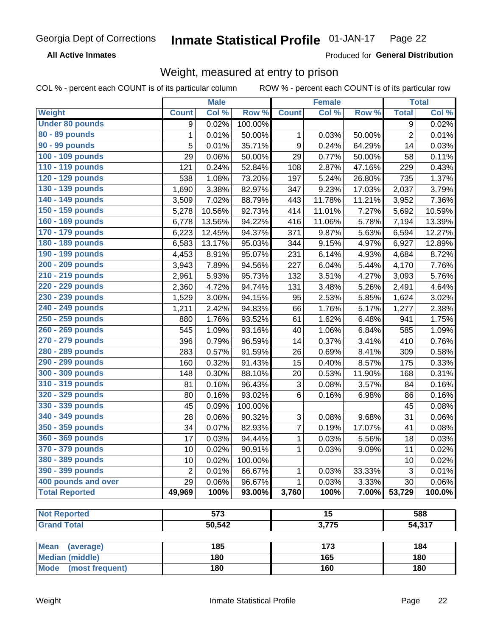**All Active Inmates** 

Produced for General Distribution

### Weight, measured at entry to prison

COL % - percent each COUNT is of its particular column

|                          |                | <b>Male</b>      |         |                | <b>Female</b>   |        |                | <b>Total</b> |
|--------------------------|----------------|------------------|---------|----------------|-----------------|--------|----------------|--------------|
| Weight                   | <b>Count</b>   | Col %            | Row %   | <b>Count</b>   | Col %           | Row %  | <b>Total</b>   | Col %        |
| <b>Under 80 pounds</b>   | 9              | 0.02%            | 100.00% |                |                 |        | 9              | 0.02%        |
| 80 - 89 pounds           | 1              | 0.01%            | 50.00%  | 1              | 0.03%           | 50.00% | $\overline{c}$ | 0.01%        |
| 90 - 99 pounds           | 5              | 0.01%            | 35.71%  | 9              | 0.24%           | 64.29% | 14             | 0.03%        |
| 100 - 109 pounds         | 29             | 0.06%            | 50.00%  | 29             | 0.77%           | 50.00% | 58             | 0.11%        |
| 110 - 119 pounds         | 121            | 0.24%            | 52.84%  | 108            | 2.87%           | 47.16% | 229            | 0.43%        |
| 120 - 129 pounds         | 538            | 1.08%            | 73.20%  | 197            | 5.24%           | 26.80% | 735            | 1.37%        |
| 130 - 139 pounds         | 1,690          | 3.38%            | 82.97%  | 347            | 9.23%           | 17.03% | 2,037          | 3.79%        |
| 140 - 149 pounds         | 3,509          | 7.02%            | 88.79%  | 443            | 11.78%          | 11.21% | 3,952          | 7.36%        |
| 150 - 159 pounds         | 5,278          | 10.56%           | 92.73%  | 414            | 11.01%          | 7.27%  | 5,692          | 10.59%       |
| 160 - 169 pounds         | 6,778          | 13.56%           | 94.22%  | 416            | 11.06%          | 5.78%  | 7,194          | 13.39%       |
| 170 - 179 pounds         | 6,223          | 12.45%           | 94.37%  | 371            | 9.87%           | 5.63%  | 6,594          | 12.27%       |
| 180 - 189 pounds         | 6,583          | 13.17%           | 95.03%  | 344            | 9.15%           | 4.97%  | 6,927          | 12.89%       |
| 190 - 199 pounds         | 4,453          | 8.91%            | 95.07%  | 231            | 6.14%           | 4.93%  | 4,684          | 8.72%        |
| 200 - 209 pounds         | 3,943          | 7.89%            | 94.56%  | 227            | 6.04%           | 5.44%  | 4,170          | 7.76%        |
| 210 - 219 pounds         | 2,961          | 5.93%            | 95.73%  | 132            | 3.51%           | 4.27%  | 3,093          | 5.76%        |
| 220 - 229 pounds         | 2,360          | 4.72%            | 94.74%  | 131            | 3.48%           | 5.26%  | 2,491          | 4.64%        |
| 230 - 239 pounds         | 1,529          | 3.06%            | 94.15%  | 95             | 2.53%           | 5.85%  | 1,624          | 3.02%        |
| 240 - 249 pounds         | 1,211          | 2.42%            | 94.83%  | 66             | 1.76%           | 5.17%  | 1,277          | 2.38%        |
| 250 - 259 pounds         | 880            | 1.76%            | 93.52%  | 61             | 1.62%           | 6.48%  | 941            | 1.75%        |
| 260 - 269 pounds         | 545            | 1.09%            | 93.16%  | 40             | 1.06%           | 6.84%  | 585            | 1.09%        |
| 270 - 279 pounds         | 396            | 0.79%            | 96.59%  | 14             | 0.37%           | 3.41%  | 410            | 0.76%        |
| 280 - 289 pounds         | 283            | 0.57%            | 91.59%  | 26             | 0.69%           | 8.41%  | 309            | 0.58%        |
| 290 - 299 pounds         | 160            | 0.32%            | 91.43%  | 15             | 0.40%           | 8.57%  | 175            | 0.33%        |
| 300 - 309 pounds         | 148            | 0.30%            | 88.10%  | 20             | 0.53%           | 11.90% | 168            | 0.31%        |
| 310 - 319 pounds         | 81             | 0.16%            | 96.43%  | $\mathbf{3}$   | 0.08%           | 3.57%  | 84             | 0.16%        |
| 320 - 329 pounds         | 80             | 0.16%            | 93.02%  | 6              | 0.16%           | 6.98%  | 86             | 0.16%        |
| 330 - 339 pounds         | 45             | 0.09%            | 100.00% |                |                 |        | 45             | 0.08%        |
| 340 - 349 pounds         | 28             | 0.06%            | 90.32%  | 3              | 0.08%           | 9.68%  | 31             | 0.06%        |
| 350 - 359 pounds         | 34             | 0.07%            | 82.93%  | $\overline{7}$ | 0.19%           | 17.07% | 41             | 0.08%        |
| 360 - 369 pounds         | 17             | 0.03%            | 94.44%  | 1              | 0.03%           | 5.56%  | 18             | 0.03%        |
| 370 - 379 pounds         | 10             | 0.02%            | 90.91%  | 1              | 0.03%           | 9.09%  | 11             | 0.02%        |
| 380 - 389 pounds         | 10             | 0.02%            | 100.00% |                |                 |        | 10             | 0.02%        |
| 390 - 399 pounds         | $\overline{2}$ | 0.01%            | 66.67%  | 1              | 0.03%           | 33.33% | 3              | 0.01%        |
| 400 pounds and over      | 29             | 0.06%            | 96.67%  | 1              | 0.03%           | 3.33%  | 30             | 0.06%        |
| <b>Total Reported</b>    | 49,969         | 100%             | 93.00%  | 3,760          | 100%            | 7.00%  | 53,729         | 100.0%       |
|                          |                |                  |         |                |                 |        |                |              |
| <b>Not Reported</b>      |                | $\overline{573}$ |         |                | $\overline{15}$ |        |                | 588          |
| <b>Grand Total</b>       |                | 50,542           | 3,775   |                |                 | 54,317 |                |              |
|                          |                |                  |         |                |                 |        |                |              |
| <b>Mean</b><br>(average) |                | 185              |         |                | 173             |        |                | 184          |
| <b>Median (middle)</b>   |                | 180              |         |                | 165             |        |                | 180          |
| Mode (most frequent)     |                | 180              |         |                | 160             |        |                | 180          |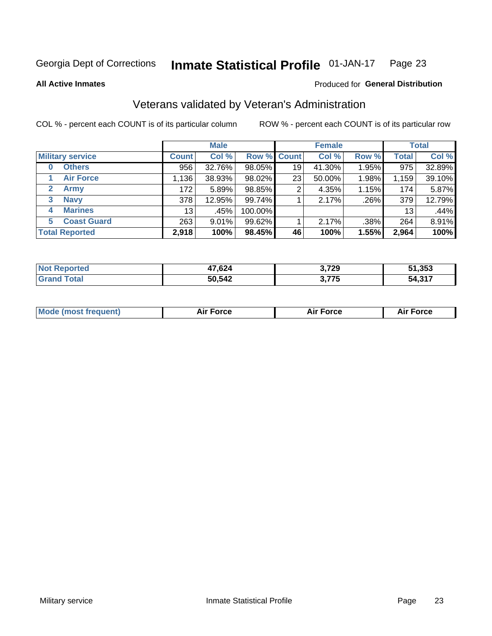#### Inmate Statistical Profile 01-JAN-17 Page 23

**All Active Inmates** 

### Produced for General Distribution

### Veterans validated by Veteran's Administration

COL % - percent each COUNT is of its particular column

|                         |                 | <b>Male</b> |         |                    | <b>Female</b> |       |              | <b>Total</b> |
|-------------------------|-----------------|-------------|---------|--------------------|---------------|-------|--------------|--------------|
| <b>Military service</b> | <b>Count</b>    | Col %       |         | <b>Row % Count</b> | Col %         | Row % | <b>Total</b> | Col %        |
| <b>Others</b><br>0      | 956             | 32.76%      | 98.05%  | 19                 | 41.30%        | 1.95% | 975          | 32.89%       |
| <b>Air Force</b>        | 1,136           | 38.93%      | 98.02%  | 23                 | 50.00%        | 1.98% | 1,159        | 39.10%       |
| 2<br><b>Army</b>        | 172             | 5.89%       | 98.85%  | 2                  | 4.35%         | 1.15% | 174          | 5.87%        |
| <b>Navy</b><br>3        | 378             | 12.95%      | 99.74%  |                    | 2.17%         | .26%  | 379          | 12.79%       |
| <b>Marines</b><br>4     | 13 <sub>1</sub> | .45%        | 100.00% |                    |               |       | 13           | .44%         |
| <b>Coast Guard</b><br>5 | 263             | $9.01\%$    | 99.62%  |                    | 2.17%         | .38%  | 264          | 8.91%        |
| <b>Total Reported</b>   | 2,918           | 100%        | 98.45%  | 46                 | 100%          | 1.55% | 2,964        | 100%         |

| rted | 47,624 | 3,729        | 51,353      |
|------|--------|--------------|-------------|
|      | 50,542 | 3 775<br>7 J | .247<br>'nΔ |

| <b>Mode (most frequent)</b> | <b>Force</b> | <b>Force</b> | Force |
|-----------------------------|--------------|--------------|-------|
|                             |              |              |       |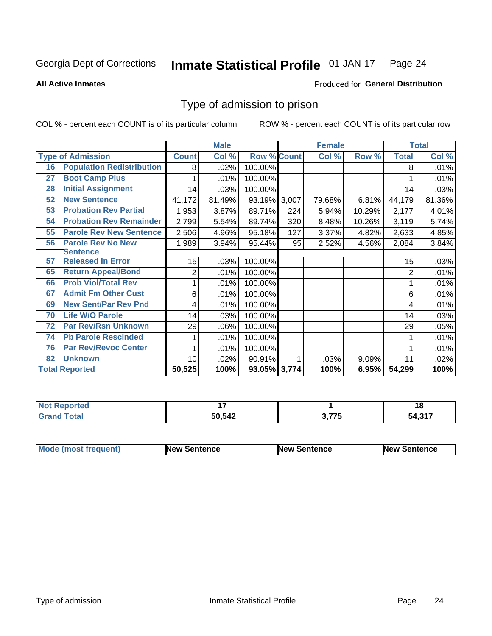#### Inmate Statistical Profile 01-JAN-17 Page 24

**All Active Inmates** 

### Produced for General Distribution

### Type of admission to prison

COL % - percent each COUNT is of its particular column

|    |                                  |              | <b>Male</b> |                    |     | <b>Female</b> |        |                | <b>Total</b> |
|----|----------------------------------|--------------|-------------|--------------------|-----|---------------|--------|----------------|--------------|
|    | <b>Type of Admission</b>         | <b>Count</b> | Col %       | <b>Row % Count</b> |     | Col %         | Row %  | <b>Total</b>   | Col %        |
| 16 | <b>Population Redistribution</b> | 8            | .02%        | 100.00%            |     |               |        | 8              | .01%         |
| 27 | <b>Boot Camp Plus</b>            |              | .01%        | 100.00%            |     |               |        |                | .01%         |
| 28 | <b>Initial Assignment</b>        | 14           | .03%        | 100.00%            |     |               |        | 14             | .03%         |
| 52 | <b>New Sentence</b>              | 41,172       | 81.49%      | 93.19% 3,007       |     | 79.68%        | 6.81%  | 44,179         | 81.36%       |
| 53 | <b>Probation Rev Partial</b>     | 1,953        | 3.87%       | 89.71%             | 224 | 5.94%         | 10.29% | 2,177          | 4.01%        |
| 54 | <b>Probation Rev Remainder</b>   | 2,799        | 5.54%       | 89.74%             | 320 | 8.48%         | 10.26% | 3,119          | 5.74%        |
| 55 | <b>Parole Rev New Sentence</b>   | 2,506        | 4.96%       | 95.18%             | 127 | 3.37%         | 4.82%  | 2,633          | 4.85%        |
| 56 | <b>Parole Rev No New</b>         | 1,989        | 3.94%       | 95.44%             | 95  | 2.52%         | 4.56%  | 2,084          | 3.84%        |
|    | <b>Sentence</b>                  |              |             |                    |     |               |        |                |              |
| 57 | <b>Released In Error</b>         | 15           | .03%        | 100.00%            |     |               |        | 15             | .03%         |
| 65 | <b>Return Appeal/Bond</b>        | 2            | .01%        | 100.00%            |     |               |        | $\overline{2}$ | .01%         |
| 66 | <b>Prob Viol/Total Rev</b>       |              | .01%        | 100.00%            |     |               |        |                | .01%         |
| 67 | <b>Admit Fm Other Cust</b>       | 6            | .01%        | 100.00%            |     |               |        | 6              | .01%         |
| 69 | <b>New Sent/Par Rev Pnd</b>      | 4            | .01%        | 100.00%            |     |               |        | 4              | .01%         |
| 70 | <b>Life W/O Parole</b>           | 14           | .03%        | 100.00%            |     |               |        | 14             | .03%         |
| 72 | <b>Par Rev/Rsn Unknown</b>       | 29           | .06%        | 100.00%            |     |               |        | 29             | .05%         |
| 74 | <b>Pb Parole Rescinded</b>       |              | .01%        | 100.00%            |     |               |        |                | .01%         |
| 76 | <b>Par Rev/Revoc Center</b>      |              | .01%        | 100.00%            |     |               |        |                | .01%         |
| 82 | <b>Unknown</b>                   | 10           | .02%        | 90.91%             |     | .03%          | 9.09%  | 11             | .02%         |
|    | <b>Total Reported</b>            | 50,525       | 100%        | 93.05% 3,774       |     | 100%          | 6.95%  | 54,299         | 100%         |

| N<br>TA 0 |                         |            | 1 O                |
|-----------|-------------------------|------------|--------------------|
|           | 50,542<br>$\sim$ $\sim$ | ヘ フフロ<br>. | 1.217<br>54<br>--- |

| Mode (most frequent) | <b>New Sentence</b> | <b>New Sentence</b> | <b>New Sentence</b> |
|----------------------|---------------------|---------------------|---------------------|
|                      |                     |                     |                     |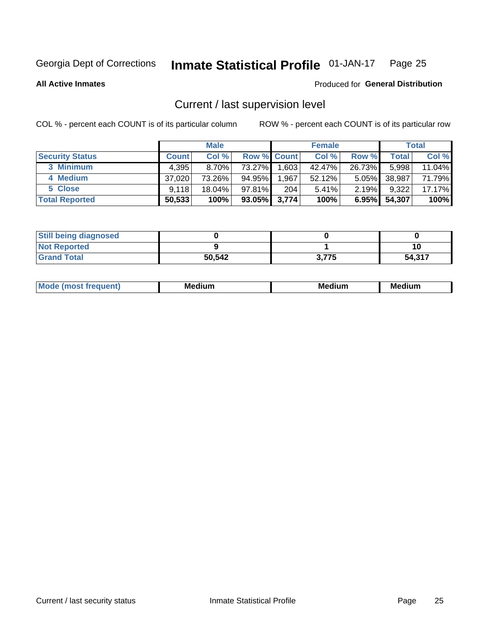#### Inmate Statistical Profile 01-JAN-17 Page 25

**All Active Inmates** 

### Produced for General Distribution

### Current / last supervision level

COL % - percent each COUNT is of its particular column

|                        |              | <b>Male</b> |                    |       | <b>Female</b> |          |        | <b>Total</b> |
|------------------------|--------------|-------------|--------------------|-------|---------------|----------|--------|--------------|
| <b>Security Status</b> | <b>Count</b> | Col %       | <b>Row % Count</b> |       | Col %         | Row %    | Total  | Col %        |
| 3 Minimum              | 4,395        | $8.70\%$    | 73.27%             | .603  | 42.47%        | 26.73%   | 5,998  | 11.04%       |
| 4 Medium               | 37,020       | 73.26%      | 94.95%             | 1,967 | 52.12%        | $5.05\%$ | 38,987 | 71.79%       |
| 5 Close                | 9.118        | $18.04\%$   | 97.81%             | 204   | 5.41%         | $2.19\%$ | 9,322  | 17.17%       |
| <b>Total Reported</b>  | 50,533       | 100%        | $93.05\%$ 3,774    |       | 100%          | $6.95\%$ | 54,307 | 100%         |

| <b>Still being diagnosed</b> |        |       |        |
|------------------------------|--------|-------|--------|
| <b>Not Reported</b>          |        |       |        |
| <b>Grand Total</b>           | 50,542 | 3,775 | 54,317 |

| Mo | Me<br>edium<br>_____ | M۵<br>rdıum<br>_____ | <b>Medium</b> |
|----|----------------------|----------------------|---------------|
|    |                      |                      |               |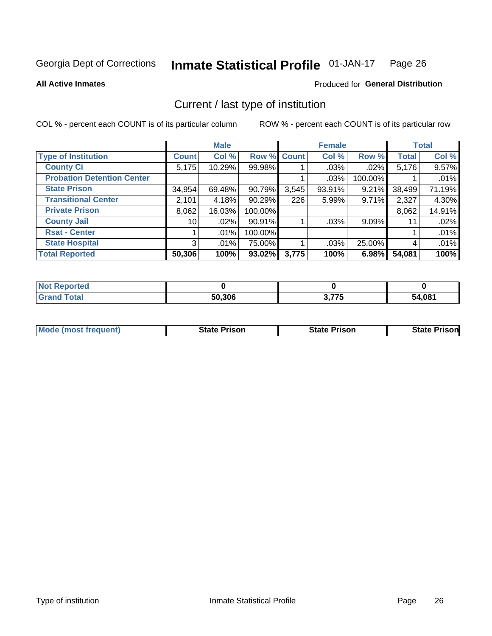#### Inmate Statistical Profile 01-JAN-17 Page 26

**All Active Inmates** 

### Produced for General Distribution

### Current / last type of institution

COL % - percent each COUNT is of its particular column

|                                   |              | <b>Male</b> |             |       | <b>Female</b> |          |              | <b>Total</b> |
|-----------------------------------|--------------|-------------|-------------|-------|---------------|----------|--------------|--------------|
| <b>Type of Institution</b>        | <b>Count</b> | Col %       | Row % Count |       | Col %         | Row %    | <b>Total</b> | Col %        |
| <b>County Ci</b>                  | 5,175        | 10.29%      | 99.98%      |       | $.03\%$       | $.02\%$  | 5,176        | 9.57%        |
| <b>Probation Detention Center</b> |              |             |             |       | .03%          | 100.00%  |              | .01%         |
| <b>State Prison</b>               | 34,954       | 69.48%      | 90.79%      | 3,545 | $93.91\%$     | $9.21\%$ | 38,499       | 71.19%       |
| <b>Transitional Center</b>        | 2,101        | 4.18%       | 90.29%      | 226   | 5.99%         | $9.71\%$ | 2,327        | 4.30%        |
| <b>Private Prison</b>             | 8,062        | 16.03%      | 100.00%     |       |               |          | 8,062        | 14.91%       |
| <b>County Jail</b>                | 10           | .02%        | 90.91%      |       | $.03\%$       | $9.09\%$ | 11           | .02%         |
| <b>Rsat - Center</b>              |              | $.01\%$     | 100.00%     |       |               |          |              | .01%         |
| <b>State Hospital</b>             | 3            | $.01\%$     | 75.00%      |       | .03%          | 25.00%   | 4            | .01%         |
| <b>Total Reported</b>             | 50,306       | 100%        | 93.02%      | 3,775 | 100%          | 6.98%    | 54,081       | 100%         |

| oorted<br>NOT |        |                     |        |
|---------------|--------|---------------------|--------|
| `otal         | 50,306 | ? 775<br>7 J<br>J.I | 54,081 |

| <b>Mode (most frequent)</b> | <b>State Prison</b> | <b>State Prison</b> | <b>State Prisonl</b> |
|-----------------------------|---------------------|---------------------|----------------------|
|                             |                     |                     |                      |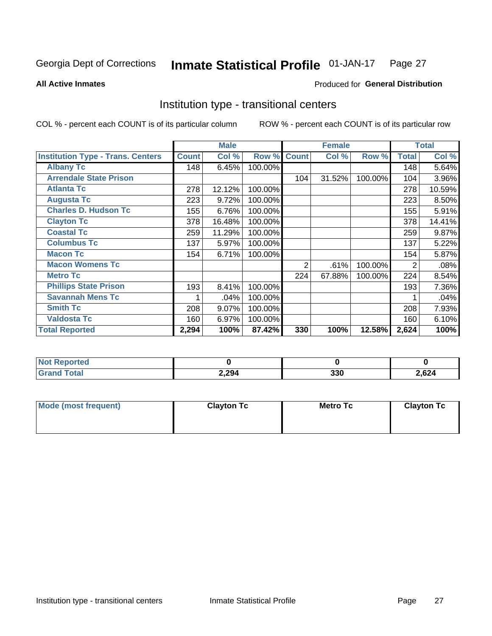#### Inmate Statistical Profile 01-JAN-17 Page 27

**All Active Inmates** 

### Produced for General Distribution

### Institution type - transitional centers

COL % - percent each COUNT is of its particular column

|                                          |              | <b>Male</b> |         |              | <b>Female</b> |         |              | <b>Total</b> |
|------------------------------------------|--------------|-------------|---------|--------------|---------------|---------|--------------|--------------|
| <b>Institution Type - Trans. Centers</b> | <b>Count</b> | Col %       | Row %   | <b>Count</b> | Col %         | Row %   | <b>Total</b> | Col %        |
| <b>Albany Tc</b>                         | 148          | 6.45%       | 100.00% |              |               |         | 148          | 5.64%        |
| <b>Arrendale State Prison</b>            |              |             |         | 104          | 31.52%        | 100.00% | 104          | 3.96%        |
| <b>Atlanta Tc</b>                        | 278          | 12.12%      | 100.00% |              |               |         | 278          | 10.59%       |
| <b>Augusta Tc</b>                        | 223          | 9.72%       | 100.00% |              |               |         | 223          | 8.50%        |
| <b>Charles D. Hudson Tc</b>              | 155          | 6.76%       | 100.00% |              |               |         | 155          | 5.91%        |
| <b>Clayton Tc</b>                        | 378          | 16.48%      | 100.00% |              |               |         | 378          | 14.41%       |
| <b>Coastal Tc</b>                        | 259          | 11.29%      | 100.00% |              |               |         | 259          | 9.87%        |
| <b>Columbus Tc</b>                       | 137          | 5.97%       | 100.00% |              |               |         | 137          | 5.22%        |
| <b>Macon Tc</b>                          | 154          | 6.71%       | 100.00% |              |               |         | 154          | 5.87%        |
| <b>Macon Womens Tc</b>                   |              |             |         | 2            | .61%          | 100.00% | 2            | .08%         |
| <b>Metro Tc</b>                          |              |             |         | 224          | 67.88%        | 100.00% | 224          | 8.54%        |
| <b>Phillips State Prison</b>             | 193          | 8.41%       | 100.00% |              |               |         | 193          | 7.36%        |
| <b>Savannah Mens Tc</b>                  |              | .04%        | 100.00% |              |               |         |              | .04%         |
| <b>Smith Tc</b>                          | 208          | 9.07%       | 100.00% |              |               |         | 208          | 7.93%        |
| <b>Valdosta Tc</b>                       | 160          | 6.97%       | 100.00% |              |               |         | 160          | 6.10%        |
| <b>Total Reported</b>                    | 2,294        | 100%        | 87.42%  | 330          | 100%          | 12.58%  | 2,624        | 100%         |

| тес. |       |            |       |
|------|-------|------------|-------|
|      | 2,294 | 220<br>აას | 2,624 |

| Mode (most frequent) | <b>Clayton Tc</b> | Metro Tc | <b>Clayton Tc</b> |
|----------------------|-------------------|----------|-------------------|
|                      |                   |          |                   |
|                      |                   |          |                   |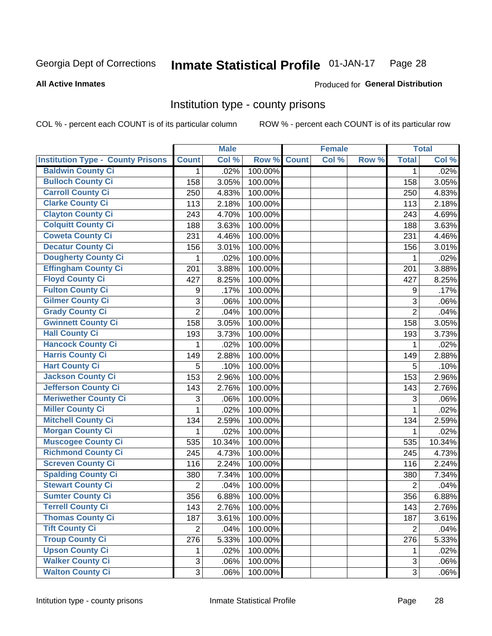#### Inmate Statistical Profile 01-JAN-17 Page 28

#### **All Active Inmates**

### Produced for General Distribution

### Institution type - county prisons

COL % - percent each COUNT is of its particular column

|                                          |                | <b>Male</b> |         |              | <b>Female</b> |       |                | <b>Total</b> |
|------------------------------------------|----------------|-------------|---------|--------------|---------------|-------|----------------|--------------|
| <b>Institution Type - County Prisons</b> | <b>Count</b>   | Col %       | Row %   | <b>Count</b> | Col %         | Row % | <b>Total</b>   | Col %        |
| <b>Baldwin County Ci</b>                 | $\mathbf{1}$   | .02%        | 100.00% |              |               |       | $\mathbf{1}$   | .02%         |
| <b>Bulloch County Ci</b>                 | 158            | 3.05%       | 100.00% |              |               |       | 158            | 3.05%        |
| <b>Carroll County Ci</b>                 | 250            | 4.83%       | 100.00% |              |               |       | 250            | 4.83%        |
| <b>Clarke County Ci</b>                  | 113            | 2.18%       | 100.00% |              |               |       | 113            | 2.18%        |
| <b>Clayton County Ci</b>                 | 243            | 4.70%       | 100.00% |              |               |       | 243            | 4.69%        |
| <b>Colquitt County Ci</b>                | 188            | 3.63%       | 100.00% |              |               |       | 188            | 3.63%        |
| <b>Coweta County Ci</b>                  | 231            | 4.46%       | 100.00% |              |               |       | 231            | 4.46%        |
| <b>Decatur County Ci</b>                 | 156            | 3.01%       | 100.00% |              |               |       | 156            | 3.01%        |
| <b>Dougherty County Ci</b>               | 1              | .02%        | 100.00% |              |               |       | 1              | .02%         |
| <b>Effingham County Ci</b>               | 201            | 3.88%       | 100.00% |              |               |       | 201            | 3.88%        |
| <b>Floyd County Ci</b>                   | 427            | 8.25%       | 100.00% |              |               |       | 427            | 8.25%        |
| <b>Fulton County Ci</b>                  | 9              | .17%        | 100.00% |              |               |       | 9              | .17%         |
| <b>Gilmer County Ci</b>                  | 3              | .06%        | 100.00% |              |               |       | 3              | .06%         |
| <b>Grady County Ci</b>                   | $\overline{2}$ | .04%        | 100.00% |              |               |       | $\overline{2}$ | .04%         |
| <b>Gwinnett County Ci</b>                | 158            | 3.05%       | 100.00% |              |               |       | 158            | 3.05%        |
| <b>Hall County Ci</b>                    | 193            | 3.73%       | 100.00% |              |               |       | 193            | 3.73%        |
| <b>Hancock County Ci</b>                 | 1              | .02%        | 100.00% |              |               |       | 1              | .02%         |
| <b>Harris County Ci</b>                  | 149            | 2.88%       | 100.00% |              |               |       | 149            | 2.88%        |
| <b>Hart County Ci</b>                    | 5              | .10%        | 100.00% |              |               |       | 5              | .10%         |
| <b>Jackson County Ci</b>                 | 153            | 2.96%       | 100.00% |              |               |       | 153            | 2.96%        |
| <b>Jefferson County Ci</b>               | 143            | 2.76%       | 100.00% |              |               |       | 143            | 2.76%        |
| <b>Meriwether County Ci</b>              | 3              | .06%        | 100.00% |              |               |       | 3              | .06%         |
| <b>Miller County Ci</b>                  | 1              | .02%        | 100.00% |              |               |       | 1              | .02%         |
| <b>Mitchell County Ci</b>                | 134            | 2.59%       | 100.00% |              |               |       | 134            | 2.59%        |
| <b>Morgan County Ci</b>                  | 1              | .02%        | 100.00% |              |               |       | 1              | .02%         |
| <b>Muscogee County Ci</b>                | 535            | 10.34%      | 100.00% |              |               |       | 535            | 10.34%       |
| <b>Richmond County Ci</b>                | 245            | 4.73%       | 100.00% |              |               |       | 245            | 4.73%        |
| <b>Screven County Ci</b>                 | 116            | 2.24%       | 100.00% |              |               |       | 116            | 2.24%        |
| <b>Spalding County Ci</b>                | 380            | 7.34%       | 100.00% |              |               |       | 380            | 7.34%        |
| <b>Stewart County Ci</b>                 | $\overline{2}$ | .04%        | 100.00% |              |               |       | $\overline{2}$ | .04%         |
| <b>Sumter County Ci</b>                  | 356            | 6.88%       | 100.00% |              |               |       | 356            | 6.88%        |
| <b>Terrell County Ci</b>                 | 143            | 2.76%       | 100.00% |              |               |       | 143            | 2.76%        |
| <b>Thomas County Ci</b>                  | 187            | 3.61%       | 100.00% |              |               |       | 187            | 3.61%        |
| <b>Tift County Ci</b>                    | $\overline{2}$ | .04%        | 100.00% |              |               |       | $\overline{2}$ | .04%         |
| <b>Troup County Ci</b>                   | 276            | 5.33%       | 100.00% |              |               |       | 276            | 5.33%        |
| <b>Upson County Ci</b>                   | 1.             | .02%        | 100.00% |              |               |       | 1              | .02%         |
| <b>Walker County Ci</b>                  | 3              | .06%        | 100.00% |              |               |       | 3              | .06%         |
| <b>Walton County Ci</b>                  | 3              | .06%        | 100.00% |              |               |       | 3 <sup>1</sup> | .06%         |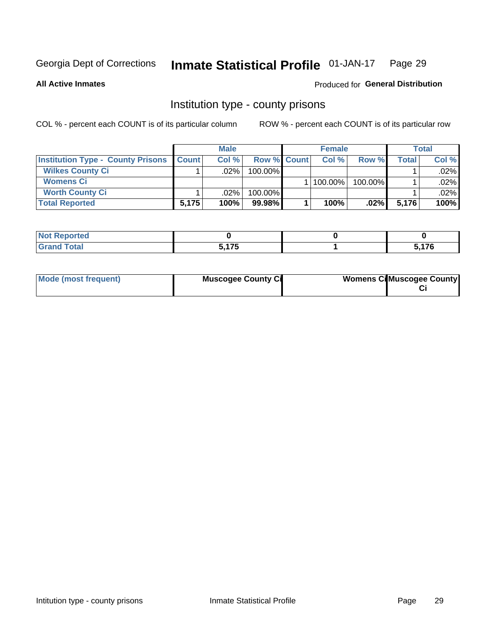#### Inmate Statistical Profile 01-JAN-17 Page 29

**All Active Inmates** 

### Produced for General Distribution

### Institution type - county prisons

COL % - percent each COUNT is of its particular column

|                                          |              | <b>Male</b> |                    | <b>Female</b> |         |         | <b>Total</b> |
|------------------------------------------|--------------|-------------|--------------------|---------------|---------|---------|--------------|
| <b>Institution Type - County Prisons</b> | <b>Count</b> | Col%        | <b>Row % Count</b> | Col%          | Row %   | Total i | Col %        |
| <b>Wilkes County Ci</b>                  |              | .02%        | $100.00\%$         |               |         |         | $.02\%$      |
| <b>Womens Ci</b>                         |              |             |                    | 100.00%       | 100.00% |         | $.02\%$      |
| <b>Worth County Ci</b>                   |              | $.02\%$     | 100.00%            |               |         |         | $.02\%$      |
| <b>Total Reported</b>                    | 5,175        | 100%        | 99.98%             | 100%          | $.02\%$ | 5,176   | 100%         |

| œ     |       |                 |
|-------|-------|-----------------|
| _____ | - --- | $\rightarrow -$ |

| Mode (most frequent) | <b>Muscogee County Ci</b> | <b>Womens Cil Muscogee County</b> |
|----------------------|---------------------------|-----------------------------------|
|                      |                           |                                   |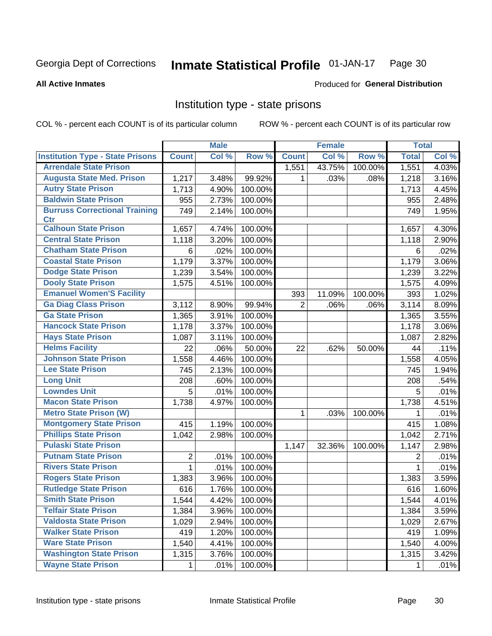#### Inmate Statistical Profile 01-JAN-17 Page 30

#### **All Active Inmates**

### Produced for General Distribution

### Institution type - state prisons

COL % - percent each COUNT is of its particular column

|                                         |                | <b>Male</b> |         |                | <b>Female</b> |         | <b>Total</b> |       |
|-----------------------------------------|----------------|-------------|---------|----------------|---------------|---------|--------------|-------|
| <b>Institution Type - State Prisons</b> | <b>Count</b>   | Col %       | Row %   | <b>Count</b>   | Col %         | Row %   | <b>Total</b> | Col % |
| <b>Arrendale State Prison</b>           |                |             |         | 1,551          | 43.75%        | 100.00% | 1,551        | 4.03% |
| <b>Augusta State Med. Prison</b>        | 1,217          | 3.48%       | 99.92%  | 1.             | .03%          | .08%    | 1,218        | 3.16% |
| <b>Autry State Prison</b>               | 1,713          | 4.90%       | 100.00% |                |               |         | 1,713        | 4.45% |
| <b>Baldwin State Prison</b>             | 955            | 2.73%       | 100.00% |                |               |         | 955          | 2.48% |
| <b>Burruss Correctional Training</b>    | 749            | 2.14%       | 100.00% |                |               |         | 749          | 1.95% |
| <b>Ctr</b>                              |                |             |         |                |               |         |              |       |
| <b>Calhoun State Prison</b>             | 1,657          | 4.74%       | 100.00% |                |               |         | 1,657        | 4.30% |
| <b>Central State Prison</b>             | 1,118          | 3.20%       | 100.00% |                |               |         | 1,118        | 2.90% |
| <b>Chatham State Prison</b>             | 6              | .02%        | 100.00% |                |               |         | 6            | .02%  |
| <b>Coastal State Prison</b>             | 1,179          | 3.37%       | 100.00% |                |               |         | 1,179        | 3.06% |
| <b>Dodge State Prison</b>               | 1,239          | 3.54%       | 100.00% |                |               |         | 1,239        | 3.22% |
| <b>Dooly State Prison</b>               | 1,575          | 4.51%       | 100.00% |                |               |         | 1,575        | 4.09% |
| <b>Emanuel Women'S Facility</b>         |                |             |         | 393            | 11.09%        | 100.00% | 393          | 1.02% |
| <b>Ga Diag Class Prison</b>             | 3,112          | 8.90%       | 99.94%  | $\overline{2}$ | .06%          | .06%    | 3,114        | 8.09% |
| <b>Ga State Prison</b>                  | 1,365          | 3.91%       | 100.00% |                |               |         | 1,365        | 3.55% |
| <b>Hancock State Prison</b>             | 1,178          | 3.37%       | 100.00% |                |               |         | 1,178        | 3.06% |
| <b>Hays State Prison</b>                | 1,087          | 3.11%       | 100.00% |                |               |         | 1,087        | 2.82% |
| <b>Helms Facility</b>                   | 22             | .06%        | 50.00%  | 22             | .62%          | 50.00%  | 44           | .11%  |
| <b>Johnson State Prison</b>             | 1,558          | 4.46%       | 100.00% |                |               |         | 1,558        | 4.05% |
| <b>Lee State Prison</b>                 | 745            | 2.13%       | 100.00% |                |               |         | 745          | 1.94% |
| <b>Long Unit</b>                        | 208            | .60%        | 100.00% |                |               |         | 208          | .54%  |
| <b>Lowndes Unit</b>                     | 5              | .01%        | 100.00% |                |               |         | 5            | .01%  |
| <b>Macon State Prison</b>               | 1,738          | 4.97%       | 100.00% |                |               |         | 1,738        | 4.51% |
| <b>Metro State Prison (W)</b>           |                |             |         | 1              | .03%          | 100.00% | 1            | .01%  |
| <b>Montgomery State Prison</b>          | 415            | 1.19%       | 100.00% |                |               |         | 415          | 1.08% |
| <b>Phillips State Prison</b>            | 1,042          | 2.98%       | 100.00% |                |               |         | 1,042        | 2.71% |
| <b>Pulaski State Prison</b>             |                |             |         | 1,147          | 32.36%        | 100.00% | 1,147        | 2.98% |
| <b>Putnam State Prison</b>              | $\overline{2}$ | .01%        | 100.00% |                |               |         | 2            | .01%  |
| <b>Rivers State Prison</b>              | $\mathbf{1}$   | .01%        | 100.00% |                |               |         | 1            | .01%  |
| <b>Rogers State Prison</b>              | 1,383          | 3.96%       | 100.00% |                |               |         | 1,383        | 3.59% |
| <b>Rutledge State Prison</b>            | 616            | 1.76%       | 100.00% |                |               |         | 616          | 1.60% |
| <b>Smith State Prison</b>               | 1,544          | $4.42\%$    | 100.00% |                |               |         | 1,544        | 4.01% |
| <b>Telfair State Prison</b>             | 1,384          | 3.96%       | 100.00% |                |               |         | 1,384        | 3.59% |
| <b>Valdosta State Prison</b>            | 1,029          | 2.94%       | 100.00% |                |               |         | 1,029        | 2.67% |
| <b>Walker State Prison</b>              | 419            | 1.20%       | 100.00% |                |               |         | 419          | 1.09% |
| <b>Ware State Prison</b>                | 1,540          | 4.41%       | 100.00% |                |               |         | 1,540        | 4.00% |
| <b>Washington State Prison</b>          | 1,315          | 3.76%       | 100.00% |                |               |         | 1,315        | 3.42% |
| <b>Wayne State Prison</b>               | 1              | .01%        | 100.00% |                |               |         | 1            | .01%  |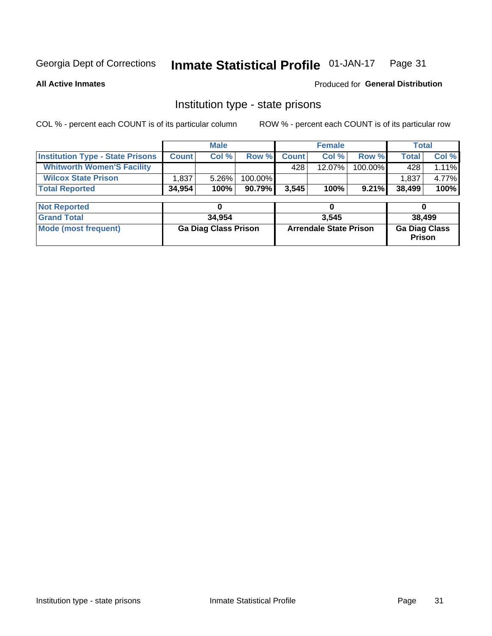#### Inmate Statistical Profile 01-JAN-17 Page 31

**All Active Inmates** 

Produced for General Distribution

### Institution type - state prisons

COL % - percent each COUNT is of its particular column ROW % - percent each COUNT is of its particular row

|                                         |              | <b>Male</b>                 |         | <b>Female</b> |                               |         | <b>Total</b>                          |          |
|-----------------------------------------|--------------|-----------------------------|---------|---------------|-------------------------------|---------|---------------------------------------|----------|
| <b>Institution Type - State Prisons</b> | <b>Count</b> | Col %                       | Row %   | <b>Count</b>  | Col %                         | Row %   | <b>Total</b>                          | Col %    |
| <b>Whitworth Women'S Facility</b>       |              |                             |         | 428           | 12.07%                        | 100.00% | 428                                   | $1.11\%$ |
| <b>Wilcox State Prison</b>              | .837         | 5.26%                       | 100.00% |               |                               |         | 1,837                                 | 4.77%    |
| <b>Total Reported</b>                   | 34,954       | 100%                        | 90.79%  | 3,545         | 100%                          | 9.21%   | 38,499                                | 100%     |
|                                         |              |                             |         |               |                               |         |                                       |          |
| <b>Not Reported</b>                     |              | 0                           |         |               | 0                             |         | 0                                     |          |
| <b>Grand Total</b>                      |              | 34,954                      |         |               | 3,545                         |         | 38,499                                |          |
| <b>Mode (most frequent)</b>             |              | <b>Ga Diag Class Prison</b> |         |               | <b>Arrendale State Prison</b> |         | <b>Ga Diag Class</b><br><b>Prison</b> |          |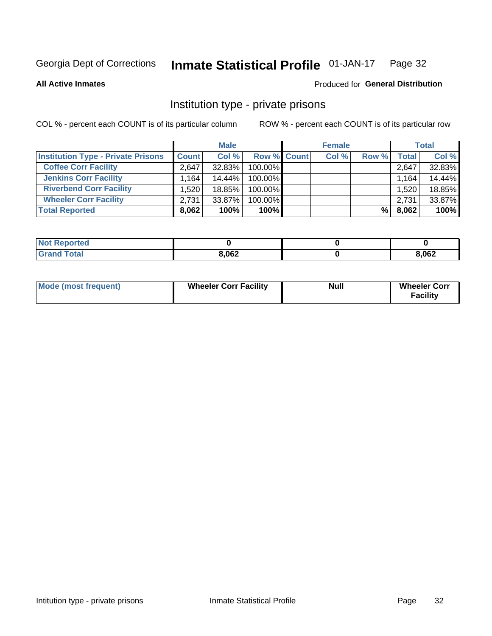#### Inmate Statistical Profile 01-JAN-17 Page 32

**All Active Inmates** 

### Produced for General Distribution

### Institution type - private prisons

COL % - percent each COUNT is of its particular column

|                                           |                      | <b>Male</b> |                    | <b>Female</b> |       |       | <b>Total</b> |
|-------------------------------------------|----------------------|-------------|--------------------|---------------|-------|-------|--------------|
| <b>Institution Type - Private Prisons</b> | <b>Count</b>         | Col %       | <b>Row % Count</b> | Col %         | Row % | Total | Col %        |
| <b>Coffee Corr Facility</b>               | 2.647                | 32.83%      | 100.00%            |               |       | 2,647 | 32.83%       |
| <b>Jenkins Corr Facility</b>              | $1,164$ <sup>1</sup> | 14.44%      | 100.00%            |               |       | 1,164 | 14.44%       |
| <b>Riverbend Corr Facility</b>            | 1.520                | 18.85%      | 100.00%            |               |       | 1,520 | 18.85%       |
| <b>Wheeler Corr Facility</b>              | 2.731                | $33.87\%$   | 100.00%            |               |       | 2,731 | 33.87%       |
| <b>Total Reported</b>                     | 8,062                | 100%        | $100\%$            |               | %Ⅰ    | 8,062 | 100%         |

| <b>Not Reported</b> |       |       |
|---------------------|-------|-------|
| <b>Total</b>        | 8,062 | 8,062 |

| <b>Mode (most frequent)</b> | <b>Wheeler Corr Facility</b> | <b>Null</b> | <b>Wheeler Corr</b><br><b>Facility</b> |
|-----------------------------|------------------------------|-------------|----------------------------------------|
|-----------------------------|------------------------------|-------------|----------------------------------------|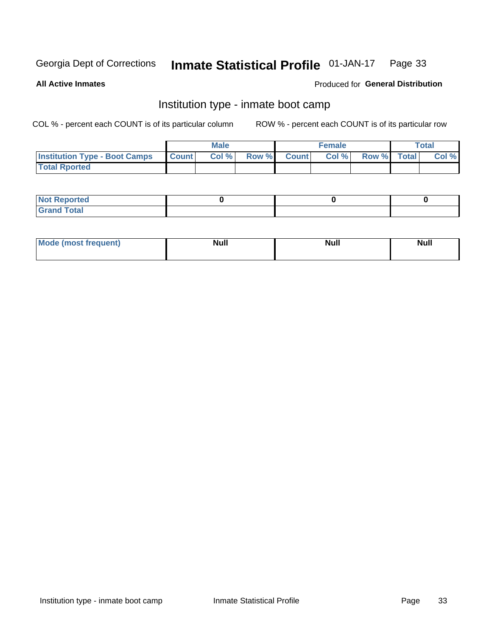#### **Inmate Statistical Profile 01-JAN-17** Page 33

**All Active Inmates** 

### Produced for General Distribution

### Institution type - inmate boot camp

COL % - percent each COUNT is of its particular column

|                                      |                  | <b>Male</b> |              |              | <b>Female</b> |             | <b>Total</b> |
|--------------------------------------|------------------|-------------|--------------|--------------|---------------|-------------|--------------|
| <b>Institution Type - Boot Camps</b> | <b>I</b> Count I | Col %       | <b>Row %</b> | <b>Count</b> | Col %         | Row % Total | Col %        |
| <b>Total Rported</b>                 |                  |             |              |              |               |             |              |

| <b>Not Reported</b>            |  |  |
|--------------------------------|--|--|
| <b>Total</b><br>C <sub>r</sub> |  |  |

| Mod<br>uamo | Nul.<br>$- - - - - -$ | <b>Null</b> | . .<br>uu.<br>------ |
|-------------|-----------------------|-------------|----------------------|
|             |                       |             |                      |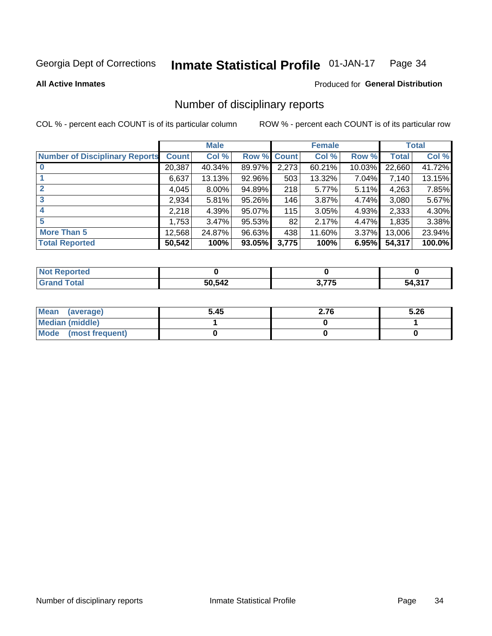#### Inmate Statistical Profile 01-JAN-17 Page 34

#### **All Active Inmates**

### Produced for General Distribution

### Number of disciplinary reports

COL % - percent each COUNT is of its particular column

|                                       |              | <b>Male</b> |        |              | <b>Female</b> |           |              | <b>Total</b> |
|---------------------------------------|--------------|-------------|--------|--------------|---------------|-----------|--------------|--------------|
| <b>Number of Disciplinary Reports</b> | <b>Count</b> | Col %       | Row %  | <b>Count</b> | Col %         | Row %     | <b>Total</b> | Col %        |
|                                       | 20,387       | 40.34%      | 89.97% | 2,273        | 60.21%        | $10.03\%$ | 22,660       | 41.72%       |
|                                       | 6,637        | 13.13%      | 92.96% | 503          | 13.32%        | 7.04%     | 7,140        | 13.15%       |
|                                       | 4,045        | 8.00%       | 94.89% | 218          | 5.77%         | $5.11\%$  | 4,263        | 7.85%        |
| 3                                     | 2,934        | 5.81%       | 95.26% | 146          | 3.87%         | 4.74%     | 3,080        | 5.67%        |
| 4                                     | 2,218        | 4.39%       | 95.07% | 115          | 3.05%         | 4.93%     | 2,333        | 4.30%        |
| 5                                     | 1,753        | 3.47%       | 95.53% | 82           | 2.17%         | 4.47%     | 1,835        | 3.38%        |
| <b>More Than 5</b>                    | 12,568       | 24.87%      | 96.63% | 438          | 11.60%        | $3.37\%$  | 13,006       | 23.94%       |
| <b>Total Reported</b>                 | 50,542       | 100%        | 93.05% | 3,775        | 100%          | 6.95%     | 54,317       | 100.0%       |

| วrted<br>NO. |        |               |           |
|--------------|--------|---------------|-----------|
| <b>Total</b> | 50,542 | ヘ フフビ<br>- 11 | 247<br>ገረ |

| Mean (average)       | 5.45 | 2.76 | 5.26 |
|----------------------|------|------|------|
| Median (middle)      |      |      |      |
| Mode (most frequent) |      |      |      |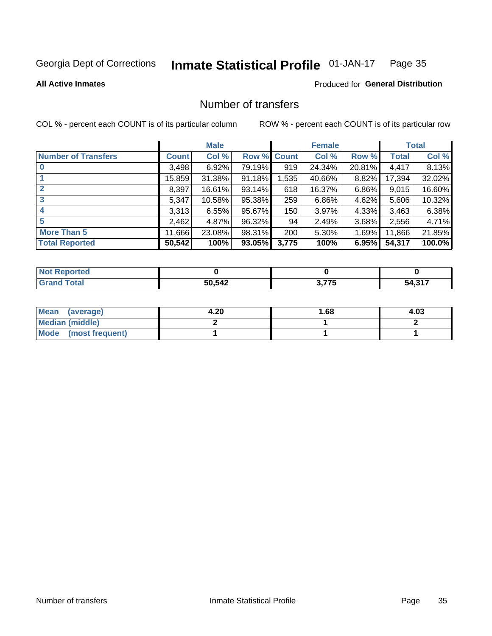#### **Inmate Statistical Profile 01-JAN-17** Page 35

### **All Active Inmates**

### Produced for General Distribution

### Number of transfers

COL % - percent each COUNT is of its particular column

|                            |              | <b>Male</b> |             |       | <b>Female</b> |        |        | <b>Total</b> |
|----------------------------|--------------|-------------|-------------|-------|---------------|--------|--------|--------------|
| <b>Number of Transfers</b> | <b>Count</b> | Col %       | Row % Count |       | Col %         | Row %  | Total  | Col %        |
|                            | 3,498        | 6.92%       | 79.19%      | 919   | 24.34%        | 20.81% | 4,417  | 8.13%        |
|                            | 15,859       | 31.38%      | $91.18\%$   | 1,535 | 40.66%        | 8.82%  | 17,394 | 32.02%       |
|                            | 8,397        | 16.61%      | 93.14%      | 618   | 16.37%        | 6.86%  | 9,015  | 16.60%       |
| 3                          | 5,347        | 10.58%      | 95.38%      | 259   | 6.86%         | 4.62%  | 5,606  | 10.32%       |
|                            | 3,313        | 6.55%       | 95.67%      | 150   | 3.97%         | 4.33%  | 3,463  | 6.38%        |
| 5                          | 2,462        | 4.87%       | 96.32%      | 94    | 2.49%         | 3.68%  | 2,556  | 4.71%        |
| <b>More Than 5</b>         | 11,666       | 23.08%      | 98.31%      | 200   | 5.30%         | 1.69%  | 11,866 | 21.85%       |
| <b>Total Reported</b>      | 50,542       | 100%        | 93.05%      | 3,775 | 100%          | 6.95%  | 54,317 | 100.0%       |

| <b>Not Reported</b> |        |                     |                   |
|---------------------|--------|---------------------|-------------------|
| Total               | 50,542 | ת 77F<br>. <u>.</u> | 247<br>54<br>ווטו |

| Mean (average)         | 4.20 | 1.68 | 4.03 |
|------------------------|------|------|------|
| <b>Median (middle)</b> |      |      |      |
| Mode (most frequent)   |      |      |      |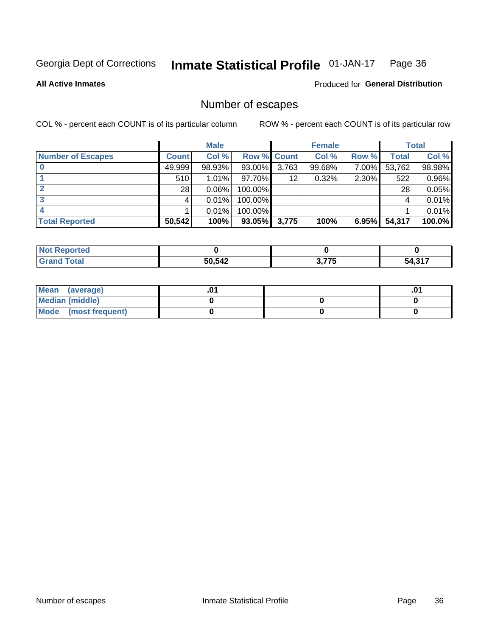#### Inmate Statistical Profile 01-JAN-17 Page 36

#### **All Active Inmates**

### Produced for General Distribution

### Number of escapes

COL % - percent each COUNT is of its particular column

|                          |              | <b>Male</b> |             |       | <b>Female</b> |       |        | <b>Total</b> |
|--------------------------|--------------|-------------|-------------|-------|---------------|-------|--------|--------------|
| <b>Number of Escapes</b> | <b>Count</b> | Col %       | Row % Count |       | Col %         | Row % | Total  | Col %        |
|                          | 49,999       | 98.93%      | 93.00%      | 3,763 | 99.68%        | 7.00% | 53,762 | 98.98%       |
|                          | 510          | $1.01\%$    | 97.70%      | 12    | 0.32%         | 2.30% | 522    | 0.96%        |
|                          | 28           | 0.06%       | 100.00%     |       |               |       | 28     | 0.05%        |
|                          |              | 0.01%       | 100.00%     |       |               |       | 4      | $0.01\%$     |
|                          |              | 0.01%       | 100.00%     |       |               |       |        | $0.01\%$     |
| <b>Total Reported</b>    | 50,542       | 100%        | 93.05%      | 3,775 | 100%          | 6.95% | 54,317 | $100.0\%$    |

| neo |        |                                         |             |
|-----|--------|-----------------------------------------|-------------|
|     | 50,542 | $\sim$ $\rightarrow$ $\sim$ $\sim$<br>. | 247<br>- גר |

| Mean (average)         |  | .0 <sup>4</sup> |
|------------------------|--|-----------------|
| <b>Median (middle)</b> |  |                 |
| Mode (most frequent)   |  |                 |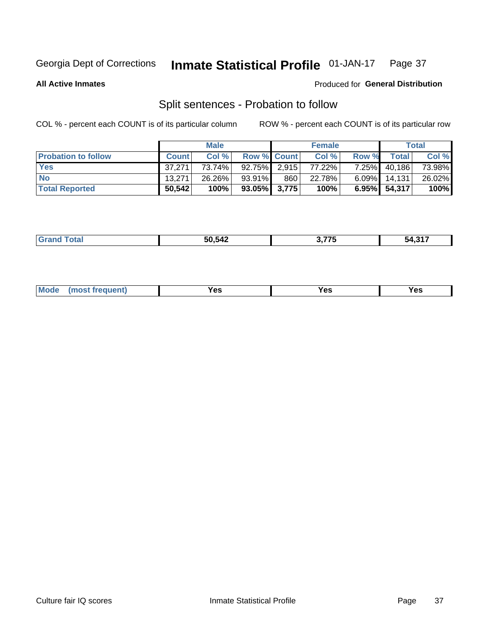#### Inmate Statistical Profile 01-JAN-17 Page 37

**All Active Inmates** 

### Produced for General Distribution

### Split sentences - Probation to follow

COL % - percent each COUNT is of its particular column

|                            |              | <b>Male</b> |                    |     | <b>Female</b> |          |                 | <b>Total</b> |
|----------------------------|--------------|-------------|--------------------|-----|---------------|----------|-----------------|--------------|
| <b>Probation to follow</b> | <b>Count</b> | Col%        | <b>Row % Count</b> |     | Col %         | Row %    | Total           | Col %        |
| <b>Yes</b>                 | 37.271       | 73.74%      | $92.75\%$ 2.915    |     | 77.22%        | $7.25\%$ | 40,186          | 73.98%       |
| <b>No</b>                  | 13.271       | 26.26%      | $93.91\%$          | 860 | 22.78%        | $6.09\%$ | 14.131          | 26.02%       |
| <b>Total Reported</b>      | 50,542       | 100%        | $93.05\%$ 3,775    |     | 100%          |          | $6.95\%$ 54,317 | 100%         |

| ________ | $\blacksquare$ $\blacksquare$ $\blacksquare$ $\blacksquare$ $\blacksquare$<br>A0<br>$\overline{\phantom{a}}$ | . --- | $\sim$ $-$<br>- 20 |
|----------|--------------------------------------------------------------------------------------------------------------|-------|--------------------|
|          |                                                                                                              |       |                    |

| $Moo$<br>requent<br>′es<br>Yes<br><b>YAC</b><br>. |
|---------------------------------------------------|
|---------------------------------------------------|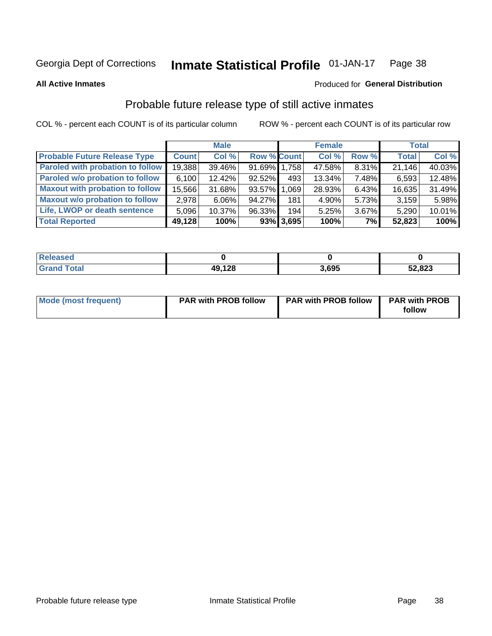#### Inmate Statistical Profile 01-JAN-17 Page 38

**All Active Inmates** 

### Produced for General Distribution

### Probable future release type of still active inmates

COL % - percent each COUNT is of its particular column

|                                         |              | <b>Male</b> |                    |              | <b>Female</b> |       | <b>Total</b> |        |
|-----------------------------------------|--------------|-------------|--------------------|--------------|---------------|-------|--------------|--------|
| <b>Probable Future Release Type</b>     | <b>Count</b> | Col %       | <b>Row % Count</b> |              | Col %         | Row % | <b>Total</b> | Col %  |
| <b>Paroled with probation to follow</b> | 19,388       | 39.46%      | 91.69% 1.758       |              | 47.58%        | 8.31% | 21,146       | 40.03% |
| Paroled w/o probation to follow         | 6,100        | 12.42%      | 92.52%             | 493          | 13.34%        | 7.48% | 6,593        | 12.48% |
| <b>Maxout with probation to follow</b>  | 15,566       | 31.68%      | 93.57% 1.069       |              | 28.93%        | 6.43% | 16,635       | 31.49% |
| <b>Maxout w/o probation to follow</b>   | 2,978        | $6.06\%$    | 94.27%             | 181          | 4.90%         | 5.73% | 3,159        | 5.98%  |
| Life, LWOP or death sentence            | 5,096        | 10.37%      | 96.33%             | 194          | 5.25%         | 3.67% | 5,290        | 10.01% |
| <b>Total Reported</b>                   | 49,128       | 100%        |                    | $93\%$ 3,695 | 100%          | 7%    | 52,823       | 100%   |

| $F \sim f \sim f$ | 49,128 | 3.695 | 52,823 |
|-------------------|--------|-------|--------|

| Mode (most frequent) | <b>PAR with PROB follow</b> | <b>PAR with PROB follow</b> | <b>PAR with PROB</b> |
|----------------------|-----------------------------|-----------------------------|----------------------|
|                      |                             |                             | follow               |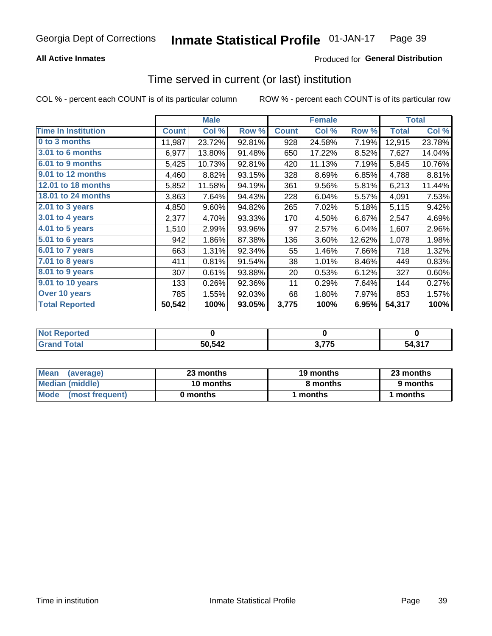## **All Active Inmates**

## Produced for General Distribution

## Time served in current (or last) institution

COL % - percent each COUNT is of its particular column

|                            |              | <b>Male</b> |        |              | <b>Female</b> |        |              | <b>Total</b> |
|----------------------------|--------------|-------------|--------|--------------|---------------|--------|--------------|--------------|
| <b>Time In Institution</b> | <b>Count</b> | Col %       | Row %  | <b>Count</b> | Col %         | Row %  | <b>Total</b> | Col %        |
| 0 to 3 months              | 11,987       | 23.72%      | 92.81% | 928          | 24.58%        | 7.19%  | 12,915       | 23.78%       |
| 3.01 to 6 months           | 6,977        | 13.80%      | 91.48% | 650          | 17.22%        | 8.52%  | 7,627        | 14.04%       |
| 6.01 to 9 months           | 5,425        | 10.73%      | 92.81% | 420          | 11.13%        | 7.19%  | 5,845        | 10.76%       |
| 9.01 to 12 months          | 4,460        | 8.82%       | 93.15% | 328          | 8.69%         | 6.85%  | 4,788        | 8.81%        |
| 12.01 to 18 months         | 5,852        | 11.58%      | 94.19% | 361          | 9.56%         | 5.81%  | 6,213        | 11.44%       |
| <b>18.01 to 24 months</b>  | 3,863        | 7.64%       | 94.43% | 228          | 6.04%         | 5.57%  | 4,091        | 7.53%        |
| $2.01$ to 3 years          | 4,850        | 9.60%       | 94.82% | 265          | 7.02%         | 5.18%  | 5,115        | 9.42%        |
| 3.01 to 4 years            | 2,377        | 4.70%       | 93.33% | 170          | 4.50%         | 6.67%  | 2,547        | 4.69%        |
| $4.01$ to 5 years          | 1,510        | 2.99%       | 93.96% | 97           | 2.57%         | 6.04%  | 1,607        | 2.96%        |
| 5.01 to 6 years            | 942          | 1.86%       | 87.38% | 136          | 3.60%         | 12.62% | 1,078        | 1.98%        |
| $6.01$ to 7 years          | 663          | 1.31%       | 92.34% | 55           | 1.46%         | 7.66%  | 718          | 1.32%        |
| 7.01 to 8 years            | 411          | 0.81%       | 91.54% | 38           | 1.01%         | 8.46%  | 449          | 0.83%        |
| $8.01$ to 9 years          | 307          | 0.61%       | 93.88% | 20           | 0.53%         | 6.12%  | 327          | 0.60%        |
| 9.01 to 10 years           | 133          | 0.26%       | 92.36% | 11           | 0.29%         | 7.64%  | 144          | 0.27%        |
| Over 10 years              | 785          | 1.55%       | 92.03% | 68           | 1.80%         | 7.97%  | 853          | 1.57%        |
| <b>Total Reported</b>      | 50,542       | 100%        | 93.05% | 3,775        | 100%          | 6.95%  | 54,317       | 100%         |

| oneo |        |               |              |
|------|--------|---------------|--------------|
| nta. | 50,542 | $\sim$ - $ -$ | $247$<br>-54 |

| <b>Mean</b><br>(average) | 23 months | 19 months | 23 months |
|--------------------------|-----------|-----------|-----------|
| Median (middle)          | 10 months | 8 months  | 9 months  |
| Mode<br>(most frequent)  | 0 months  | months    | ∖ months  |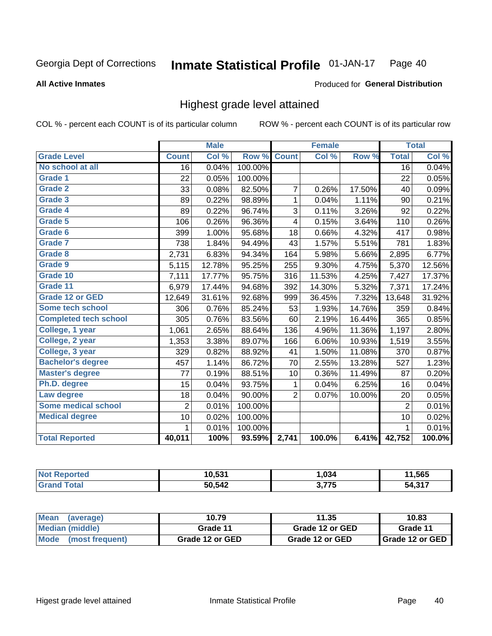### **All Active Inmates**

### Produced for General Distribution

## Highest grade level attained

COL % - percent each COUNT is of its particular column

|                              |                 | <b>Male</b> |         |                | <b>Female</b> |        |                 | <b>Total</b> |
|------------------------------|-----------------|-------------|---------|----------------|---------------|--------|-----------------|--------------|
| <b>Grade Level</b>           | <b>Count</b>    | Col %       | Row %   | <b>Count</b>   | Col %         | Row %  | <b>Total</b>    | Col %        |
| No school at all             | $\overline{16}$ | 0.04%       | 100.00% |                |               |        | $\overline{16}$ | 0.04%        |
| <b>Grade 1</b>               | 22              | 0.05%       | 100.00% |                |               |        | 22              | 0.05%        |
| <b>Grade 2</b>               | 33              | 0.08%       | 82.50%  | 7              | 0.26%         | 17.50% | 40              | 0.09%        |
| Grade 3                      | 89              | 0.22%       | 98.89%  | $\mathbf{1}$   | 0.04%         | 1.11%  | 90              | 0.21%        |
| <b>Grade 4</b>               | 89              | 0.22%       | 96.74%  | 3              | 0.11%         | 3.26%  | 92              | 0.22%        |
| Grade 5                      | 106             | 0.26%       | 96.36%  | 4              | 0.15%         | 3.64%  | 110             | 0.26%        |
| Grade 6                      | 399             | 1.00%       | 95.68%  | 18             | 0.66%         | 4.32%  | 417             | 0.98%        |
| <b>Grade 7</b>               | 738             | 1.84%       | 94.49%  | 43             | 1.57%         | 5.51%  | 781             | 1.83%        |
| Grade 8                      | 2,731           | 6.83%       | 94.34%  | 164            | 5.98%         | 5.66%  | 2,895           | 6.77%        |
| Grade 9                      | 5,115           | 12.78%      | 95.25%  | 255            | 9.30%         | 4.75%  | 5,370           | 12.56%       |
| Grade 10                     | 7,111           | 17.77%      | 95.75%  | 316            | 11.53%        | 4.25%  | 7,427           | 17.37%       |
| Grade 11                     | 6,979           | 17.44%      | 94.68%  | 392            | 14.30%        | 5.32%  | 7,371           | 17.24%       |
| <b>Grade 12 or GED</b>       | 12,649          | 31.61%      | 92.68%  | 999            | 36.45%        | 7.32%  | 13,648          | 31.92%       |
| <b>Some tech school</b>      | 306             | 0.76%       | 85.24%  | 53             | 1.93%         | 14.76% | 359             | 0.84%        |
| <b>Completed tech school</b> | 305             | 0.76%       | 83.56%  | 60             | 2.19%         | 16.44% | 365             | 0.85%        |
| College, 1 year              | 1,061           | 2.65%       | 88.64%  | 136            | 4.96%         | 11.36% | 1,197           | 2.80%        |
| College, 2 year              | 1,353           | 3.38%       | 89.07%  | 166            | 6.06%         | 10.93% | 1,519           | 3.55%        |
| College, 3 year              | 329             | 0.82%       | 88.92%  | 41             | 1.50%         | 11.08% | 370             | 0.87%        |
| <b>Bachelor's degree</b>     | 457             | 1.14%       | 86.72%  | 70             | 2.55%         | 13.28% | 527             | 1.23%        |
| <b>Master's degree</b>       | 77              | 0.19%       | 88.51%  | 10             | 0.36%         | 11.49% | 87              | 0.20%        |
| Ph.D. degree                 | 15              | 0.04%       | 93.75%  | 1              | 0.04%         | 6.25%  | 16              | 0.04%        |
| Law degree                   | 18              | 0.04%       | 90.00%  | $\overline{2}$ | 0.07%         | 10.00% | 20              | 0.05%        |
| <b>Some medical school</b>   | $\overline{2}$  | 0.01%       | 100.00% |                |               |        | $\overline{2}$  | 0.01%        |
| <b>Medical degree</b>        | 10              | 0.02%       | 100.00% |                |               |        | 10              | 0.02%        |
|                              | 1               | 0.01%       | 100.00% |                |               |        | 1               | 0.01%        |
| <b>Total Reported</b>        | 40,011          | 100%        | 93.59%  | 2,741          | 100.0%        | 6.41%  | 42,752          | 100.0%       |

| 10.53 <sup>4</sup> | .034  | .565 |
|--------------------|-------|------|
| 50,542             | ヘ フフロ | 247  |

| <b>Mean</b><br>(average) | 10.79           | 11.35           | 10.83           |
|--------------------------|-----------------|-----------------|-----------------|
| Median (middle)          | Grade 11        | Grade 12 or GED | Grade 11        |
| Mode<br>(most frequent)  | Grade 12 or GED | Grade 12 or GED | Grade 12 or GED |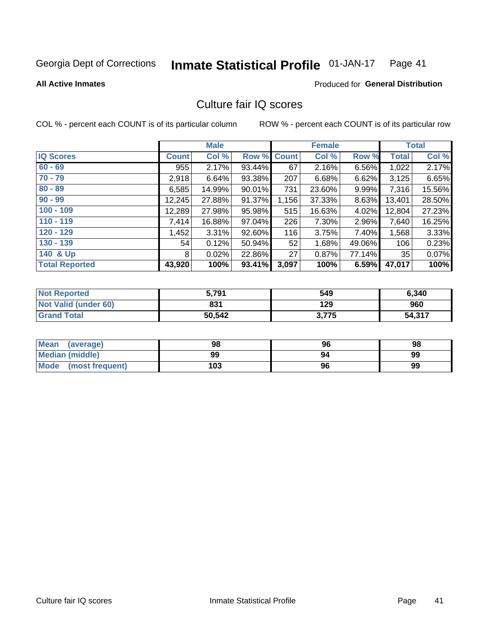#### Inmate Statistical Profile 01-JAN-17 Page 41

**All Active Inmates** 

### **Produced for General Distribution**

## Culture fair IQ scores

COL % - percent each COUNT is of its particular column

|                       |              | <b>Male</b> |                    |       | <b>Female</b> |        |              | <b>Total</b> |
|-----------------------|--------------|-------------|--------------------|-------|---------------|--------|--------------|--------------|
| <b>IQ Scores</b>      | <b>Count</b> | Col %       | <b>Row % Count</b> |       | Col %         | Row %  | <b>Total</b> | Col %        |
| $60 - 69$             | 955          | 2.17%       | 93.44%             | 67    | 2.16%         | 6.56%  | 1,022        | 2.17%        |
| $70 - 79$             | 2,918        | 6.64%       | 93.38%             | 207   | 6.68%         | 6.62%  | 3,125        | 6.65%        |
| $80 - 89$             | 6,585        | 14.99%      | 90.01%             | 731   | 23.60%        | 9.99%  | 7,316        | 15.56%       |
| $90 - 99$             | 12,245       | 27.88%      | 91.37%             | 1,156 | 37.33%        | 8.63%  | 13,401       | 28.50%       |
| $100 - 109$           | 12,289       | 27.98%      | 95.98%             | 515   | 16.63%        | 4.02%  | 12,804       | 27.23%       |
| $110 - 119$           | 7,414        | 16.88%      | 97.04%             | 226   | 7.30%         | 2.96%  | 7,640        | 16.25%       |
| $120 - 129$           | 1,452        | 3.31%       | 92.60%             | 116   | 3.75%         | 7.40%  | 1,568        | 3.33%        |
| $130 - 139$           | 54           | 0.12%       | 50.94%             | 52    | 1.68%         | 49.06% | 106          | 0.23%        |
| 140 & Up              | 8            | 0.02%       | 22.86%             | 27    | 0.87%         | 77.14% | 35           | 0.07%        |
| <b>Total Reported</b> | 43,920       | 100%        | 93.41%             | 3,097 | 100%          | 6.59%  | 47,017       | 100%         |

| <b>Not Reported</b>         | 5,791  | 549   | 6,340  |
|-----------------------------|--------|-------|--------|
| <b>Not Valid (under 60)</b> | 831    | 129   | 960    |
| <b>Grand Total</b>          | 50,542 | 3,775 | 54,317 |

| <b>Mean</b><br>(average) | 98  | 96 | 98 |
|--------------------------|-----|----|----|
| <b>Median (middle)</b>   | 99  | 94 | 99 |
| Mode<br>(most frequent)  | 103 | 96 | 99 |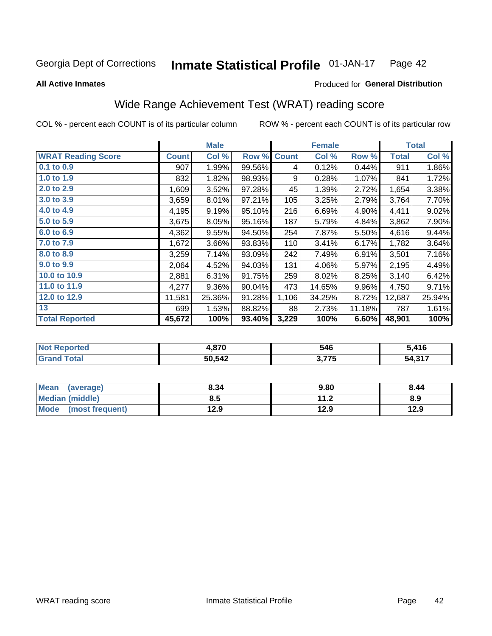#### Inmate Statistical Profile 01-JAN-17 Page 42

**All Active Inmates** 

### Produced for General Distribution

## Wide Range Achievement Test (WRAT) reading score

COL % - percent each COUNT is of its particular column

|                           |              | <b>Male</b> |        |              | <b>Female</b> |        |              | <b>Total</b> |
|---------------------------|--------------|-------------|--------|--------------|---------------|--------|--------------|--------------|
| <b>WRAT Reading Score</b> | <b>Count</b> | Col %       | Row %  | <b>Count</b> | Col %         | Row %  | <b>Total</b> | Col %        |
| 0.1 to 0.9                | 907          | 1.99%       | 99.56% | 4            | 0.12%         | 0.44%  | 911          | 1.86%        |
| 1.0 to 1.9                | 832          | 1.82%       | 98.93% | 9            | 0.28%         | 1.07%  | 841          | 1.72%        |
| 2.0 to 2.9                | 1,609        | 3.52%       | 97.28% | 45           | 1.39%         | 2.72%  | 1,654        | 3.38%        |
| 3.0 to 3.9                | 3,659        | 8.01%       | 97.21% | 105          | 3.25%         | 2.79%  | 3,764        | 7.70%        |
| 4.0 to 4.9                | 4,195        | 9.19%       | 95.10% | 216          | 6.69%         | 4.90%  | 4,411        | 9.02%        |
| 5.0 to 5.9                | 3,675        | 8.05%       | 95.16% | 187          | 5.79%         | 4.84%  | 3,862        | 7.90%        |
| 6.0 to 6.9                | 4,362        | 9.55%       | 94.50% | 254          | 7.87%         | 5.50%  | 4,616        | 9.44%        |
| 7.0 to 7.9                | 1,672        | 3.66%       | 93.83% | 110          | 3.41%         | 6.17%  | 1,782        | 3.64%        |
| 8.0 to 8.9                | 3,259        | 7.14%       | 93.09% | 242          | 7.49%         | 6.91%  | 3,501        | 7.16%        |
| 9.0 to 9.9                | 2,064        | 4.52%       | 94.03% | 131          | 4.06%         | 5.97%  | 2,195        | 4.49%        |
| 10.0 to 10.9              | 2,881        | 6.31%       | 91.75% | 259          | 8.02%         | 8.25%  | 3,140        | 6.42%        |
| 11.0 to 11.9              | 4,277        | 9.36%       | 90.04% | 473          | 14.65%        | 9.96%  | 4,750        | 9.71%        |
| 12.0 to 12.9              | 11,581       | 25.36%      | 91.28% | 1,106        | 34.25%        | 8.72%  | 12,687       | 25.94%       |
| 13                        | 699          | 1.53%       | 88.82% | 88           | 2.73%         | 11.18% | 787          | 1.61%        |
| <b>Total Reported</b>     | 45,672       | 100%        | 93.40% | 3,229        | 100%          | 6.60%  | 48,901       | 100%         |

| <b>NOT</b><br>.keporteg | 070<br>7.07U | 546                   | 416.ز  |
|-------------------------|--------------|-----------------------|--------|
| <b>otal</b>             | 50,542       | ク フフエ<br>v.l<br>. . J | 54,317 |

| <b>Mean</b><br>(average)       | 8.34 | 9.80        | 8.44 |
|--------------------------------|------|-------------|------|
| Median (middle)                | 8.5  | 11 つ<br>1.Z | 8.9  |
| <b>Mode</b><br>(most frequent) | 12.9 | 12.9        | 12.9 |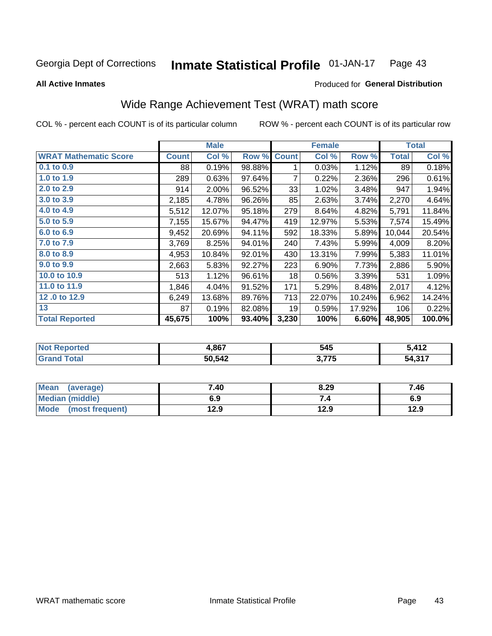#### **Inmate Statistical Profile 01-JAN-17** Page 43

**All Active Inmates** 

### Produced for General Distribution

## Wide Range Achievement Test (WRAT) math score

COL % - percent each COUNT is of its particular column

|                              |              | <b>Male</b> |        |              | <b>Female</b> |        |              | <b>Total</b> |
|------------------------------|--------------|-------------|--------|--------------|---------------|--------|--------------|--------------|
| <b>WRAT Mathematic Score</b> | <b>Count</b> | Col %       | Row %  | <b>Count</b> | Col %         | Row %  | <b>Total</b> | Col %        |
| 0.1 to 0.9                   | 88           | 0.19%       | 98.88% | 1            | 0.03%         | 1.12%  | 89           | 0.18%        |
| 1.0 to 1.9                   | 289          | 0.63%       | 97.64% | 7            | 0.22%         | 2.36%  | 296          | 0.61%        |
| 2.0 to 2.9                   | 914          | 2.00%       | 96.52% | 33           | 1.02%         | 3.48%  | 947          | 1.94%        |
| 3.0 to 3.9                   | 2,185        | 4.78%       | 96.26% | 85           | 2.63%         | 3.74%  | 2,270        | 4.64%        |
| 4.0 to 4.9                   | 5,512        | 12.07%      | 95.18% | 279          | 8.64%         | 4.82%  | 5,791        | 11.84%       |
| 5.0 to 5.9                   | 7,155        | 15.67%      | 94.47% | 419          | 12.97%        | 5.53%  | 7,574        | 15.49%       |
| 6.0 to 6.9                   | 9,452        | 20.69%      | 94.11% | 592          | 18.33%        | 5.89%  | 10,044       | 20.54%       |
| 7.0 to 7.9                   | 3,769        | 8.25%       | 94.01% | 240          | 7.43%         | 5.99%  | 4,009        | 8.20%        |
| 8.0 to 8.9                   | 4,953        | 10.84%      | 92.01% | 430          | 13.31%        | 7.99%  | 5,383        | 11.01%       |
| 9.0 to 9.9                   | 2,663        | 5.83%       | 92.27% | 223          | 6.90%         | 7.73%  | 2,886        | 5.90%        |
| 10.0 to 10.9                 | 513          | 1.12%       | 96.61% | 18           | 0.56%         | 3.39%  | 531          | 1.09%        |
| 11.0 to 11.9                 | 1,846        | 4.04%       | 91.52% | 171          | 5.29%         | 8.48%  | 2,017        | 4.12%        |
| 12.0 to 12.9                 | 6,249        | 13.68%      | 89.76% | 713          | 22.07%        | 10.24% | 6,962        | 14.24%       |
| 13                           | 87           | 0.19%       | 82.08% | 19           | 0.59%         | 17.92% | 106          | 0.22%        |
| <b>Total Reported</b>        | 45,675       | 100%        | 93.40% | 3,230        | 100%          | 6.60%  | 48,905       | 100.0%       |

| <b>Reported</b> | 1,867  | 545                   | 、 41 2<br>᠂╹┻ |
|-----------------|--------|-----------------------|---------------|
| 'ota.           | 50,542 | ク フフエ<br>v.l<br>. . J | 54,317        |

| <b>Mean</b><br>(average) | 7.40 | 8.29 | 7.46 |
|--------------------------|------|------|------|
| Median (middle)          | 6.9  | ۰.,  | 6.9  |
| Mode<br>(most frequent)  | 12.9 | 12.9 | 12.9 |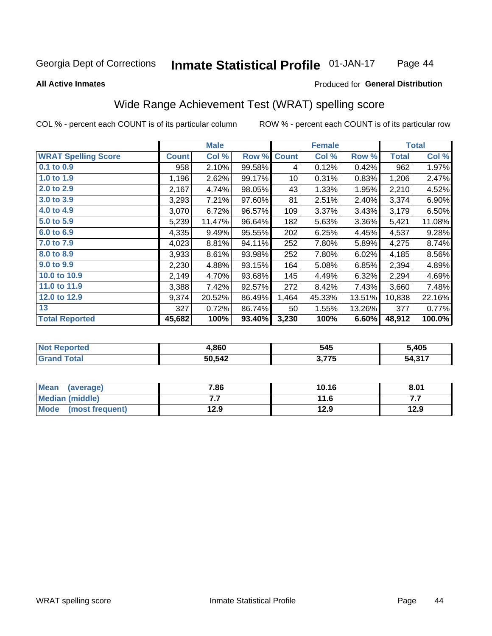#### Inmate Statistical Profile 01-JAN-17 Page 44

### **All Active Inmates**

### Produced for General Distribution

## Wide Range Achievement Test (WRAT) spelling score

COL % - percent each COUNT is of its particular column

|                            |              | <b>Male</b> |        |              | <b>Female</b> |        |        | <b>Total</b> |
|----------------------------|--------------|-------------|--------|--------------|---------------|--------|--------|--------------|
| <b>WRAT Spelling Score</b> | <b>Count</b> | Col %       | Row %  | <b>Count</b> | Col %         | Row %  | Total  | Col %        |
| 0.1 to 0.9                 | 958          | 2.10%       | 99.58% | 4            | 0.12%         | 0.42%  | 962    | 1.97%        |
| 1.0 to 1.9                 | 1,196        | 2.62%       | 99.17% | 10           | 0.31%         | 0.83%  | 1,206  | 2.47%        |
| 2.0 to 2.9                 | 2,167        | 4.74%       | 98.05% | 43           | 1.33%         | 1.95%  | 2,210  | 4.52%        |
| 3.0 to 3.9                 | 3,293        | 7.21%       | 97.60% | 81           | 2.51%         | 2.40%  | 3,374  | 6.90%        |
| 4.0 to 4.9                 | 3,070        | 6.72%       | 96.57% | 109          | 3.37%         | 3.43%  | 3,179  | 6.50%        |
| 5.0 to 5.9                 | 5,239        | 11.47%      | 96.64% | 182          | 5.63%         | 3.36%  | 5,421  | 11.08%       |
| 6.0 to 6.9                 | 4,335        | 9.49%       | 95.55% | 202          | 6.25%         | 4.45%  | 4,537  | 9.28%        |
| 7.0 to 7.9                 | 4,023        | 8.81%       | 94.11% | 252          | 7.80%         | 5.89%  | 4,275  | 8.74%        |
| 8.0 to 8.9                 | 3,933        | 8.61%       | 93.98% | 252          | 7.80%         | 6.02%  | 4,185  | 8.56%        |
| 9.0 to 9.9                 | 2,230        | 4.88%       | 93.15% | 164          | 5.08%         | 6.85%  | 2,394  | 4.89%        |
| 10.0 to 10.9               | 2,149        | 4.70%       | 93.68% | 145          | 4.49%         | 6.32%  | 2,294  | 4.69%        |
| 11.0 to 11.9               | 3,388        | 7.42%       | 92.57% | 272          | 8.42%         | 7.43%  | 3,660  | 7.48%        |
| 12.0 to 12.9               | 9,374        | 20.52%      | 86.49% | 1,464        | 45.33%        | 13.51% | 10,838 | 22.16%       |
| 13                         | 327          | 0.72%       | 86.74% | 50           | 1.55%         | 13.26% | 377    | 0.77%        |
| <b>Total Reported</b>      | 45,682       | 100%        | 93.40% | 3,230        | 100%          | 6.60%  | 48,912 | 100.0%       |

| NO | 1,860  | 545            | 5,405                             |  |
|----|--------|----------------|-----------------------------------|--|
|    | 50,542 | ? フフベ<br>. J.I | $\overline{A}$ 247<br>54.<br>ט. ד |  |

| Mean<br>(average)       | 7.86 | 10.16 | 8.01 |
|-------------------------|------|-------|------|
| Median (middle)         | .    | 11.6  | .    |
| Mode<br>(most frequent) | 12.9 | 12.9  | 12.9 |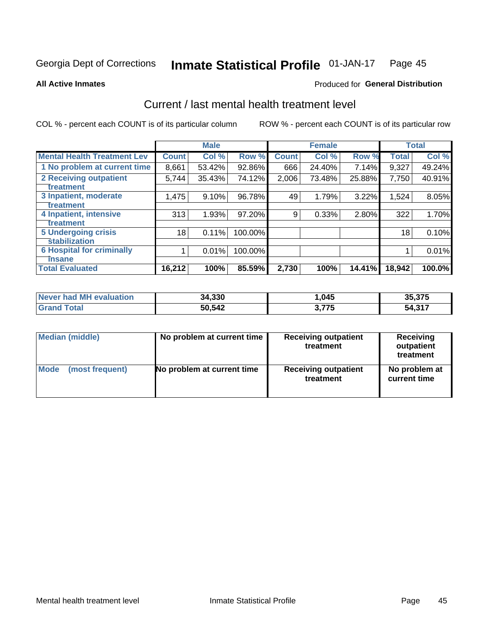#### Inmate Statistical Profile 01-JAN-17 Page 45

**All Active Inmates** 

### **Produced for General Distribution**

## Current / last mental health treatment level

COL % - percent each COUNT is of its particular column

|                                    |              | <b>Male</b> |         |              | <b>Female</b> |        |              | <b>Total</b> |
|------------------------------------|--------------|-------------|---------|--------------|---------------|--------|--------------|--------------|
| <b>Mental Health Treatment Lev</b> | <b>Count</b> | Col %       | Row %   | <b>Count</b> | Col %         | Row %  | <b>Total</b> | Col %        |
| 1 No problem at current time       | 8,661        | 53.42%      | 92.86%  | 666          | 24.40%        | 7.14%  | 9,327        | 49.24%       |
| 2 Receiving outpatient             | 5,744        | 35.43%      | 74.12%  | 2,006        | 73.48%        | 25.88% | 7,750        | 40.91%       |
| <b>Treatment</b>                   |              |             |         |              |               |        |              |              |
| 3 Inpatient, moderate              | 1,475        | 9.10%       | 96.78%  | 49           | 1.79%         | 3.22%  | 1,524        | 8.05%        |
| <b>Treatment</b>                   |              |             |         |              |               |        |              |              |
| 4 Inpatient, intensive             | 313          | 1.93%       | 97.20%  | 9            | 0.33%         | 2.80%  | 322          | 1.70%        |
| Treatment                          |              |             |         |              |               |        |              |              |
| <b>5 Undergoing crisis</b>         | 18           | 0.11%       | 100.00% |              |               |        | 18           | 0.10%        |
| <b>stabilization</b>               |              |             |         |              |               |        |              |              |
| <b>6 Hospital for criminally</b>   |              | 0.01%       | 100.00% |              |               |        |              | 0.01%        |
| <b>Tinsane</b>                     |              |             |         |              |               |        |              |              |
| <b>Total Evaluated</b>             | 16,212       | 100%        | 85.59%  | 2,730        | 100%          | 14.41% | 18,942       | 100.0%       |

| Never had MH evaluation | 34,330 | ,045  | 35,375      |
|-------------------------|--------|-------|-------------|
| $\tau$ otal             | 50,542 | 3,775 | 317.ء<br>54 |

| Median (middle) | No problem at current time | <b>Receiving outpatient</b><br>treatment | <b>Receiving</b><br>outpatient<br>treatment |
|-----------------|----------------------------|------------------------------------------|---------------------------------------------|
| <b>Mode</b>     | No problem at current time | <b>Receiving outpatient</b>              | No problem at                               |
| (most frequent) |                            | treatment                                | current time                                |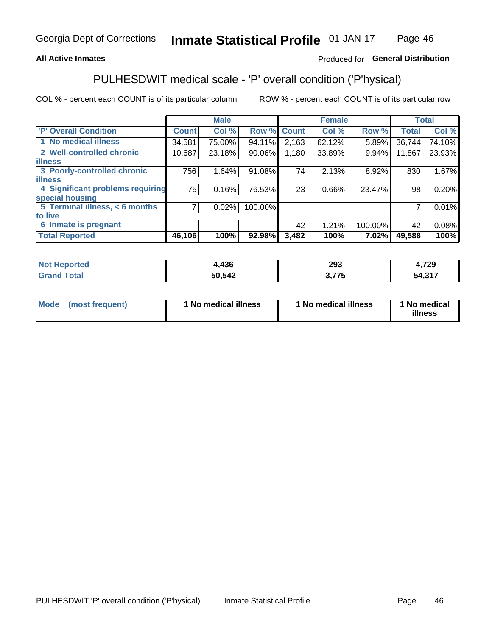## **All Active Inmates**

## Produced for General Distribution

## PULHESDWIT medical scale - 'P' overall condition ('P'hysical)

COL % - percent each COUNT is of its particular column

|                                  |              | <b>Male</b> |         |              | <b>Female</b> |         |              | <b>Total</b> |
|----------------------------------|--------------|-------------|---------|--------------|---------------|---------|--------------|--------------|
| 'P' Overall Condition            | <b>Count</b> | Col %       | Row %   | <b>Count</b> | Col %         | Row %   | <b>Total</b> | Col %        |
| 1 No medical illness             | 34,581       | 75.00%      | 94.11%  | 2,163        | 62.12%        | 5.89%   | 36,744       | 74.10%       |
| 2 Well-controlled chronic        | 10,687       | 23.18%      | 90.06%  | 1,180        | 33.89%        | 9.94%   | 11,867       | 23.93%       |
| <b>illness</b>                   |              |             |         |              |               |         |              |              |
| 3 Poorly-controlled chronic      | 756          | 1.64%       | 91.08%  | 74           | 2.13%         | 8.92%   | 830          | 1.67%        |
| <b>illness</b>                   |              |             |         |              |               |         |              |              |
| 4 Significant problems requiring | 75           | 0.16%       | 76.53%  | 23           | 0.66%         | 23.47%  | 98           | 0.20%        |
| special housing                  |              |             |         |              |               |         |              |              |
| 5 Terminal illness, < 6 months   | 7            | 0.02%       | 100.00% |              |               |         | 7            | 0.01%        |
| to live                          |              |             |         |              |               |         |              |              |
| 6 Inmate is pregnant             |              |             |         | 42           | 1.21%         | 100.00% | 42           | 0.08%        |
| <b>Total Reported</b>            | 46,106       | 100%        | 92.98%  | 3,482        | 100%          | 7.02%   | 49,588       | 100%         |

| 12C<br>430 | 293         | フへへ<br>. . 20 |
|------------|-------------|---------------|
| 50 542     | ---<br>- 11 | 54.317        |

| Mode | (most frequent) | 1 No medical illness | 1 No medical illness | 1 No medical<br>illness |
|------|-----------------|----------------------|----------------------|-------------------------|
|------|-----------------|----------------------|----------------------|-------------------------|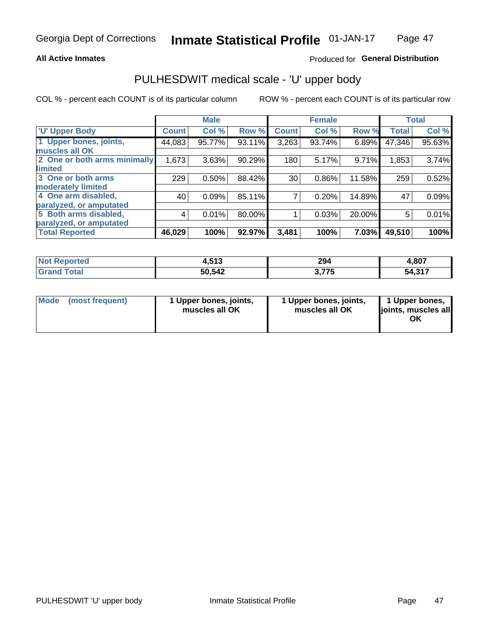### **All Active Inmates**

## Produced for General Distribution

# PULHESDWIT medical scale - 'U' upper body

COL % - percent each COUNT is of its particular column

|                              |              | <b>Male</b> |           |              | <b>Female</b> |        |              | <b>Total</b> |
|------------------------------|--------------|-------------|-----------|--------------|---------------|--------|--------------|--------------|
| <b>U' Upper Body</b>         | <b>Count</b> | Col %       | Row %     | <b>Count</b> | Col %         | Row %  | <b>Total</b> | Col %        |
| 1 Upper bones, joints,       | 44,083       | 95.77%      | 93.11%    | 3,263        | 93.74%        | 6.89%  | 47,346       | $95.63\%$    |
| muscles all OK               |              |             |           |              |               |        |              |              |
| 2 One or both arms minimally | 1,673        | 3.63%       | 90.29%    | 180          | 5.17%         | 9.71%  | 1,853        | 3.74%        |
| limited                      |              |             |           |              |               |        |              |              |
| 3 One or both arms           | 229          | 0.50%       | 88.42%    | 30           | 0.86%         | 11.58% | 259          | 0.52%        |
| <b>moderately limited</b>    |              |             |           |              |               |        |              |              |
| 4 One arm disabled,          | 40           | 0.09%       | 85.11%    |              | 0.20%         | 14.89% | 47           | 0.09%        |
| paralyzed, or amputated      |              |             |           |              |               |        |              |              |
| 5 Both arms disabled,        | 4            | 0.01%       | 80.00%    |              | 0.03%         | 20.00% | 5            | 0.01%        |
| paralyzed, or amputated      |              |             |           |              |               |        |              |              |
| <b>Total Reported</b>        | 46,029       | 100%        | $92.97\%$ | 3,481        | 100%          | 7.03%  | 49,510       | 100%         |

| <b>Not Reported</b>          | 4,513  | 294   | 4,807  |
|------------------------------|--------|-------|--------|
| <b>Total</b><br><b>Grand</b> | 50,542 | 3,775 | 54,317 |

| Mode (most frequent) | 1 Upper bones, joints,<br>muscles all OK | 1 Upper bones, joints,<br>muscles all OK | 1 Upper bones,<br>joints, muscles all<br>ΟK |
|----------------------|------------------------------------------|------------------------------------------|---------------------------------------------|
|----------------------|------------------------------------------|------------------------------------------|---------------------------------------------|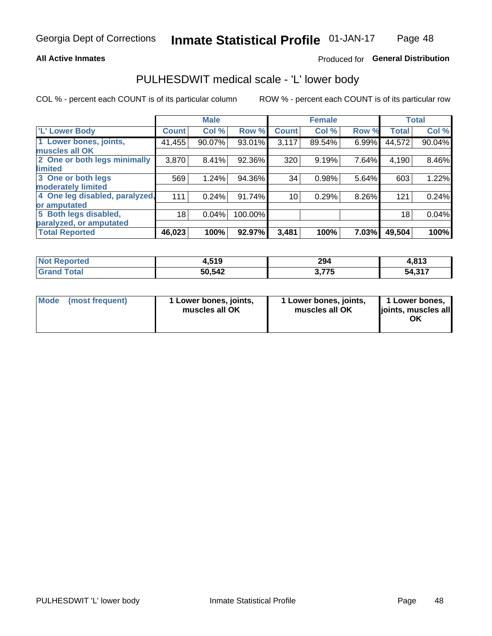### **All Active Inmates**

## Produced for General Distribution

## PULHESDWIT medical scale - 'L' lower body

COL % - percent each COUNT is of its particular column

|                                |              | <b>Male</b> |         |                 | <b>Female</b> |       |              | <b>Total</b> |
|--------------------------------|--------------|-------------|---------|-----------------|---------------|-------|--------------|--------------|
| 'L' Lower Body                 | <b>Count</b> | Col %       | Row %   | <b>Count</b>    | Col %         | Row % | <b>Total</b> | Col %        |
| 1 Lower bones, joints,         | 41,455       | 90.07%      | 93.01%  | 3,117           | 89.54%        | 6.99% | 44,572       | 90.04%       |
| muscles all OK                 |              |             |         |                 |               |       |              |              |
| 2 One or both legs minimally   | 3,870        | 8.41%       | 92.36%  | 320             | 9.19%         | 7.64% | 4,190        | 8.46%        |
| limited                        |              |             |         |                 |               |       |              |              |
| 3 One or both legs             | 569          | 1.24%       | 94.36%  | 34              | 0.98%         | 5.64% | 603          | 1.22%        |
| moderately limited             |              |             |         |                 |               |       |              |              |
| 4 One leg disabled, paralyzed, | 111          | 0.24%       | 91.74%  | 10 <sub>1</sub> | 0.29%         | 8.26% | 121          | 0.24%        |
| or amputated                   |              |             |         |                 |               |       |              |              |
| 5 Both legs disabled,          | 18           | 0.04%       | 100.00% |                 |               |       | 18           | 0.04%        |
| paralyzed, or amputated        |              |             |         |                 |               |       |              |              |
| <b>Total Reported</b>          | 46,023       | 100%        | 92.97%  | 3,481           | 100%          | 7.03% | 49,504       | 100%         |

| <b>Not Reported</b>    | 4,519  | 294            | 4,813  |
|------------------------|--------|----------------|--------|
| <b>Total</b><br>'Grand | 50,542 | 775<br>J.I I J | 54,317 |

| Mode | (most frequent) | 1 Lower bones, joints,<br>muscles all OK | 1 Lower bones, joints,<br>muscles all OK | 1 Lower bones,<br>joints, muscles all<br>ΟK |
|------|-----------------|------------------------------------------|------------------------------------------|---------------------------------------------|
|------|-----------------|------------------------------------------|------------------------------------------|---------------------------------------------|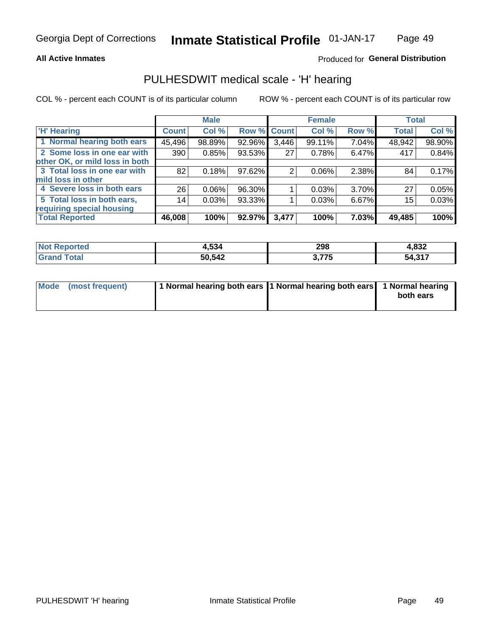### **All Active Inmates**

## Produced for General Distribution

## PULHESDWIT medical scale - 'H' hearing

COL % - percent each COUNT is of its particular column

|                                |                    | <b>Male</b> |        |             | <b>Female</b> |       | <b>Total</b> |        |
|--------------------------------|--------------------|-------------|--------|-------------|---------------|-------|--------------|--------|
| <b>'H' Hearing</b>             | Count <sup>1</sup> | Col %       |        | Row % Count | Col %         | Row % | <b>Total</b> | Col %  |
| 1 Normal hearing both ears     | 45,496             | 98.89%      | 92.96% | 3,446       | 99.11%        | 7.04% | 48,942       | 98.90% |
| 2 Some loss in one ear with    | 390                | 0.85%       | 93.53% | 27          | 0.78%         | 6.47% | 417          | 0.84%  |
| other OK, or mild loss in both |                    |             |        |             |               |       |              |        |
| 3 Total loss in one ear with   | 82                 | 0.18%       | 97.62% | 2           | 0.06%         | 2.38% | 84           | 0.17%  |
| mild loss in other             |                    |             |        |             |               |       |              |        |
| 4 Severe loss in both ears     | 26                 | $0.06\%$    | 96.30% |             | 0.03%         | 3.70% | 27           | 0.05%  |
| 5 Total loss in both ears,     | 14                 | 0.03%       | 93.33% |             | 0.03%         | 6.67% | 15           | 0.03%  |
| requiring special housing      |                    |             |        |             |               |       |              |        |
| <b>Total Reported</b>          | 46,008             | 100%        | 92.97% | 3,477       | 100%          | 7.03% | 49,485       | 100%   |

| 'Not<br><b>orted</b>  | .534   | 298              | റാറ<br>7.OJZ  |
|-----------------------|--------|------------------|---------------|
| $F \wedge f \wedge f$ | 50,542 | ・フフロ<br><u>.</u> | 217<br>54,31, |

| Mode (most frequent) | 1 Normal hearing both ears 11 Normal hearing both ears 1 Normal hearing | both ears |
|----------------------|-------------------------------------------------------------------------|-----------|
|                      |                                                                         |           |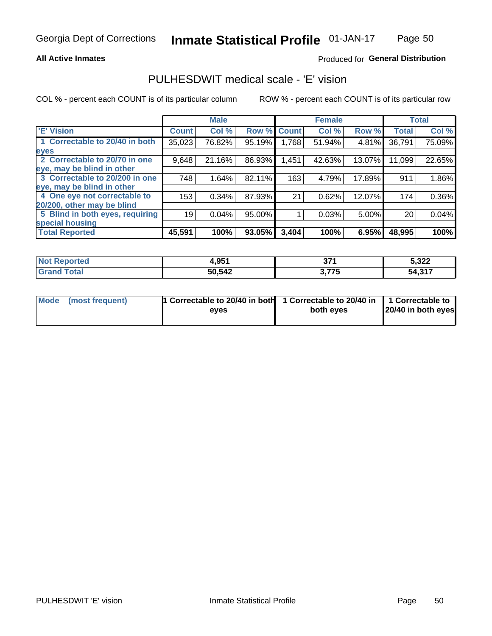### **All Active Inmates**

### Produced for General Distribution

## PULHESDWIT medical scale - 'E' vision

COL % - percent each COUNT is of its particular column

|                                 |              | <b>Male</b> |        |              | <b>Female</b> |        |              | <b>Total</b> |
|---------------------------------|--------------|-------------|--------|--------------|---------------|--------|--------------|--------------|
| <b>E' Vision</b>                | <b>Count</b> | Col %       | Row %  | <b>Count</b> | Col %         | Row %  | <b>Total</b> | Col %        |
| 1 Correctable to 20/40 in both  | 35,023       | 76.82%      | 95.19% | 1.768        | 51.94%        | 4.81%  | 36,791       | 75.09%       |
| eyes                            |              |             |        |              |               |        |              |              |
| 2 Correctable to 20/70 in one   | 9,648        | 21.16%      | 86.93% | 1,451        | 42.63%        | 13.07% | 11,099       | 22.65%       |
| eye, may be blind in other      |              |             |        |              |               |        |              |              |
| 3 Correctable to 20/200 in one  | 748          | 1.64%       | 82.11% | 163          | 4.79%         | 17.89% | 911          | 1.86%        |
| eye, may be blind in other      |              |             |        |              |               |        |              |              |
| 4 One eye not correctable to    | 153          | 0.34%       | 87.93% | 21           | 0.62%         | 12.07% | 174          | 0.36%        |
| 20/200, other may be blind      |              |             |        |              |               |        |              |              |
| 5 Blind in both eyes, requiring | 19           | 0.04%       | 95.00% |              | 0.03%         | 5.00%  | 20           | 0.04%        |
| special housing                 |              |             |        |              |               |        |              |              |
| <b>Total Reported</b>           | 45,591       | 100%        | 93.05% | 3,404        | 100%          | 6.95%  | 48,995       | 100%         |

| <b>Not Reported</b> | 4,951  | 57,<br>υı   | 5,322                   |
|---------------------|--------|-------------|-------------------------|
| <b>Total</b>        | 50,542 | ? 775<br>79 | .247<br>54.<br>، ۱ د, ۱ |

| Mode (most frequent) | 1 Correctable to 20/40 in both<br>eves | 1 Correctable to 20/40 in   1 Correctable to  <br>both eves | 20/40 in both eyes |
|----------------------|----------------------------------------|-------------------------------------------------------------|--------------------|
|                      |                                        |                                                             |                    |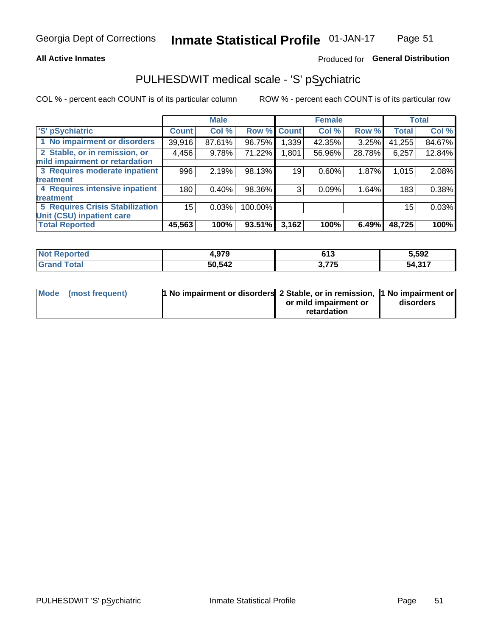### **All Active Inmates**

## Produced for General Distribution

## PULHESDWIT medical scale - 'S' pSychiatric

COL % - percent each COUNT is of its particular column

|                                        |              | <b>Male</b> |         |              | <b>Female</b> |        |              | <b>Total</b> |
|----------------------------------------|--------------|-------------|---------|--------------|---------------|--------|--------------|--------------|
| 'S' pSychiatric                        | <b>Count</b> | Col %       | Row %   | <b>Count</b> | Col %         | Row %  | <b>Total</b> | Col %        |
| 1 No impairment or disorders           | 39,916       | 87.61%      | 96.75%  | ∣339. ا      | 42.35%        | 3.25%  | 41,255       | 84.67%       |
| 2 Stable, or in remission, or          | 4,456        | 9.78%       | 71.22%  | 1,801        | 56.96%        | 28.78% | 6,257        | 12.84%       |
| mild impairment or retardation         |              |             |         |              |               |        |              |              |
| 3 Requires moderate inpatient          | 996          | 2.19%       | 98.13%  | 19           | 0.60%         | 1.87%  | 1,015        | 2.08%        |
| treatment                              |              |             |         |              |               |        |              |              |
| 4 Requires intensive inpatient         | 180          | 0.40%       | 98.36%  | 3            | 0.09%         | 1.64%  | 183          | 0.38%        |
| treatment                              |              |             |         |              |               |        |              |              |
| <b>5 Requires Crisis Stabilization</b> | 15           | 0.03%       | 100.00% |              |               |        | 15           | 0.03%        |
| Unit (CSU) inpatient care              |              |             |         |              |               |        |              |              |
| <b>Total Reported</b>                  | 45,563       | 100%        | 93.51%  | 3,162        | 100%          | 6.49%  | 48,725       | 100%         |

| <b>Not Reported</b>               | 4,979  | c49<br>נוס        | 5,592  |
|-----------------------------------|--------|-------------------|--------|
| $\mathop{\mathsf{Total}}$<br>Grar | 50,542 | ? 775<br>ა. / / ა | 54,317 |

| Mode (most frequent) | <b>1 No impairment or disorders</b> 2 Stable, or in remission, 11 No impairment or |                       |           |
|----------------------|------------------------------------------------------------------------------------|-----------------------|-----------|
|                      |                                                                                    | or mild impairment or | disorders |
|                      |                                                                                    | retardation           |           |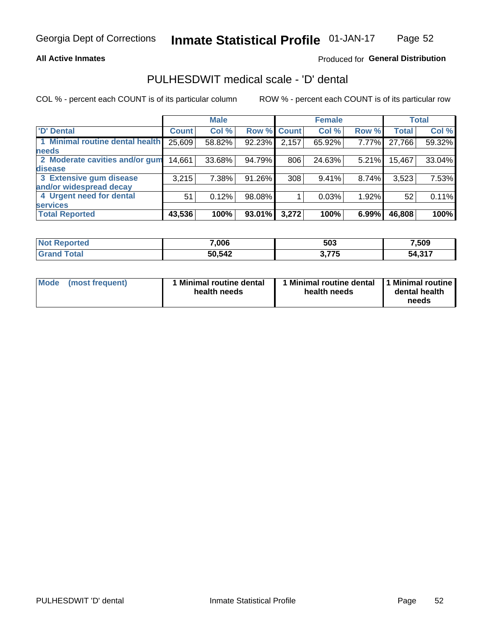### **All Active Inmates**

## Produced for General Distribution

## PULHESDWIT medical scale - 'D' dental

COL % - percent each COUNT is of its particular column

|                                 |              | <b>Male</b> |        |              | <b>Female</b> |          |              | <b>Total</b> |
|---------------------------------|--------------|-------------|--------|--------------|---------------|----------|--------------|--------------|
| <b>D'</b> Dental                | <b>Count</b> | Col %       | Row %  | <b>Count</b> | Col %         | Row %    | <b>Total</b> | Col %        |
| 1 Minimal routine dental health | 25,609       | 58.82%      | 92.23% | 2,157        | 65.92%        | $7.77\%$ | 27,766       | 59.32%       |
| <b>needs</b>                    |              |             |        |              |               |          |              |              |
| 2 Moderate cavities and/or gum  | 14,661       | 33.68%      | 94.79% | 806          | 24.63%        | $5.21\%$ | 15,467       | 33.04%       |
| disease                         |              |             |        |              |               |          |              |              |
| 3 Extensive gum disease         | 3,215        | 7.38%       | 91.26% | 308          | 9.41%         | 8.74%    | 3,523        | 7.53%        |
| and/or widespread decay         |              |             |        |              |               |          |              |              |
| 4 Urgent need for dental        | 51           | 0.12%       | 98.08% |              | 0.03%         | 1.92%    | 52           | 0.11%        |
| <b>services</b>                 |              |             |        |              |               |          |              |              |
| <b>Total Reported</b>           | 43,536       | 100%        | 93.01% | 3,272        | 100%          | 6.99%    | 46,808       | 100%         |

| <b>Reported</b><br>NO. | 7,006  | 503             | 7,509  |
|------------------------|--------|-----------------|--------|
| 'otal                  | 50,542 | ) フフに<br>.<br>. | 54,317 |

| <b>Mode</b> | (most frequent) | <b>Minimal routine dental</b><br>health needs | 1 Minimal routine dental<br>health needs | <b>11 Minimal routine I</b><br>dental health<br>needs |
|-------------|-----------------|-----------------------------------------------|------------------------------------------|-------------------------------------------------------|
|-------------|-----------------|-----------------------------------------------|------------------------------------------|-------------------------------------------------------|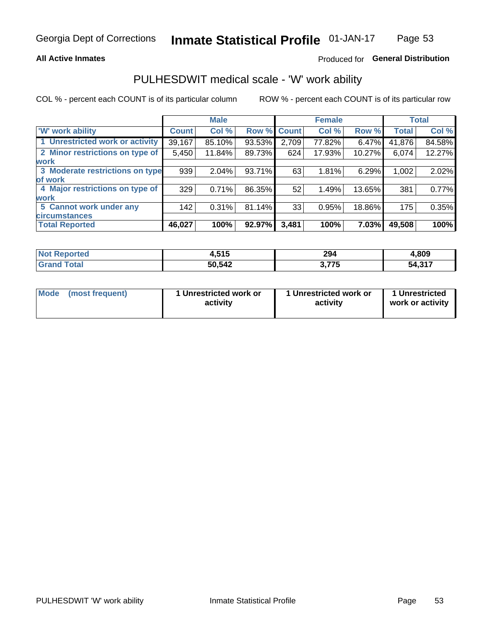### **All Active Inmates**

## Produced for General Distribution

## PULHESDWIT medical scale - 'W' work ability

COL % - percent each COUNT is of its particular column

|                                 |              | <b>Male</b> |        |             | <b>Female</b> |        |              | <b>Total</b> |
|---------------------------------|--------------|-------------|--------|-------------|---------------|--------|--------------|--------------|
| <b>W' work ability</b>          | <b>Count</b> | Col %       |        | Row % Count | Col %         | Row %  | <b>Total</b> | Col %        |
| 1 Unrestricted work or activity | 39,167       | 85.10%      | 93.53% | 2,709       | 77.82%        | 6.47%  | 41,876       | 84.58%       |
| 2 Minor restrictions on type of | 5,450        | 11.84%      | 89.73% | 624         | 17.93%        | 10.27% | 6,074        | 12.27%       |
| <b>work</b>                     |              |             |        |             |               |        |              |              |
| 3 Moderate restrictions on type | 939          | 2.04%       | 93.71% | 63          | 1.81%         | 6.29%  | 1,002        | 2.02%        |
| lof work                        |              |             |        |             |               |        |              |              |
| 4 Major restrictions on type of | 329          | 0.71%       | 86.35% | 52          | 1.49%         | 13.65% | 381          | 0.77%        |
| <b>work</b>                     |              |             |        |             |               |        |              |              |
| 5 Cannot work under any         | 142          | 0.31%       | 81.14% | 33          | 0.95%         | 18.86% | 175          | 0.35%        |
| <b>circumstances</b>            |              |             |        |             |               |        |              |              |
| <b>Total Reported</b>           | 46,027       | 100%        | 92.97% | 3,481       | 100%          | 7.03%  | 49,508       | 100%         |

| <b>Not Reported</b> | 515<br>1.J I J | 294                | 4,809  |
|---------------------|----------------|--------------------|--------|
| Total               | 50,542         | ヽ フフム<br>- 13<br>. | 54,317 |

| Mode            | 1 Unrestricted work or | 1 Unrestricted work or | 1 Unrestricted   |
|-----------------|------------------------|------------------------|------------------|
| (most frequent) | activity               | activity               | work or activity |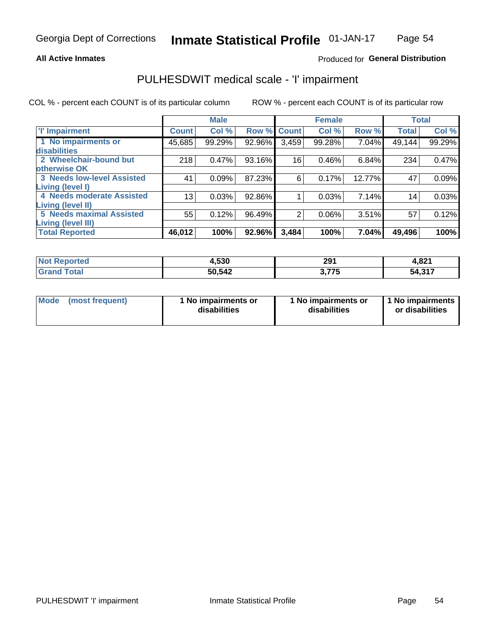### **All Active Inmates**

## Produced for General Distribution

## PULHESDWIT medical scale - 'I' impairment

COL % - percent each COUNT is of its particular column

|                                                       |              | <b>Male</b> |        |             | <b>Female</b> |        |              | <b>Total</b> |
|-------------------------------------------------------|--------------|-------------|--------|-------------|---------------|--------|--------------|--------------|
| <b>T' Impairment</b>                                  | <b>Count</b> | Col %       |        | Row % Count | Col %         | Row %  | <b>Total</b> | Col %        |
| 1 No impairments or<br>disabilities                   | 45,685       | 99.29%      | 92.96% | 3,459       | 99.28%        | 7.04%  | 49,144       | 99.29%       |
| 2 Wheelchair-bound but<br>otherwise OK                | 218          | 0.47%       | 93.16% | 16          | 0.46%         | 6.84%  | 234          | 0.47%        |
| <b>3 Needs low-level Assisted</b><br>Living (level I) | 41           | 0.09%       | 87.23% | 6           | 0.17%         | 12.77% | 47           | 0.09%        |
| 4 Needs moderate Assisted<br>Living (level II)        | 13           | 0.03%       | 92.86% |             | 0.03%         | 7.14%  | 14           | 0.03%        |
| <b>5 Needs maximal Assisted</b><br>Living (level III) | 55           | 0.12%       | 96.49% | 2           | 0.06%         | 3.51%  | 57           | 0.12%        |
| <b>Total Reported</b>                                 | 46,012       | 100%        | 92.96% | 3,484       | 100%          | 7.04%  | 49,496       | 100%         |

| <b>Not</b><br>Reported | 4,530  | 291<br>$-$                | 4,821  |
|------------------------|--------|---------------------------|--------|
| Total                  | 50,542 | <b>775</b><br>. . J<br>v. | 54,317 |

| Mode | (most frequent) | 1 No impairments or<br>disabilities | 1 No impairments or<br>disabilities | 1 No impairments<br>or disabilities |
|------|-----------------|-------------------------------------|-------------------------------------|-------------------------------------|
|------|-----------------|-------------------------------------|-------------------------------------|-------------------------------------|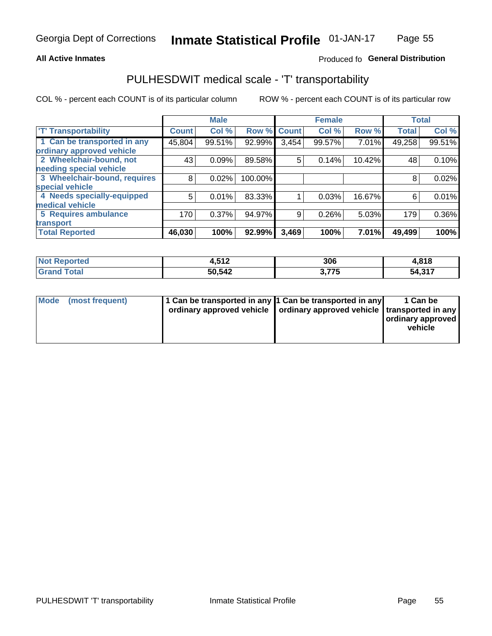### **All Active Inmates**

## Produced fo General Distribution

## PULHESDWIT medical scale - 'T' transportability

COL % - percent each COUNT is of its particular column

|                              |              | <b>Male</b> |         |              | <b>Female</b> |        |              | <b>Total</b> |
|------------------------------|--------------|-------------|---------|--------------|---------------|--------|--------------|--------------|
| <b>T' Transportability</b>   | <b>Count</b> | Col %       | Row %   | <b>Count</b> | Col %         | Row %  | <b>Total</b> | Col %        |
| 1 Can be transported in any  | 45,804       | 99.51%      | 92.99%  | 3,454        | 99.57%        | 7.01%  | 49,258       | 99.51%       |
| ordinary approved vehicle    |              |             |         |              |               |        |              |              |
| 2 Wheelchair-bound, not      | 43           | 0.09%       | 89.58%  | 5            | 0.14%         | 10.42% | 48           | 0.10%        |
| needing special vehicle      |              |             |         |              |               |        |              |              |
| 3 Wheelchair-bound, requires | 8            | 0.02%       | 100.00% |              |               |        | 8            | 0.02%        |
| special vehicle              |              |             |         |              |               |        |              |              |
| 4 Needs specially-equipped   | 5            | 0.01%       | 83.33%  |              | 0.03%         | 16.67% | 6            | 0.01%        |
| medical vehicle              |              |             |         |              |               |        |              |              |
| <b>5 Requires ambulance</b>  | 170          | 0.37%       | 94.97%  | 9            | 0.26%         | 5.03%  | 179          | $0.36\%$     |
| transport                    |              |             |         |              |               |        |              |              |
| <b>Total Reported</b>        | 46,030       | 100%        | 92.99%  | 3,469        | 100%          | 7.01%  | 49,499       | 100%         |

| <b>Not</b><br><b>Reported</b> | 512<br>4.J I L | 306                 | 4,818            |
|-------------------------------|----------------|---------------------|------------------|
| `otal                         | 50,542         | , 775<br>. .<br>. . | 54.317<br>יו טוי |

|  | Mode (most frequent) | 1 Can be transported in any 1 Can be transported in any<br>ordinary approved vehicle   ordinary approved vehicle   transported in any |  | 1 Can be<br>  ordinary approved  <br>vehicle |
|--|----------------------|---------------------------------------------------------------------------------------------------------------------------------------|--|----------------------------------------------|
|--|----------------------|---------------------------------------------------------------------------------------------------------------------------------------|--|----------------------------------------------|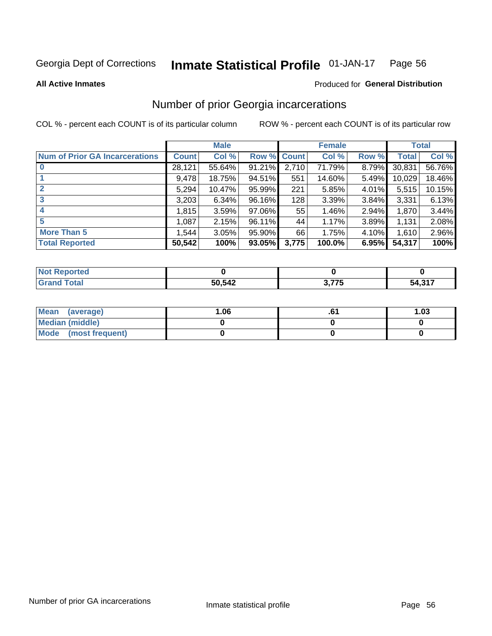#### Inmate Statistical Profile 01-JAN-17 Page 56

**All Active Inmates** 

### **Produced for General Distribution**

## Number of prior Georgia incarcerations

COL % - percent each COUNT is of its particular column

|                                       |              | <b>Male</b> |                    |       | <b>Female</b> |       |        | <b>Total</b> |
|---------------------------------------|--------------|-------------|--------------------|-------|---------------|-------|--------|--------------|
| <b>Num of Prior GA Incarcerations</b> | <b>Count</b> | Col %       | <b>Row % Count</b> |       | Col %         | Row % | Total  | Col %        |
| $\bf{0}$                              | 28,121       | 55.64%      | 91.21%             | 2,710 | 71.79%        | 8.79% | 30,831 | 56.76%       |
|                                       | 9,478        | 18.75%      | 94.51%             | 551   | 14.60%        | 5.49% | 10,029 | 18.46%       |
| $\mathbf{2}$                          | 5,294        | 10.47%      | 95.99%             | 221   | 5.85%         | 4.01% | 5,515  | 10.15%       |
| 3                                     | 3,203        | 6.34%       | 96.16%             | 128   | 3.39%         | 3.84% | 3,331  | 6.13%        |
| 4                                     | 1,815        | 3.59%       | 97.06%             | 55    | 1.46%         | 2.94% | 1,870  | 3.44%        |
| 5                                     | 1,087        | 2.15%       | 96.11%             | 44    | 1.17%         | 3.89% | 1,131  | 2.08%        |
| <b>More Than 5</b>                    | 1,544        | 3.05%       | 95.90%             | 66    | 1.75%         | 4.10% | 1,610  | 2.96%        |
| <b>Total Reported</b>                 | 50,542       | 100%        | 93.05%             | 3,775 | 100.0%        | 6.95% | 54,317 | 100%         |

| المنتقب بالتعبين<br>orted<br>N. |        |      |        |
|---------------------------------|--------|------|--------|
| .                               | 50,542 | 77 F | 54.317 |

| Mean (average)       | 06.، | 1.03 |
|----------------------|------|------|
| Median (middle)      |      |      |
| Mode (most frequent) |      |      |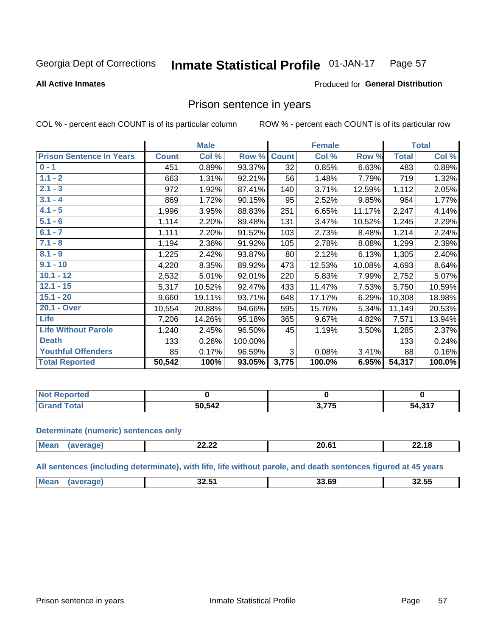#### Inmate Statistical Profile 01-JAN-17 Page 57

**All Active Inmates** 

### Produced for General Distribution

## Prison sentence in years

COL % - percent each COUNT is of its particular column

ROW % - percent each COUNT is of its particular row

|                                 |              | <b>Male</b> |           |                 | <b>Female</b> |        |              | <b>Total</b> |
|---------------------------------|--------------|-------------|-----------|-----------------|---------------|--------|--------------|--------------|
| <b>Prison Sentence In Years</b> | <b>Count</b> | Col %       | Row %     | <b>Count</b>    | Col %         | Row %  | <b>Total</b> | Col %        |
| $0 - 1$                         | 451          | 0.89%       | 93.37%    | $\overline{32}$ | 0.85%         | 6.63%  | 483          | 0.89%        |
| $1.1 - 2$                       | 663          | 1.31%       | 92.21%    | 56              | 1.48%         | 7.79%  | 719          | 1.32%        |
| $2.1 - 3$                       | 972          | 1.92%       | 87.41%    | 140             | 3.71%         | 12.59% | 1,112        | 2.05%        |
| $3.1 - 4$                       | 869          | 1.72%       | 90.15%    | 95              | 2.52%         | 9.85%  | 964          | 1.77%        |
| $4.1 - 5$                       | 1,996        | 3.95%       | 88.83%    | 251             | 6.65%         | 11.17% | 2,247        | 4.14%        |
| $5.1 - 6$                       | 1,114        | 2.20%       | 89.48%    | 131             | 3.47%         | 10.52% | 1,245        | 2.29%        |
| $6.1 - 7$                       | 1,111        | 2.20%       | 91.52%    | 103             | 2.73%         | 8.48%  | 1,214        | 2.24%        |
| $7.1 - 8$                       | 1,194        | 2.36%       | 91.92%    | 105             | 2.78%         | 8.08%  | 1,299        | 2.39%        |
| $8.1 - 9$                       | 1,225        | 2.42%       | 93.87%    | 80              | 2.12%         | 6.13%  | 1,305        | 2.40%        |
| $9.1 - 10$                      | 4,220        | 8.35%       | 89.92%    | 473             | 12.53%        | 10.08% | 4,693        | 8.64%        |
| $10.1 - 12$                     | 2,532        | 5.01%       | 92.01%    | 220             | 5.83%         | 7.99%  | 2,752        | 5.07%        |
| $12.1 - 15$                     | 5,317        | 10.52%      | 92.47%    | 433             | 11.47%        | 7.53%  | 5,750        | 10.59%       |
| $15.1 - 20$                     | 9,660        | 19.11%      | 93.71%    | 648             | 17.17%        | 6.29%  | 10,308       | 18.98%       |
| 20.1 - Over                     | 10,554       | 20.88%      | 94.66%    | 595             | 15.76%        | 5.34%  | 11,149       | 20.53%       |
| <b>Life</b>                     | 7,206        | 14.26%      | 95.18%    | 365             | 9.67%         | 4.82%  | 7,571        | 13.94%       |
| <b>Life Without Parole</b>      | 1,240        | 2.45%       | 96.50%    | 45              | 1.19%         | 3.50%  | 1,285        | 2.37%        |
| <b>Death</b>                    | 133          | 0.26%       | 100.00%   |                 |               |        | 133          | 0.24%        |
| <b>Youthful Offenders</b>       | 85           | 0.17%       | 96.59%    | 3               | 0.08%         | 3.41%  | 88           | 0.16%        |
| <b>Total Reported</b>           | 50,542       | 100%        | $93.05\%$ | 3,775           | 100.0%        | 6.95%  | 54,317       | 100.0%       |

| I NOT<br>∽eportea |        |      |             |
|-------------------|--------|------|-------------|
|                   | 50,542 | ・フフロ | 1.217<br>۰л |

### **Determinate (numeric) sentences only**

| <b>Mea</b> | <u>__</u><br>LL.LL | 00.04 |  |
|------------|--------------------|-------|--|
|            |                    |       |  |

All sentences (including determinate), with life, life without parole, and death sentences figured at 45 years

| <b>Me</b> | 88 F.A<br>-54<br>32.J<br>____ | הה הה<br>n | <br>32.55 |
|-----------|-------------------------------|------------|-----------|
|           |                               |            |           |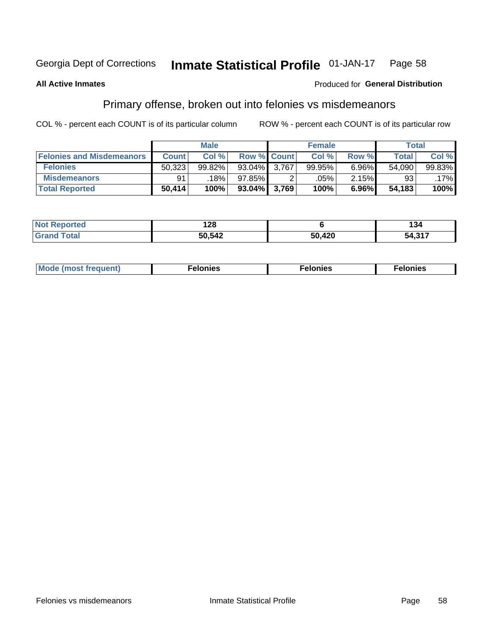#### Inmate Statistical Profile 01-JAN-17 Page 58

### **All Active Inmates**

### **Produced for General Distribution**

## Primary offense, broken out into felonies vs misdemeanors

COL % - percent each COUNT is of its particular column

|                                  |              | <b>Male</b> |                    |       | <b>Female</b> |          | Total        |        |
|----------------------------------|--------------|-------------|--------------------|-------|---------------|----------|--------------|--------|
| <b>Felonies and Misdemeanors</b> | <b>Count</b> | Col %       | <b>Row % Count</b> |       | Col %         | Row %    | <b>Total</b> | Col %  |
| <b>Felonies</b>                  | 50,323       | 99.82%      | $93.04\%$          | 3.767 | 99.95%        | $6.96\%$ | 54,090       | 99.83% |
| <b>Misdemeanors</b>              | 91           | 18%         | 97.85%             |       | .05%          | 2.15%    | 93           | .17%   |
| <b>Total Reported</b>            | 50,414       | 100%        | $93.04\%$ 3,769    |       | 100%          | 6.96%    | 54,183       | 100%   |

| <b>Not</b><br>rted.<br>reno. | .<br>14 L V |      | 134      |
|------------------------------|-------------|------|----------|
| ™otai                        | 50,542      | ,420 | $-54.31$ |
| Grand                        |             | -^   | ,,,,,,   |

| <b>Mo</b><br>requent)<br>$\sim$ | nıes | າເes | elonies |
|---------------------------------|------|------|---------|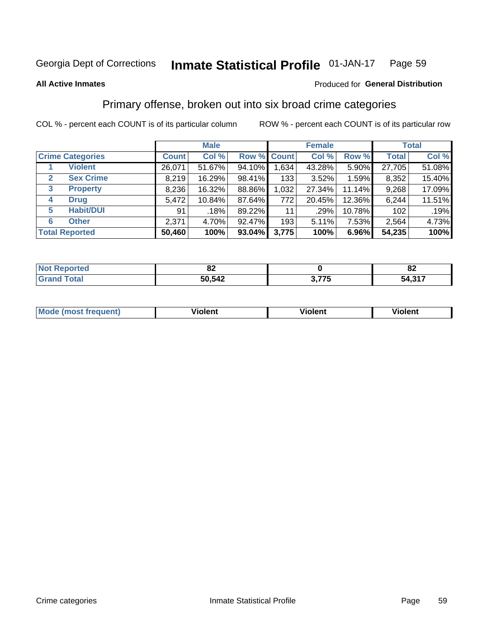#### Inmate Statistical Profile 01-JAN-17 Page 59

**All Active Inmates** 

### Produced for General Distribution

## Primary offense, broken out into six broad crime categories

COL % - percent each COUNT is of its particular column

|                                 | <b>Male</b>  |        |           |             | <b>Female</b> |        | <b>Total</b> |        |  |
|---------------------------------|--------------|--------|-----------|-------------|---------------|--------|--------------|--------|--|
| <b>Crime Categories</b>         | <b>Count</b> | Col %  |           | Row % Count | Col %         | Row %  | <b>Total</b> | Col %  |  |
| <b>Violent</b>                  | 26,071       | 51.67% | 94.10%    | 1,634       | 43.28%        | 5.90%  | 27,705       | 51.08% |  |
| <b>Sex Crime</b><br>2           | 8,219        | 16.29% | 98.41%    | 133         | 3.52%         | 1.59%  | 8,352        | 15.40% |  |
| $\mathbf{3}$<br><b>Property</b> | 8,236        | 16.32% | 88.86%    | 1,032       | 27.34%        | 11.14% | 9,268        | 17.09% |  |
| <b>Drug</b><br>4                | 5,472        | 10.84% | 87.64%    | 772         | 20.45%        | 12.36% | 6,244        | 11.51% |  |
| <b>Habit/DUI</b><br>5           | 91           | .18%   | 89.22%    | 11          | .29%          | 10.78% | 102          | .19%   |  |
| <b>Other</b><br>6               | 2,371        | 4.70%  | 92.47%    | 193         | 5.11%         | 7.53%  | 2,564        | 4.73%  |  |
| <b>Total Reported</b>           | 50,460       | 100%   | $93.04\%$ | 3,775       | 100%          | 6.96%  | 54,235       | 100%   |  |

| τеσ | e.     |   | n,                          |
|-----|--------|---|-----------------------------|
| NO  | UZ.    |   | ОZ.                         |
|     | 50,542 | . | 1.247<br>54<br><b>JTJII</b> |

| <b>Mode</b><br>t frequent)<br>THOS | .<br>iolent | 'iolent | <b>Violent</b> |
|------------------------------------|-------------|---------|----------------|
|                                    |             |         |                |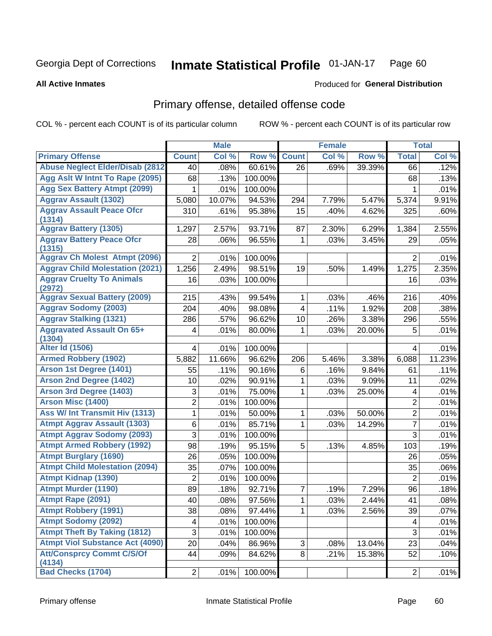#### Inmate Statistical Profile 01-JAN-17 Page 60

### **All Active Inmates**

## **Produced for General Distribution**

## Primary offense, detailed offense code

COL % - percent each COUNT is of its particular column

|                                            |                | <b>Male</b> |         |                         | <b>Female</b> |        |                | <b>Total</b> |
|--------------------------------------------|----------------|-------------|---------|-------------------------|---------------|--------|----------------|--------------|
| <b>Primary Offense</b>                     | <b>Count</b>   | Col %       | Row %   | <b>Count</b>            | Col %         | Row %  | <b>Total</b>   | Col %        |
| <b>Abuse Neglect Elder/Disab (2812)</b>    | 40             | .08%        | 60.61%  | 26                      | .69%          | 39.39% | 66             | .12%         |
| Agg Aslt W Intnt To Rape (2095)            | 68             | .13%        | 100.00% |                         |               |        | 68             | .13%         |
| <b>Agg Sex Battery Atmpt (2099)</b>        | 1              | .01%        | 100.00% |                         |               |        | 1              | .01%         |
| <b>Aggrav Assault (1302)</b>               | 5,080          | 10.07%      | 94.53%  | 294                     | 7.79%         | 5.47%  | 5,374          | 9.91%        |
| <b>Aggrav Assault Peace Ofcr</b><br>(1314) | 310            | .61%        | 95.38%  | 15                      | .40%          | 4.62%  | 325            | .60%         |
| <b>Aggrav Battery (1305)</b>               | 1,297          | 2.57%       | 93.71%  | 87                      | 2.30%         | 6.29%  | 1,384          | 2.55%        |
| <b>Aggrav Battery Peace Ofcr</b><br>(1315) | 28             | .06%        | 96.55%  | 1                       | .03%          | 3.45%  | 29             | .05%         |
| <b>Aggrav Ch Molest Atmpt (2096)</b>       | $\overline{2}$ | .01%        | 100.00% |                         |               |        | $\overline{2}$ | .01%         |
| <b>Aggrav Child Molestation (2021)</b>     | 1,256          | 2.49%       | 98.51%  | 19                      | .50%          | 1.49%  | 1,275          | 2.35%        |
| <b>Aggrav Cruelty To Animals</b><br>(2972) | 16             | .03%        | 100.00% |                         |               |        | 16             | .03%         |
| <b>Aggrav Sexual Battery (2009)</b>        | 215            | .43%        | 99.54%  | 1                       | .03%          | .46%   | 216            | .40%         |
| <b>Aggrav Sodomy (2003)</b>                | 204            | .40%        | 98.08%  | $\overline{\mathbf{4}}$ | .11%          | 1.92%  | 208            | .38%         |
| <b>Aggrav Stalking (1321)</b>              | 286            | .57%        | 96.62%  | 10                      | .26%          | 3.38%  | 296            | .55%         |
| <b>Aggravated Assault On 65+</b><br>(1304) | 4              | .01%        | 80.00%  | 1                       | .03%          | 20.00% | 5              | .01%         |
| <b>Alter Id (1506)</b>                     | 4              | .01%        | 100.00% |                         |               |        | 4              | .01%         |
| <b>Armed Robbery (1902)</b>                | 5,882          | 11.66%      | 96.62%  | 206                     | 5.46%         | 3.38%  | 6,088          | 11.23%       |
| Arson 1st Degree (1401)                    | 55             | .11%        | 90.16%  | 6                       | .16%          | 9.84%  | 61             | .11%         |
| <b>Arson 2nd Degree (1402)</b>             | 10             | .02%        | 90.91%  | 1                       | .03%          | 9.09%  | 11             | .02%         |
| <b>Arson 3rd Degree (1403)</b>             | 3              | .01%        | 75.00%  | 1                       | .03%          | 25.00% | 4              | .01%         |
| <b>Arson Misc (1400)</b>                   | $\overline{2}$ | .01%        | 100.00% |                         |               |        | $\mathbf 2$    | .01%         |
| Ass W/ Int Transmit Hiv (1313)             | 1              | .01%        | 50.00%  | 1                       | .03%          | 50.00% | $\overline{2}$ | .01%         |
| <b>Atmpt Aggrav Assault (1303)</b>         | 6              | .01%        | 85.71%  | 1                       | .03%          | 14.29% | $\overline{7}$ | .01%         |
| <b>Atmpt Aggrav Sodomy (2093)</b>          | 3              | .01%        | 100.00% |                         |               |        | 3              | .01%         |
| <b>Atmpt Armed Robbery (1992)</b>          | 98             | .19%        | 95.15%  | 5                       | .13%          | 4.85%  | 103            | .19%         |
| <b>Atmpt Burglary (1690)</b>               | 26             | .05%        | 100.00% |                         |               |        | 26             | .05%         |
| <b>Atmpt Child Molestation (2094)</b>      | 35             | .07%        | 100.00% |                         |               |        | 35             | .06%         |
| <b>Atmpt Kidnap (1390)</b>                 | $\overline{2}$ | .01%        | 100.00% |                         |               |        | $\overline{2}$ | .01%         |
| <b>Atmpt Murder (1190)</b>                 | 89             | .18%        | 92.71%  | 7                       | .19%          | 7.29%  | 96             | .18%         |
| Atmpt Rape (2091)                          | 40             | .08%        | 97.56%  | $\mathbf 1$             | .03%          | 2.44%  | 41             | .08%         |
| <b>Atmpt Robbery (1991)</b>                | 38             | .08%        | 97.44%  | 1.                      | .03%          | 2.56%  | 39             | .07%         |
| <b>Atmpt Sodomy (2092)</b>                 | 4              | .01%        | 100.00% |                         |               |        | 4              | .01%         |
| <b>Atmpt Theft By Taking (1812)</b>        | 3              | .01%        | 100.00% |                         |               |        | 3              | .01%         |
| <b>Atmpt Viol Substance Act (4090)</b>     | 20             | .04%        | 86.96%  | 3                       | .08%          | 13.04% | 23             | .04%         |
| <b>Att/Consprcy Commt C/S/Of</b><br>(4134) | 44             | .09%        | 84.62%  | 8                       | .21%          | 15.38% | 52             | .10%         |
| <b>Bad Checks (1704)</b>                   | $\overline{2}$ | .01%        | 100.00% |                         |               |        | $\overline{2}$ | .01%         |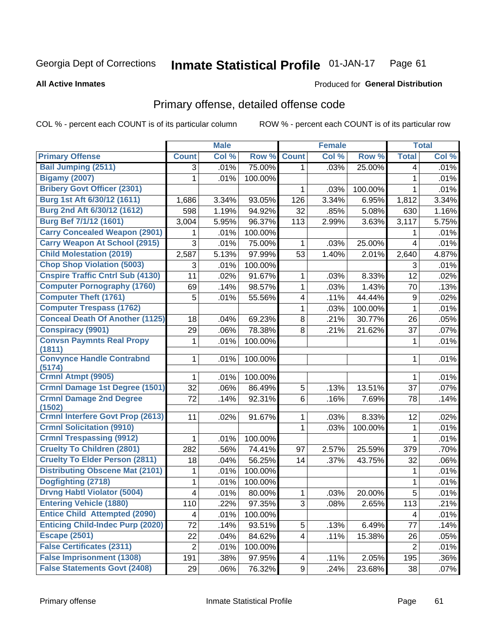#### **Inmate Statistical Profile 01-JAN-17** Page 61

### **All Active Inmates**

## **Produced for General Distribution**

## Primary offense, detailed offense code

COL % - percent each COUNT is of its particular column

|                                            |                | <b>Male</b> |         |                | <b>Female</b> |         |                  | <b>Total</b> |
|--------------------------------------------|----------------|-------------|---------|----------------|---------------|---------|------------------|--------------|
| <b>Primary Offense</b>                     | <b>Count</b>   | Col %       | Row %   | <b>Count</b>   | Col %         | Row %   | <b>Total</b>     | Col %        |
| <b>Bail Jumping (2511)</b>                 | 3              | .01%        | 75.00%  | $\mathbf{1}$   | .03%          | 25.00%  | 4                | .01%         |
| <b>Bigamy (2007)</b>                       | 1              | .01%        | 100.00% |                |               |         | 1                | .01%         |
| <b>Bribery Govt Officer (2301)</b>         |                |             |         | 1              | .03%          | 100.00% | 1                | .01%         |
| Burg 1st Aft 6/30/12 (1611)                | 1,686          | 3.34%       | 93.05%  | 126            | 3.34%         | 6.95%   | 1,812            | 3.34%        |
| Burg 2nd Aft 6/30/12 (1612)                | 598            | 1.19%       | 94.92%  | 32             | .85%          | 5.08%   | 630              | 1.16%        |
| <b>Burg Bef 7/1/12 (1601)</b>              | 3,004          | 5.95%       | 96.37%  | 113            | 2.99%         | 3.63%   | 3,117            | 5.75%        |
| <b>Carry Concealed Weapon (2901)</b>       | 1              | .01%        | 100.00% |                |               |         | 1                | .01%         |
| <b>Carry Weapon At School (2915)</b>       | 3              | .01%        | 75.00%  | 1              | .03%          | 25.00%  | $\overline{4}$   | .01%         |
| <b>Child Molestation (2019)</b>            | 2,587          | 5.13%       | 97.99%  | 53             | 1.40%         | 2.01%   | 2,640            | 4.87%        |
| <b>Chop Shop Violation (5003)</b>          | 3              | .01%        | 100.00% |                |               |         | 3                | .01%         |
| <b>Cnspire Traffic Cntrl Sub (4130)</b>    | 11             | .02%        | 91.67%  | 1              | .03%          | 8.33%   | 12               | .02%         |
| <b>Computer Pornography (1760)</b>         | 69             | .14%        | 98.57%  | 1              | .03%          | 1.43%   | 70               | .13%         |
| <b>Computer Theft (1761)</b>               | 5              | .01%        | 55.56%  | 4              | .11%          | 44.44%  | $\boldsymbol{9}$ | .02%         |
| <b>Computer Trespass (1762)</b>            |                |             |         | 1              | .03%          | 100.00% | $\mathbf{1}$     | .01%         |
| <b>Conceal Death Of Another (1125)</b>     | 18             | .04%        | 69.23%  | 8              | .21%          | 30.77%  | 26               | .05%         |
| <b>Conspiracy (9901)</b>                   | 29             | .06%        | 78.38%  | 8              | .21%          | 21.62%  | 37               | .07%         |
| <b>Convsn Paymnts Real Propy</b><br>(1811) | 1              | .01%        | 100.00% |                |               |         | 1                | .01%         |
| <b>Convynce Handle Contrabnd</b><br>(5174) | 1              | .01%        | 100.00% |                |               |         | 1                | .01%         |
| <b>Crmnl Atmpt (9905)</b>                  | 1              | .01%        | 100.00% |                |               |         | 1                | .01%         |
| <b>Crmnl Damage 1st Degree (1501)</b>      | 32             | .06%        | 86.49%  | 5              | .13%          | 13.51%  | 37               | .07%         |
| <b>Crmnl Damage 2nd Degree</b><br>(1502)   | 72             | .14%        | 92.31%  | 6              | .16%          | 7.69%   | 78               | .14%         |
| <b>Crmnl Interfere Govt Prop (2613)</b>    | 11             | .02%        | 91.67%  | 1              | .03%          | 8.33%   | 12               | .02%         |
| <b>Crmnl Solicitation (9910)</b>           |                |             |         | 1              | .03%          | 100.00% | $\mathbf{1}$     | .01%         |
| <b>Crmnl Trespassing (9912)</b>            | 1              | .01%        | 100.00% |                |               |         | $\mathbf{1}$     | .01%         |
| <b>Cruelty To Children (2801)</b>          | 282            | .56%        | 74.41%  | 97             | 2.57%         | 25.59%  | 379              | .70%         |
| <b>Cruelty To Elder Person (2811)</b>      | 18             | .04%        | 56.25%  | 14             | .37%          | 43.75%  | 32               | .06%         |
| <b>Distributing Obscene Mat (2101)</b>     | 1              | .01%        | 100.00% |                |               |         | 1                | .01%         |
| Dogfighting (2718)                         | 1              | .01%        | 100.00% |                |               |         | 1                | .01%         |
| <b>Drvng Habtl Violator (5004)</b>         | 4              | .01%        | 80.00%  | 1              | .03%          | 20.00%  | 5                | .01%         |
| <b>Entering Vehicle (1880)</b>             | 110            | .22%        | 97.35%  | 3 <sup>1</sup> | .08%          | 2.65%   | 113              | .21%         |
| <b>Entice Child Attempted (2090)</b>       | 4              | .01%        | 100.00% |                |               |         | 4                | .01%         |
| <b>Enticing Child-Indec Purp (2020)</b>    | 72             | .14%        | 93.51%  | 5              | .13%          | 6.49%   | 77               | .14%         |
| <b>Escape (2501)</b>                       | 22             | .04%        | 84.62%  | 4              | .11%          | 15.38%  | 26               | .05%         |
| <b>False Certificates (2311)</b>           | $\overline{2}$ | .01%        | 100.00% |                |               |         | $\overline{2}$   | .01%         |
| <b>False Imprisonment (1308)</b>           | 191            | .38%        | 97.95%  | 4              | .11%          | 2.05%   | 195              | .36%         |
| <b>False Statements Govt (2408)</b>        | 29             | .06%        | 76.32%  | 9              | .24%          | 23.68%  | 38               | .07%         |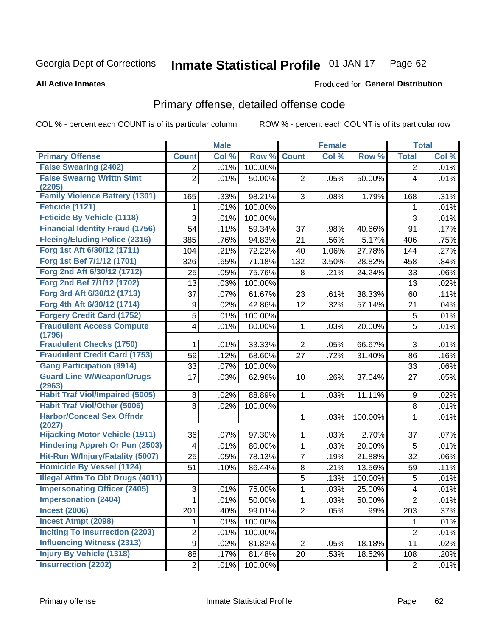#### Inmate Statistical Profile 01-JAN-17 Page 62

**All Active Inmates** 

### **Produced for General Distribution**

## Primary offense, detailed offense code

COL % - percent each COUNT is of its particular column

|                                                 |                         | <b>Male</b> |         |                | <b>Female</b> |         |                | <b>Total</b> |
|-------------------------------------------------|-------------------------|-------------|---------|----------------|---------------|---------|----------------|--------------|
| <b>Primary Offense</b>                          | <b>Count</b>            | Col %       | Row %   | <b>Count</b>   | Col %         | Row %   | <b>Total</b>   | Col %        |
| <b>False Swearing (2402)</b>                    | $\overline{2}$          | .01%        | 100.00% |                |               |         | 2              | .01%         |
| <b>False Swearng Writtn Stmt</b>                | $\overline{2}$          | .01%        | 50.00%  | $\overline{2}$ | .05%          | 50.00%  | 4              | .01%         |
| (2205)                                          |                         |             |         |                |               |         |                |              |
| <b>Family Violence Battery (1301)</b>           | 165                     | .33%        | 98.21%  | 3              | .08%          | 1.79%   | 168            | .31%         |
| Feticide (1121)                                 | 1                       | .01%        | 100.00% |                |               |         | 1              | .01%         |
| <b>Feticide By Vehicle (1118)</b>               | 3                       | .01%        | 100.00% |                |               |         | 3              | .01%         |
| <b>Financial Identity Fraud (1756)</b>          | 54                      | .11%        | 59.34%  | 37             | .98%          | 40.66%  | 91             | .17%         |
| <b>Fleeing/Eluding Police (2316)</b>            | 385                     | .76%        | 94.83%  | 21             | .56%          | 5.17%   | 406            | .75%         |
| Forg 1st Aft 6/30/12 (1711)                     | 104                     | .21%        | 72.22%  | 40             | 1.06%         | 27.78%  | 144            | .27%         |
| Forg 1st Bef 7/1/12 (1701)                      | 326                     | .65%        | 71.18%  | 132            | 3.50%         | 28.82%  | 458            | .84%         |
| Forg 2nd Aft 6/30/12 (1712)                     | 25                      | .05%        | 75.76%  | 8              | .21%          | 24.24%  | 33             | .06%         |
| Forg 2nd Bef 7/1/12 (1702)                      | 13                      | .03%        | 100.00% |                |               |         | 13             | .02%         |
| Forg 3rd Aft 6/30/12 (1713)                     | 37                      | .07%        | 61.67%  | 23             | .61%          | 38.33%  | 60             | .11%         |
| Forg 4th Aft 6/30/12 (1714)                     | 9                       | .02%        | 42.86%  | 12             | .32%          | 57.14%  | 21             | .04%         |
| <b>Forgery Credit Card (1752)</b>               | 5                       | .01%        | 100.00% |                |               |         | 5              | .01%         |
| <b>Fraudulent Access Compute</b>                | $\overline{\mathbf{4}}$ | .01%        | 80.00%  | 1              | .03%          | 20.00%  | 5              | .01%         |
| (1796)                                          |                         |             |         |                |               |         |                |              |
| <b>Fraudulent Checks (1750)</b>                 | 1                       | .01%        | 33.33%  | $\overline{2}$ | .05%          | 66.67%  | 3              | .01%         |
| <b>Fraudulent Credit Card (1753)</b>            | 59                      | .12%        | 68.60%  | 27             | .72%          | 31.40%  | 86             | .16%         |
| <b>Gang Participation (9914)</b>                | 33                      | .07%        | 100.00% |                |               |         | 33             | $.06\%$      |
| <b>Guard Line W/Weapon/Drugs</b><br>(2963)      | 17                      | .03%        | 62.96%  | 10             | .26%          | 37.04%  | 27             | .05%         |
| <b>Habit Traf Viol/Impaired (5005)</b>          | 8                       | .02%        | 88.89%  | 1              | .03%          | 11.11%  | 9              | .02%         |
| <b>Habit Traf Viol/Other (5006)</b>             | 8                       | .02%        | 100.00% |                |               |         | 8              | .01%         |
| <b>Harbor/Conceal Sex Offndr</b>                |                         |             |         | 1              | .03%          | 100.00% | 1              | .01%         |
| (2027)<br><b>Hijacking Motor Vehicle (1911)</b> |                         |             |         |                |               |         |                |              |
| <b>Hindering Appreh Or Pun (2503)</b>           | 36                      | .07%        | 97.30%  | 1              | .03%          | 2.70%   | 37             | .07%         |
|                                                 | 4                       | .01%        | 80.00%  | $\mathbf{1}$   | .03%          | 20.00%  | 5              | .01%         |
| Hit-Run W/Injury/Fatality (5007)                | 25                      | .05%        | 78.13%  | $\overline{7}$ | .19%          | 21.88%  | 32             | .06%         |
| <b>Homicide By Vessel (1124)</b>                | 51                      | .10%        | 86.44%  | 8              | .21%          | 13.56%  | 59             | .11%         |
| <b>Illegal Attm To Obt Drugs (4011)</b>         |                         |             |         | 5              | .13%          | 100.00% | 5              | .01%         |
| <b>Impersonating Officer (2405)</b>             | 3                       | .01%        | 75.00%  | 1              | .03%          | 25.00%  | 4              | .01%         |
| <b>Impersonation (2404)</b>                     | $\overline{1}$          | .01%        | 50.00%  | $\mathbf 1$    | .03%          | 50.00%  | $\overline{2}$ | .01%         |
| <b>Incest (2006)</b>                            | 201                     | .40%        | 99.01%  | $\overline{2}$ | .05%          | .99%    | 203            | .37%         |
| <b>Incest Atmpt (2098)</b>                      | 1                       | .01%        | 100.00% |                |               |         | 1              | .01%         |
| <b>Inciting To Insurrection (2203)</b>          | $\overline{2}$          | .01%        | 100.00% |                |               |         | $\overline{2}$ | .01%         |
| <b>Influencing Witness (2313)</b>               | 9                       | .02%        | 81.82%  | 2              | .05%          | 18.18%  | 11             | .02%         |
| <b>Injury By Vehicle (1318)</b>                 | 88                      | .17%        | 81.48%  | 20             | .53%          | 18.52%  | 108            | .20%         |
| <b>Insurrection (2202)</b>                      | $\overline{2}$          | .01%        | 100.00% |                |               |         | $\overline{2}$ | .01%         |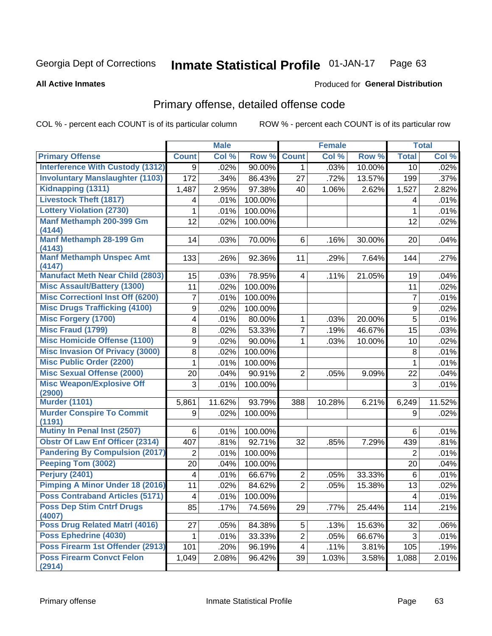#### Inmate Statistical Profile 01-JAN-17 Page 63

### **All Active Inmates**

## **Produced for General Distribution**

## Primary offense, detailed offense code

COL % - percent each COUNT is of its particular column

|                                            |                | <b>Male</b> |         |                | <b>Female</b> |        |                  | <b>Total</b> |
|--------------------------------------------|----------------|-------------|---------|----------------|---------------|--------|------------------|--------------|
| <b>Primary Offense</b>                     | <b>Count</b>   | Col %       | Row %   | <b>Count</b>   | Col %         | Row %  | <b>Total</b>     | Col %        |
| <b>Interference With Custody (1312)</b>    | 9              | .02%        | 90.00%  | $\mathbf{1}$   | .03%          | 10.00% | 10               | .02%         |
| <b>Involuntary Manslaughter (1103)</b>     | 172            | .34%        | 86.43%  | 27             | .72%          | 13.57% | 199              | .37%         |
| Kidnapping (1311)                          | 1,487          | 2.95%       | 97.38%  | 40             | 1.06%         | 2.62%  | 1,527            | 2.82%        |
| <b>Livestock Theft (1817)</b>              | 4              | .01%        | 100.00% |                |               |        | 4                | .01%         |
| <b>Lottery Violation (2730)</b>            | 1              | .01%        | 100.00% |                |               |        | 1                | .01%         |
| Manf Methamph 200-399 Gm<br>(4144)         | 12             | .02%        | 100.00% |                |               |        | 12               | .02%         |
| Manf Methamph 28-199 Gm<br>(4143)          | 14             | .03%        | 70.00%  | 6              | .16%          | 30.00% | 20               | .04%         |
| <b>Manf Methamph Unspec Amt</b><br>(4147)  | 133            | .26%        | 92.36%  | 11             | .29%          | 7.64%  | 144              | .27%         |
| <b>Manufact Meth Near Child (2803)</b>     | 15             | .03%        | 78.95%  | 4              | .11%          | 21.05% | 19               | .04%         |
| <b>Misc Assault/Battery (1300)</b>         | 11             | .02%        | 100.00% |                |               |        | 11               | .02%         |
| <b>Misc Correctionl Inst Off (6200)</b>    | $\overline{7}$ | .01%        | 100.00% |                |               |        | $\overline{7}$   | .01%         |
| <b>Misc Drugs Trafficking (4100)</b>       | 9              | .02%        | 100.00% |                |               |        | $\boldsymbol{9}$ | .02%         |
| <b>Misc Forgery (1700)</b>                 | 4              | .01%        | 80.00%  | 1              | .03%          | 20.00% | $\overline{5}$   | .01%         |
| Misc Fraud (1799)                          | 8              | .02%        | 53.33%  | 7              | .19%          | 46.67% | 15               | .03%         |
| <b>Misc Homicide Offense (1100)</b>        | 9              | .02%        | 90.00%  | 1              | .03%          | 10.00% | 10               | .02%         |
| <b>Misc Invasion Of Privacy (3000)</b>     | 8              | .02%        | 100.00% |                |               |        | 8                | .01%         |
| <b>Misc Public Order (2200)</b>            | 1              | .01%        | 100.00% |                |               |        | 1                | .01%         |
| <b>Misc Sexual Offense (2000)</b>          | 20             | .04%        | 90.91%  | $\overline{2}$ | .05%          | 9.09%  | 22               | .04%         |
| <b>Misc Weapon/Explosive Off</b><br>(2900) | 3              | .01%        | 100.00% |                |               |        | 3                | .01%         |
| <b>Murder (1101)</b>                       | 5,861          | 11.62%      | 93.79%  | 388            | 10.28%        | 6.21%  | 6,249            | 11.52%       |
| <b>Murder Conspire To Commit</b><br>(1191) | 9              | .02%        | 100.00% |                |               |        | 9                | .02%         |
| <b>Mutiny In Penal Inst (2507)</b>         | 6              | .01%        | 100.00% |                |               |        | 6                | .01%         |
| <b>Obstr Of Law Enf Officer (2314)</b>     | 407            | .81%        | 92.71%  | 32             | .85%          | 7.29%  | 439              | .81%         |
| <b>Pandering By Compulsion (2017)</b>      | $\overline{2}$ | .01%        | 100.00% |                |               |        | $\overline{2}$   | .01%         |
| Peeping Tom (3002)                         | 20             | .04%        | 100.00% |                |               |        | 20               | .04%         |
| Perjury (2401)                             | $\overline{4}$ | .01%        | 66.67%  | $\overline{2}$ | .05%          | 33.33% | 6                | .01%         |
| <b>Pimping A Minor Under 18 (2016)</b>     | 11             | .02%        | 84.62%  | $\overline{2}$ | .05%          | 15.38% | 13               | .02%         |
| <b>Poss Contraband Articles (5171)</b>     | 4              | .01%        | 100.00% |                |               |        | $\overline{4}$   | .01%         |
| <b>Poss Dep Stim Cntrf Drugs</b><br>(4007) | 85             | .17%        | 74.56%  | 29             | .77%          | 25.44% | 114              | .21%         |
| Poss Drug Related Matrl (4016)             | 27             | .05%        | 84.38%  | 5 <sup>1</sup> | .13%          | 15.63% | 32               | .06%         |
| Poss Ephedrine (4030)                      | 1              | .01%        | 33.33%  | $\overline{2}$ | .05%          | 66.67% | 3                | .01%         |
| Poss Firearm 1st Offender (2913)           | 101            | .20%        | 96.19%  | 4              | .11%          | 3.81%  | 105              | .19%         |
| <b>Poss Firearm Convct Felon</b><br>(2914) | 1,049          | 2.08%       | 96.42%  | 39             | 1.03%         | 3.58%  | 1,088            | 2.01%        |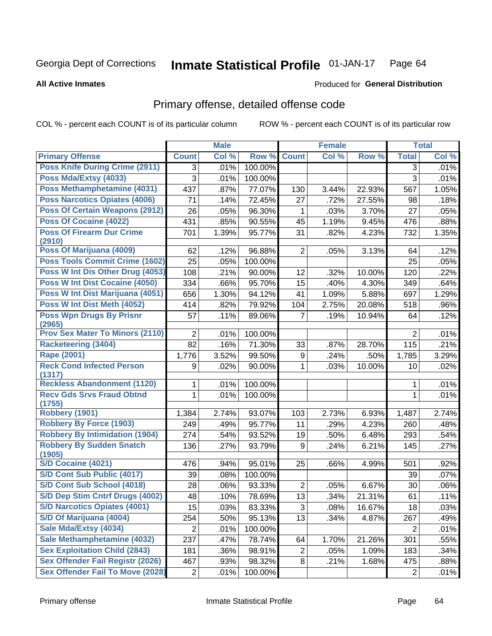#### Inmate Statistical Profile 01-JAN-17 Page 64

**All Active Inmates** 

### Produced for General Distribution

## Primary offense, detailed offense code

COL % - percent each COUNT is of its particular column

|                                            |                | <b>Male</b> |         |                | <b>Female</b> |        |                | <b>Total</b> |
|--------------------------------------------|----------------|-------------|---------|----------------|---------------|--------|----------------|--------------|
| <b>Primary Offense</b>                     | <b>Count</b>   | Col %       | Row %   | <b>Count</b>   | Col %         | Row %  | <b>Total</b>   | Col %        |
| <b>Poss Knife During Crime (2911)</b>      | 3              | .01%        | 100.00% |                |               |        | 3              | .01%         |
| Poss Mda/Extsy (4033)                      | 3              | .01%        | 100.00% |                |               |        | $\overline{3}$ | .01%         |
| Poss Methamphetamine (4031)                | 437            | .87%        | 77.07%  | 130            | 3.44%         | 22.93% | 567            | 1.05%        |
| <b>Poss Narcotics Opiates (4006)</b>       | 71             | .14%        | 72.45%  | 27             | .72%          | 27.55% | 98             | .18%         |
| <b>Poss Of Certain Weapons (2912)</b>      | 26             | .05%        | 96.30%  | 1              | .03%          | 3.70%  | 27             | .05%         |
| Poss Of Cocaine (4022)                     | 431            | .85%        | 90.55%  | 45             | 1.19%         | 9.45%  | 476            | .88%         |
| <b>Poss Of Firearm Dur Crime</b><br>(2910) | 701            | 1.39%       | 95.77%  | 31             | .82%          | 4.23%  | 732            | 1.35%        |
| Poss Of Marijuana (4009)                   | 62             | .12%        | 96.88%  | $\overline{2}$ | .05%          | 3.13%  | 64             | .12%         |
| <b>Poss Tools Commit Crime (1602)</b>      | 25             | .05%        | 100.00% |                |               |        | 25             | .05%         |
| Poss W Int Dis Other Drug (4053)           | 108            | .21%        | 90.00%  | 12             | .32%          | 10.00% | 120            | .22%         |
| <b>Poss W Int Dist Cocaine (4050)</b>      | 334            | .66%        | 95.70%  | 15             | .40%          | 4.30%  | 349            | .64%         |
| Poss W Int Dist Marijuana (4051)           | 656            | 1.30%       | 94.12%  | 41             | 1.09%         | 5.88%  | 697            | 1.29%        |
| Poss W Int Dist Meth (4052)                | 414            | .82%        | 79.92%  | 104            | 2.75%         | 20.08% | 518            | .96%         |
| <b>Poss Wpn Drugs By Prisnr</b><br>(2965)  | 57             | .11%        | 89.06%  | $\overline{7}$ | .19%          | 10.94% | 64             | .12%         |
| <b>Prov Sex Mater To Minors (2110)</b>     | $\overline{2}$ | .01%        | 100.00% |                |               |        | $\overline{2}$ | .01%         |
| <b>Racketeering (3404)</b>                 | 82             | .16%        | 71.30%  | 33             | .87%          | 28.70% | 115            | .21%         |
| Rape (2001)                                | 1,776          | 3.52%       | 99.50%  | 9              | .24%          | .50%   | 1,785          | 3.29%        |
| <b>Reck Cond Infected Person</b><br>(1317) | 9              | .02%        | 90.00%  | 1              | .03%          | 10.00% | 10             | .02%         |
| <b>Reckless Abandonment (1120)</b>         | $\mathbf{1}$   | .01%        | 100.00% |                |               |        | 1              | .01%         |
| <b>Recv Gds Srvs Fraud Obtnd</b>           | 1              | .01%        | 100.00% |                |               |        | $\mathbf{1}$   | .01%         |
| (1755)<br><b>Robbery (1901)</b>            | 1,384          | 2.74%       | 93.07%  | 103            | 2.73%         | 6.93%  | 1,487          | 2.74%        |
| <b>Robbery By Force (1903)</b>             | 249            | .49%        | 95.77%  | 11             | .29%          | 4.23%  | 260            | .48%         |
| <b>Robbery By Intimidation (1904)</b>      | 274            | .54%        | 93.52%  | 19             | .50%          | 6.48%  | 293            | .54%         |
| <b>Robbery By Sudden Snatch</b>            | 136            | .27%        | 93.79%  | 9              | .24%          | 6.21%  | 145            | .27%         |
| (1905)                                     |                |             |         |                |               |        |                |              |
| S/D Cocaine (4021)                         | 476            | .94%        | 95.01%  | 25             | .66%          | 4.99%  | 501            | .92%         |
| S/D Cont Sub Public (4017)                 | 39             | .08%        | 100.00% |                |               |        | 39             | .07%         |
| S/D Cont Sub School (4018)                 | 28             | .06%        | 93.33%  | $\overline{2}$ | .05%          | 6.67%  | 30             | .06%         |
| S/D Dep Stim Cntrf Drugs (4002)            | 48             | .10%        | 78.69%  | 13             | .34%          | 21.31% | 61             | .11%         |
| <b>S/D Narcotics Opiates (4001)</b>        | 15             | .03%        | 83.33%  | 3              | .08%          | 16.67% | 18             | .03%         |
| S/D Of Marijuana (4004)                    | 254            | .50%        | 95.13%  | 13             | .34%          | 4.87%  | 267            | .49%         |
| Sale Mda/Extsy (4034)                      | $\overline{2}$ | .01%        | 100.00% |                |               |        | $\overline{2}$ | .01%         |
| Sale Methamphetamine (4032)                | 237            | .47%        | 78.74%  | 64             | 1.70%         | 21.26% | 301            | .55%         |
| <b>Sex Exploitation Child (2843)</b>       | 181            | .36%        | 98.91%  | $\overline{2}$ | .05%          | 1.09%  | 183            | .34%         |
| <b>Sex Offender Fail Registr (2026)</b>    | 467            | .93%        | 98.32%  | 8              | .21%          | 1.68%  | 475            | .88%         |
| <b>Sex Offender Fail To Move (2028)</b>    | $\overline{2}$ | .01%        | 100.00% |                |               |        | $\overline{2}$ | .01%         |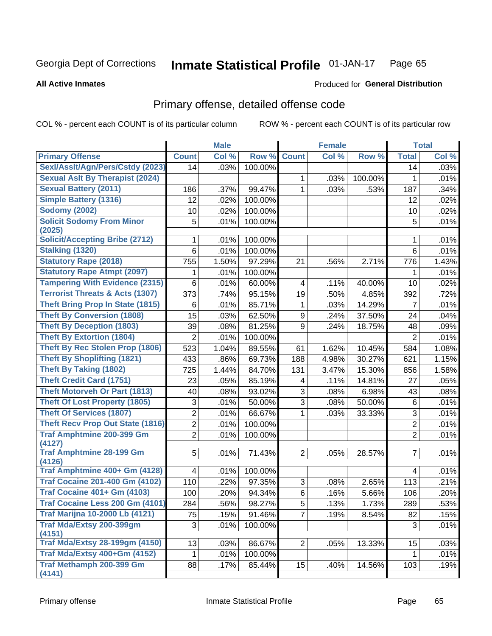#### Inmate Statistical Profile 01-JAN-17 Page 65

**All Active Inmates** 

### **Produced for General Distribution**

## Primary offense, detailed offense code

COL % - percent each COUNT is of its particular column

|                                            |                | <b>Male</b> |         |                | <b>Female</b> |         |                | <b>Total</b> |
|--------------------------------------------|----------------|-------------|---------|----------------|---------------|---------|----------------|--------------|
| <b>Primary Offense</b>                     | <b>Count</b>   | Col %       | Row %   | <b>Count</b>   | Col %         | Row %   | <b>Total</b>   | Col %        |
| Sexl/Asslt/Agn/Pers/Cstdy (2023)           | 14             | .03%        | 100.00% |                |               |         | 14             | .03%         |
| <b>Sexual Aslt By Therapist (2024)</b>     |                |             |         | 1              | .03%          | 100.00% | 1              | .01%         |
| <b>Sexual Battery (2011)</b>               | 186            | .37%        | 99.47%  | 1              | .03%          | .53%    | 187            | .34%         |
| <b>Simple Battery (1316)</b>               | 12             | .02%        | 100.00% |                |               |         | 12             | .02%         |
| <b>Sodomy (2002)</b>                       | 10             | .02%        | 100.00% |                |               |         | 10             | .02%         |
| <b>Solicit Sodomy From Minor</b><br>(2025) | 5              | .01%        | 100.00% |                |               |         | 5              | .01%         |
| <b>Solicit/Accepting Bribe (2712)</b>      | 1              | .01%        | 100.00% |                |               |         | 1              | .01%         |
| Stalking (1320)                            | 6              | .01%        | 100.00% |                |               |         | 6              | .01%         |
| <b>Statutory Rape (2018)</b>               | 755            | 1.50%       | 97.29%  | 21             | .56%          | 2.71%   | 776            | 1.43%        |
| <b>Statutory Rape Atmpt (2097)</b>         | 1              | .01%        | 100.00% |                |               |         | 1              | .01%         |
| <b>Tampering With Evidence (2315)</b>      | 6              | .01%        | 60.00%  | 4              | .11%          | 40.00%  | 10             | .02%         |
| <b>Terrorist Threats &amp; Acts (1307)</b> | 373            | .74%        | 95.15%  | 19             | .50%          | 4.85%   | 392            | .72%         |
| <b>Theft Bring Prop In State (1815)</b>    | 6              | .01%        | 85.71%  | 1              | .03%          | 14.29%  | 7              | .01%         |
| <b>Theft By Conversion (1808)</b>          | 15             | .03%        | 62.50%  | 9              | .24%          | 37.50%  | 24             | .04%         |
| <b>Theft By Deception (1803)</b>           | 39             | .08%        | 81.25%  | 9              | .24%          | 18.75%  | 48             | .09%         |
| <b>Theft By Extortion (1804)</b>           | $\overline{2}$ | .01%        | 100.00% |                |               |         | $\overline{2}$ | .01%         |
| <b>Theft By Rec Stolen Prop (1806)</b>     | 523            | 1.04%       | 89.55%  | 61             | 1.62%         | 10.45%  | 584            | 1.08%        |
| <b>Theft By Shoplifting (1821)</b>         | 433            | .86%        | 69.73%  | 188            | 4.98%         | 30.27%  | 621            | 1.15%        |
| <b>Theft By Taking (1802)</b>              | 725            | 1.44%       | 84.70%  | 131            | 3.47%         | 15.30%  | 856            | 1.58%        |
| <b>Theft Credit Card (1751)</b>            | 23             | .05%        | 85.19%  | 4              | .11%          | 14.81%  | 27             | .05%         |
| <b>Theft Motorveh Or Part (1813)</b>       | 40             | .08%        | 93.02%  | 3              | .08%          | 6.98%   | 43             | .08%         |
| <b>Theft Of Lost Property (1805)</b>       | 3              | .01%        | 50.00%  | 3              | .08%          | 50.00%  | 6              | .01%         |
| <b>Theft Of Services (1807)</b>            | $\overline{2}$ | .01%        | 66.67%  | 1              | .03%          | 33.33%  | 3              | .01%         |
| <b>Theft Recv Prop Out State (1816)</b>    | $\overline{2}$ | .01%        | 100.00% |                |               |         | $\overline{2}$ | .01%         |
| <b>Traf Amphtmine 200-399 Gm</b><br>(4127) | $\overline{2}$ | .01%        | 100.00% |                |               |         | $\overline{2}$ | .01%         |
| <b>Traf Amphtmine 28-199 Gm</b><br>(4126)  | 5              | .01%        | 71.43%  | $\overline{2}$ | .05%          | 28.57%  | $\overline{7}$ | .01%         |
| Traf Amphtmine 400+ Gm (4128)              | $\overline{4}$ | .01%        | 100.00% |                |               |         | 4              | .01%         |
| <b>Traf Cocaine 201-400 Gm (4102)</b>      | 110            | .22%        | 97.35%  | 3              | .08%          | 2.65%   | 113            | .21%         |
| <b>Traf Cocaine 401+ Gm (4103)</b>         | 100            | .20%        | 94.34%  | 6              | .16%          | 5.66%   | 106            | .20%         |
| Traf Cocaine Less 200 Gm (4101)            | 284            | .56%        | 98.27%  | 5 <sup>1</sup> | .13%          | 1.73%   | 289            | .53%         |
| <b>Traf Marijna 10-2000 Lb (4121)</b>      | 75             | .15%        | 91.46%  | $\overline{7}$ | .19%          | 8.54%   | 82             | .15%         |
| Traf Mda/Extsy 200-399gm<br>(4151)         | 3              | .01%        | 100.00% |                |               |         | 3              | .01%         |
| <b>Traf Mda/Extsy 28-199gm (4150)</b>      | 13             | .03%        | 86.67%  | $\overline{2}$ | .05%          | 13.33%  | 15             | .03%         |
| Traf Mda/Extsy 400+Gm (4152)               | 1              | .01%        | 100.00% |                |               |         | 1              | .01%         |
| Traf Methamph 200-399 Gm<br>(4141)         | 88             | .17%        | 85.44%  | 15             | .40%          | 14.56%  | 103            | .19%         |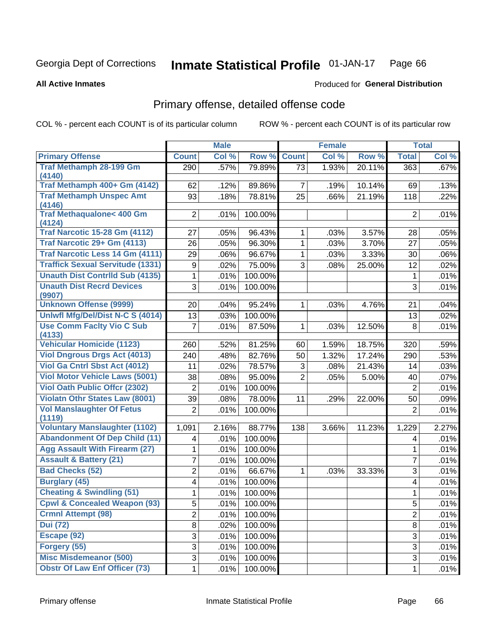#### Inmate Statistical Profile 01-JAN-17 Page 66

### **All Active Inmates**

## **Produced for General Distribution**

## Primary offense, detailed offense code

COL % - percent each COUNT is of its particular column

|                                            |                  | <b>Male</b> |         |                | <b>Female</b> |        |                | <b>Total</b> |
|--------------------------------------------|------------------|-------------|---------|----------------|---------------|--------|----------------|--------------|
| <b>Primary Offense</b>                     | <b>Count</b>     | Col %       | Row %   | <b>Count</b>   | Col %         | Row %  | <b>Total</b>   | Col %        |
| <b>Traf Methamph 28-199 Gm</b>             | 290              | .57%        | 79.89%  | 73             | 1.93%         | 20.11% | 363            | .67%         |
| (4140)                                     |                  |             |         |                |               |        |                |              |
| Traf Methamph 400+ Gm (4142)               | 62               | .12%        | 89.86%  | $\overline{7}$ | .19%          | 10.14% | 69             | .13%         |
| <b>Traf Methamph Unspec Amt</b><br>(4146)  | 93               | .18%        | 78.81%  | 25             | .66%          | 21.19% | 118            | .22%         |
| <b>Traf Methaqualone&lt; 400 Gm</b>        | $\overline{2}$   | .01%        | 100.00% |                |               |        | $\overline{2}$ | .01%         |
| (4124)                                     |                  |             |         |                |               |        |                |              |
| <b>Traf Narcotic 15-28 Gm (4112)</b>       | 27               | .05%        | 96.43%  | 1              | .03%          | 3.57%  | 28             | .05%         |
| Traf Narcotic 29+ Gm (4113)                | 26               | .05%        | 96.30%  | 1              | .03%          | 3.70%  | 27             | .05%         |
| <b>Traf Narcotic Less 14 Gm (4111)</b>     | 29               | .06%        | 96.67%  | 1              | .03%          | 3.33%  | 30             | .06%         |
| <b>Traffick Sexual Servitude (1331)</b>    | $\boldsymbol{9}$ | .02%        | 75.00%  | 3              | .08%          | 25.00% | 12             | .02%         |
| <b>Unauth Dist Contrild Sub (4135)</b>     | 1                | .01%        | 100.00% |                |               |        | $\mathbf{1}$   | .01%         |
| <b>Unauth Dist Recrd Devices</b>           | 3                | .01%        | 100.00% |                |               |        | $\mathfrak{S}$ | .01%         |
| (9907)                                     |                  |             |         |                |               |        |                |              |
| <b>Unknown Offense (9999)</b>              | 20               | .04%        | 95.24%  | 1              | .03%          | 4.76%  | 21             | .04%         |
| Uniwfl Mfg/Del/Dist N-C S (4014)           | 13               | .03%        | 100.00% |                |               |        | 13             | .02%         |
| <b>Use Comm Facity Vio C Sub</b><br>(4133) | $\overline{7}$   | .01%        | 87.50%  | $\mathbf{1}$   | .03%          | 12.50% | 8              | .01%         |
| <b>Vehicular Homicide (1123)</b>           | 260              | .52%        | 81.25%  | 60             | 1.59%         | 18.75% | 320            | .59%         |
| <b>Viol Dngrous Drgs Act (4013)</b>        | 240              | .48%        | 82.76%  | 50             | 1.32%         | 17.24% | 290            | .53%         |
| Viol Ga Cntrl Sbst Act (4012)              | 11               | .02%        | 78.57%  | 3              | .08%          | 21.43% | 14             | .03%         |
| <b>Viol Motor Vehicle Laws (5001)</b>      | 38               | .08%        | 95.00%  | $\overline{2}$ | .05%          | 5.00%  | 40             | .07%         |
| <b>Viol Oath Public Offcr (2302)</b>       | $\overline{2}$   | .01%        | 100.00% |                |               |        | $\overline{2}$ | .01%         |
| <b>Violatn Othr States Law (8001)</b>      | 39               | .08%        | 78.00%  | 11             | .29%          | 22.00% | 50             | .09%         |
| <b>Vol Manslaughter Of Fetus</b><br>(1119) | $\overline{2}$   | .01%        | 100.00% |                |               |        | $\overline{2}$ | .01%         |
| <b>Voluntary Manslaughter (1102)</b>       | 1,091            | 2.16%       | 88.77%  | 138            | 3.66%         | 11.23% | 1,229          | 2.27%        |
| <b>Abandonment Of Dep Child (11)</b>       | 4                | .01%        | 100.00% |                |               |        | 4              | .01%         |
| <b>Agg Assault With Firearm (27)</b>       | 1                | .01%        | 100.00% |                |               |        | 1              | .01%         |
| <b>Assault &amp; Battery (21)</b>          | 7                | .01%        | 100.00% |                |               |        | 7              | .01%         |
| <b>Bad Checks (52)</b>                     | 2                | .01%        | 66.67%  | $\mathbf{1}$   | .03%          | 33.33% | 3              | .01%         |
| <b>Burglary (45)</b>                       | 4                | .01%        | 100.00% |                |               |        | 4              | .01%         |
| <b>Cheating &amp; Swindling (51)</b>       | 1                | .01%        | 100.00% |                |               |        | 1              | .01%         |
| <b>Cpwl &amp; Concealed Weapon (93)</b>    | 5                | .01%        | 100.00% |                |               |        | 5              | .01%         |
| <b>Crmnl Attempt (98)</b>                  | $\overline{2}$   | .01%        | 100.00% |                |               |        | $\overline{2}$ | .01%         |
| <b>Dui</b> (72)                            | 8                | .02%        | 100.00% |                |               |        | $\bf 8$        | .01%         |
| Escape (92)                                | 3                | .01%        | 100.00% |                |               |        | 3              | .01%         |
| Forgery (55)                               | $\overline{3}$   | .01%        | 100.00% |                |               |        | 3              | .01%         |
| <b>Misc Misdemeanor (500)</b>              | $\overline{3}$   | .01%        | 100.00% |                |               |        | 3              | .01%         |
| <b>Obstr Of Law Enf Officer (73)</b>       | $\mathbf 1$      | .01%        | 100.00% |                |               |        | $\mathbf{1}$   | .01%         |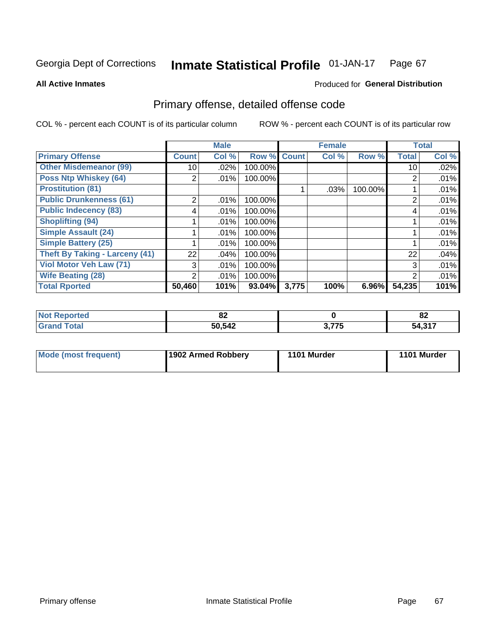#### Inmate Statistical Profile 01-JAN-17 Page 67

Produced for General Distribution

### **All Active Inmates**

## Primary offense, detailed offense code

COL % - percent each COUNT is of its particular column

|                                       |              | <b>Male</b> |         |              | <b>Female</b> |         |              | <b>Total</b> |
|---------------------------------------|--------------|-------------|---------|--------------|---------------|---------|--------------|--------------|
| <b>Primary Offense</b>                | <b>Count</b> | Col %       | Row %   | <b>Count</b> | Col %         | Row %   | <b>Total</b> | Col %        |
| <b>Other Misdemeanor (99)</b>         | 10           | $.02\%$     | 100.00% |              |               |         | 10           | .02%         |
| <b>Poss Ntp Whiskey (64)</b>          | 2            | .01%        | 100.00% |              |               |         | 2            | .01%         |
| <b>Prostitution (81)</b>              |              |             |         |              | .03%          | 100.00% |              | .01%         |
| <b>Public Drunkenness (61)</b>        | 2            | .01%        | 100.00% |              |               |         | 2            | .01%         |
| <b>Public Indecency (83)</b>          | 4            | .01%        | 100.00% |              |               |         | 4            | .01%         |
| <b>Shoplifting (94)</b>               |              | .01%        | 100.00% |              |               |         |              | .01%         |
| <b>Simple Assault (24)</b>            |              | .01%        | 100.00% |              |               |         |              | .01%         |
| <b>Simple Battery (25)</b>            |              | .01%        | 100.00% |              |               |         |              | .01%         |
| <b>Theft By Taking - Larceny (41)</b> | 22           | .04%        | 100.00% |              |               |         | 22           | .04%         |
| Viol Motor Veh Law (71)               | 3            | .01%        | 100.00% |              |               |         | 3            | .01%         |
| <b>Wife Beating (28)</b>              | 2            | .01%        | 100.00% |              |               |         | 2            | .01%         |
| <b>Total Rported</b>                  | 50,460       | 101%        | 93.04%  | 3,775        | 100%          | 6.96%   | 54,235       | 101%         |

| ^^<br>. OZ |              | o.<br>οz  |
|------------|--------------|-----------|
| 50.542     | ת T75<br>' J | 247<br>^^ |

| <b>Mode (most frequent)</b> | 1902 Armed Robberv | 1101 Murder | 1101 Murder |
|-----------------------------|--------------------|-------------|-------------|
|-----------------------------|--------------------|-------------|-------------|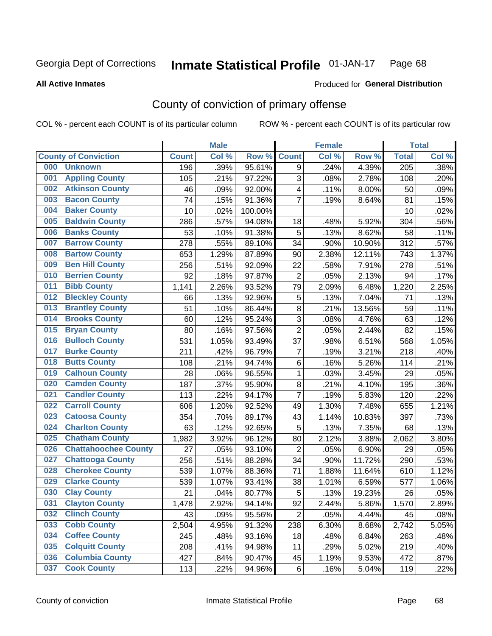#### **Inmate Statistical Profile 01-JAN-17** Page 68

**All Active Inmates** 

### Produced for General Distribution

## County of conviction of primary offense

COL % - percent each COUNT is of its particular column

|     |                             |              | <b>Male</b> |         |                         | <b>Female</b> |        |                  | <b>Total</b> |
|-----|-----------------------------|--------------|-------------|---------|-------------------------|---------------|--------|------------------|--------------|
|     | <b>County of Conviction</b> | <b>Count</b> | Col %       | Row %   | <b>Count</b>            | Col %         | Row %  | <b>Total</b>     | Col%         |
| 000 | <b>Unknown</b>              | 196          | .39%        | 95.61%  | 9                       | .24%          | 4.39%  | $\overline{205}$ | .38%         |
| 001 | <b>Appling County</b>       | 105          | .21%        | 97.22%  | 3                       | .08%          | 2.78%  | 108              | .20%         |
| 002 | <b>Atkinson County</b>      | 46           | .09%        | 92.00%  | $\overline{\mathbf{4}}$ | .11%          | 8.00%  | 50               | .09%         |
| 003 | <b>Bacon County</b>         | 74           | .15%        | 91.36%  | $\overline{7}$          | .19%          | 8.64%  | 81               | .15%         |
| 004 | <b>Baker County</b>         | 10           | .02%        | 100.00% |                         |               |        | 10               | .02%         |
| 005 | <b>Baldwin County</b>       | 286          | .57%        | 94.08%  | 18                      | .48%          | 5.92%  | 304              | .56%         |
| 006 | <b>Banks County</b>         | 53           | .10%        | 91.38%  | 5                       | .13%          | 8.62%  | 58               | .11%         |
| 007 | <b>Barrow County</b>        | 278          | .55%        | 89.10%  | 34                      | .90%          | 10.90% | 312              | .57%         |
| 008 | <b>Bartow County</b>        | 653          | 1.29%       | 87.89%  | 90                      | 2.38%         | 12.11% | 743              | 1.37%        |
| 009 | <b>Ben Hill County</b>      | 256          | .51%        | 92.09%  | 22                      | .58%          | 7.91%  | 278              | .51%         |
| 010 | <b>Berrien County</b>       | 92           | .18%        | 97.87%  | $\overline{2}$          | .05%          | 2.13%  | 94               | .17%         |
| 011 | <b>Bibb County</b>          | 1,141        | 2.26%       | 93.52%  | 79                      | 2.09%         | 6.48%  | 1,220            | 2.25%        |
| 012 | <b>Bleckley County</b>      | 66           | .13%        | 92.96%  | 5                       | .13%          | 7.04%  | 71               | .13%         |
| 013 | <b>Brantley County</b>      | 51           | .10%        | 86.44%  | 8                       | .21%          | 13.56% | 59               | .11%         |
| 014 | <b>Brooks County</b>        | 60           | .12%        | 95.24%  | 3                       | .08%          | 4.76%  | 63               | .12%         |
| 015 | <b>Bryan County</b>         | 80           | .16%        | 97.56%  | $\overline{2}$          | .05%          | 2.44%  | 82               | .15%         |
| 016 | <b>Bulloch County</b>       | 531          | 1.05%       | 93.49%  | 37                      | .98%          | 6.51%  | 568              | 1.05%        |
| 017 | <b>Burke County</b>         | 211          | .42%        | 96.79%  | $\overline{7}$          | .19%          | 3.21%  | 218              | .40%         |
| 018 | <b>Butts County</b>         | 108          | .21%        | 94.74%  | 6                       | .16%          | 5.26%  | 114              | .21%         |
| 019 | <b>Calhoun County</b>       | 28           | .06%        | 96.55%  | $\mathbf{1}$            | .03%          | 3.45%  | 29               | .05%         |
| 020 | <b>Camden County</b>        | 187          | .37%        | 95.90%  | 8                       | .21%          | 4.10%  | 195              | .36%         |
| 021 | <b>Candler County</b>       | 113          | .22%        | 94.17%  | $\overline{7}$          | .19%          | 5.83%  | 120              | .22%         |
| 022 | <b>Carroll County</b>       | 606          | 1.20%       | 92.52%  | 49                      | 1.30%         | 7.48%  | 655              | 1.21%        |
| 023 | <b>Catoosa County</b>       | 354          | .70%        | 89.17%  | 43                      | 1.14%         | 10.83% | 397              | .73%         |
| 024 | <b>Charlton County</b>      | 63           | .12%        | 92.65%  | 5                       | .13%          | 7.35%  | 68               | .13%         |
| 025 | <b>Chatham County</b>       | 1,982        | 3.92%       | 96.12%  | 80                      | 2.12%         | 3.88%  | 2,062            | 3.80%        |
| 026 | <b>Chattahoochee County</b> | 27           | .05%        | 93.10%  | $\overline{2}$          | .05%          | 6.90%  | 29               | .05%         |
| 027 | <b>Chattooga County</b>     | 256          | .51%        | 88.28%  | 34                      | .90%          | 11.72% | 290              | .53%         |
| 028 | <b>Cherokee County</b>      | 539          | 1.07%       | 88.36%  | 71                      | 1.88%         | 11.64% | 610              | 1.12%        |
| 029 | <b>Clarke County</b>        | 539          | 1.07%       | 93.41%  | 38                      | 1.01%         | 6.59%  | 577              | 1.06%        |
| 030 | <b>Clay County</b>          | 21           | .04%        | 80.77%  | 5                       | .13%          | 19.23% | 26               | .05%         |
| 031 | <b>Clayton County</b>       | 1,478        | 2.92%       | 94.14%  | 92                      | 2.44%         | 5.86%  | 1,570            | 2.89%        |
| 032 | <b>Clinch County</b>        | 43           | .09%        | 95.56%  | $\overline{2}$          | .05%          | 4.44%  | 45               | .08%         |
| 033 | <b>Cobb County</b>          | 2,504        | 4.95%       | 91.32%  | 238                     | 6.30%         | 8.68%  | 2,742            | 5.05%        |
| 034 | <b>Coffee County</b>        | 245          | .48%        | 93.16%  | 18                      | .48%          | 6.84%  | 263              | .48%         |
| 035 | <b>Colquitt County</b>      | 208          | .41%        | 94.98%  | 11                      | .29%          | 5.02%  | 219              | .40%         |
| 036 | <b>Columbia County</b>      | 427          | .84%        | 90.47%  | 45                      | 1.19%         | 9.53%  | 472              | .87%         |
| 037 | <b>Cook County</b>          | 113          | .22%        | 94.96%  | 6                       | .16%          | 5.04%  | 119              | .22%         |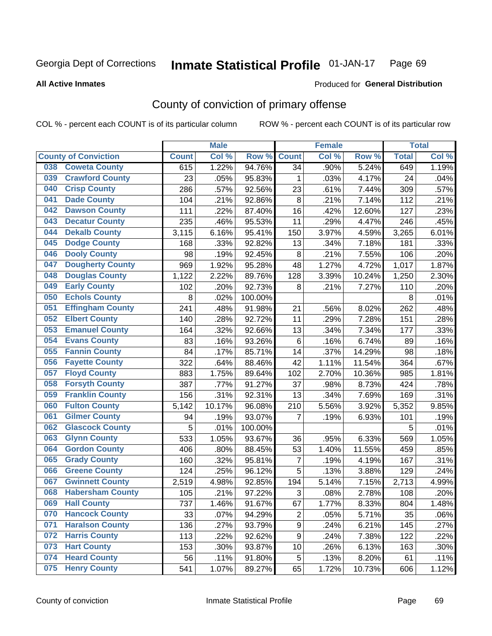#### Inmate Statistical Profile 01-JAN-17 Page 69

### **All Active Inmates**

## Produced for General Distribution

## County of conviction of primary offense

COL % - percent each COUNT is of its particular column

|                                |              | <b>Male</b> |         |                | <b>Female</b> |        |              | <b>Total</b> |
|--------------------------------|--------------|-------------|---------|----------------|---------------|--------|--------------|--------------|
| <b>County of Conviction</b>    | <b>Count</b> | Col %       | Row %   | <b>Count</b>   | Col %         | Row %  | <b>Total</b> | Col %        |
| <b>Coweta County</b><br>038    | 615          | 1.22%       | 94.76%  | 34             | .90%          | 5.24%  | 649          | 1.19%        |
| <b>Crawford County</b><br>039  | 23           | .05%        | 95.83%  | 1              | .03%          | 4.17%  | 24           | .04%         |
| <b>Crisp County</b><br>040     | 286          | .57%        | 92.56%  | 23             | .61%          | 7.44%  | 309          | .57%         |
| <b>Dade County</b><br>041      | 104          | .21%        | 92.86%  | 8              | .21%          | 7.14%  | 112          | .21%         |
| <b>Dawson County</b><br>042    | 111          | .22%        | 87.40%  | 16             | .42%          | 12.60% | 127          | .23%         |
| <b>Decatur County</b><br>043   | 235          | .46%        | 95.53%  | 11             | .29%          | 4.47%  | 246          | .45%         |
| <b>Dekalb County</b><br>044    | 3,115        | 6.16%       | 95.41%  | 150            | 3.97%         | 4.59%  | 3,265        | 6.01%        |
| <b>Dodge County</b><br>045     | 168          | .33%        | 92.82%  | 13             | .34%          | 7.18%  | 181          | .33%         |
| <b>Dooly County</b><br>046     | 98           | .19%        | 92.45%  | 8              | .21%          | 7.55%  | 106          | .20%         |
| <b>Dougherty County</b><br>047 | 969          | 1.92%       | 95.28%  | 48             | 1.27%         | 4.72%  | 1,017        | 1.87%        |
| <b>Douglas County</b><br>048   | 1,122        | 2.22%       | 89.76%  | 128            | 3.39%         | 10.24% | 1,250        | 2.30%        |
| <b>Early County</b><br>049     | 102          | .20%        | 92.73%  | 8              | .21%          | 7.27%  | 110          | .20%         |
| <b>Echols County</b><br>050    | $\,8\,$      | .02%        | 100.00% |                |               |        | 8            | .01%         |
| <b>Effingham County</b><br>051 | 241          | .48%        | 91.98%  | 21             | .56%          | 8.02%  | 262          | .48%         |
| <b>Elbert County</b><br>052    | 140          | .28%        | 92.72%  | 11             | .29%          | 7.28%  | 151          | .28%         |
| <b>Emanuel County</b><br>053   | 164          | .32%        | 92.66%  | 13             | .34%          | 7.34%  | 177          | .33%         |
| <b>Evans County</b><br>054     | 83           | .16%        | 93.26%  | 6              | .16%          | 6.74%  | 89           | .16%         |
| <b>Fannin County</b><br>055    | 84           | .17%        | 85.71%  | 14             | .37%          | 14.29% | 98           | .18%         |
| <b>Fayette County</b><br>056   | 322          | .64%        | 88.46%  | 42             | 1.11%         | 11.54% | 364          | .67%         |
| <b>Floyd County</b><br>057     | 883          | 1.75%       | 89.64%  | 102            | 2.70%         | 10.36% | 985          | 1.81%        |
| <b>Forsyth County</b><br>058   | 387          | .77%        | 91.27%  | 37             | .98%          | 8.73%  | 424          | .78%         |
| <b>Franklin County</b><br>059  | 156          | .31%        | 92.31%  | 13             | .34%          | 7.69%  | 169          | .31%         |
| <b>Fulton County</b><br>060    | 5,142        | 10.17%      | 96.08%  | 210            | 5.56%         | 3.92%  | 5,352        | 9.85%        |
| <b>Gilmer County</b><br>061    | 94           | .19%        | 93.07%  | 7              | .19%          | 6.93%  | 101          | .19%         |
| <b>Glascock County</b><br>062  | 5            | .01%        | 100.00% |                |               |        | 5            | .01%         |
| 063<br><b>Glynn County</b>     | 533          | 1.05%       | 93.67%  | 36             | .95%          | 6.33%  | 569          | 1.05%        |
| <b>Gordon County</b><br>064    | 406          | .80%        | 88.45%  | 53             | 1.40%         | 11.55% | 459          | .85%         |
| 065<br><b>Grady County</b>     | 160          | .32%        | 95.81%  | 7              | .19%          | 4.19%  | 167          | .31%         |
| <b>Greene County</b><br>066    | 124          | .25%        | 96.12%  | 5              | .13%          | 3.88%  | 129          | .24%         |
| <b>Gwinnett County</b><br>067  | 2,519        | 4.98%       | 92.85%  | 194            | 5.14%         | 7.15%  | 2,713        | 4.99%        |
| <b>Habersham County</b><br>068 | 105          | .21%        | 97.22%  | 3              | .08%          | 2.78%  | 108          | .20%         |
| 069<br><b>Hall County</b>      | 737          | 1.46%       | 91.67%  | 67             | 1.77%         | 8.33%  | 804          | 1.48%        |
| <b>Hancock County</b><br>070   | 33           | .07%        | 94.29%  | $\overline{2}$ | .05%          | 5.71%  | 35           | .06%         |
| <b>Haralson County</b><br>071  | 136          | .27%        | 93.79%  | 9              | .24%          | 6.21%  | 145          | .27%         |
| <b>Harris County</b><br>072    | 113          | .22%        | 92.62%  | 9              | .24%          | 7.38%  | 122          | .22%         |
| <b>Hart County</b><br>073      | 153          | .30%        | 93.87%  | 10             | .26%          | 6.13%  | 163          | .30%         |
| <b>Heard County</b><br>074     | 56           | .11%        | 91.80%  | 5              | .13%          | 8.20%  | 61           | .11%         |
| <b>Henry County</b><br>075     | 541          | 1.07%       | 89.27%  | 65             | 1.72%         | 10.73% | 606          | 1.12%        |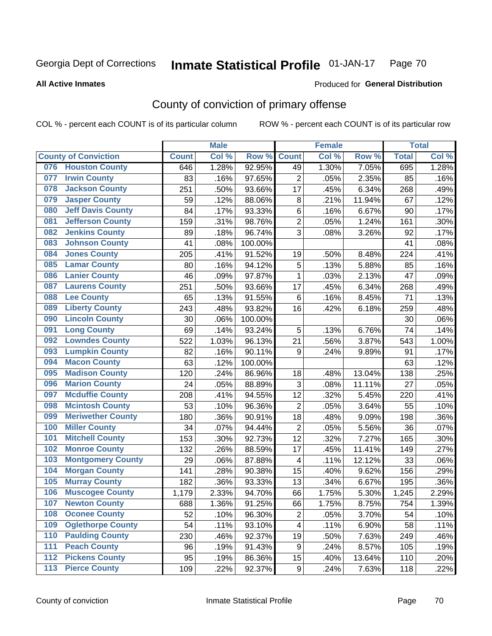#### Inmate Statistical Profile 01-JAN-17 Page 70

Produced for General Distribution

### **All Active Inmates**

## County of conviction of primary offense

COL % - percent each COUNT is of its particular column

|       |                             |              | <b>Male</b> |         |                | <b>Female</b> |        |              | <b>Total</b> |
|-------|-----------------------------|--------------|-------------|---------|----------------|---------------|--------|--------------|--------------|
|       | <b>County of Conviction</b> | <b>Count</b> | Col %       | Row %   | <b>Count</b>   | Col %         | Row %  | <b>Total</b> | Col %        |
| 076   | <b>Houston County</b>       | 646          | 1.28%       | 92.95%  | 49             | 1.30%         | 7.05%  | 695          | 1.28%        |
| 077   | <b>Irwin County</b>         | 83           | .16%        | 97.65%  | $\overline{2}$ | .05%          | 2.35%  | 85           | .16%         |
| 078   | <b>Jackson County</b>       | 251          | .50%        | 93.66%  | 17             | .45%          | 6.34%  | 268          | .49%         |
| 079   | <b>Jasper County</b>        | 59           | .12%        | 88.06%  | $\,8\,$        | .21%          | 11.94% | 67           | .12%         |
| 080   | <b>Jeff Davis County</b>    | 84           | .17%        | 93.33%  | $\,6$          | .16%          | 6.67%  | 90           | .17%         |
| 081   | <b>Jefferson County</b>     | 159          | .31%        | 98.76%  | $\overline{2}$ | .05%          | 1.24%  | 161          | .30%         |
| 082   | <b>Jenkins County</b>       | 89           | .18%        | 96.74%  | 3              | .08%          | 3.26%  | 92           | .17%         |
| 083   | <b>Johnson County</b>       | 41           | .08%        | 100.00% |                |               |        | 41           | .08%         |
| 084   | <b>Jones County</b>         | 205          | .41%        | 91.52%  | 19             | .50%          | 8.48%  | 224          | .41%         |
| 085   | <b>Lamar County</b>         | 80           | .16%        | 94.12%  | $\mathbf 5$    | .13%          | 5.88%  | 85           | .16%         |
| 086   | <b>Lanier County</b>        | 46           | .09%        | 97.87%  | $\mathbf{1}$   | .03%          | 2.13%  | 47           | .09%         |
| 087   | <b>Laurens County</b>       | 251          | .50%        | 93.66%  | 17             | .45%          | 6.34%  | 268          | .49%         |
| 088   | <b>Lee County</b>           | 65           | .13%        | 91.55%  | $\,6$          | .16%          | 8.45%  | 71           | .13%         |
| 089   | <b>Liberty County</b>       | 243          | .48%        | 93.82%  | 16             | .42%          | 6.18%  | 259          | .48%         |
| 090   | <b>Lincoln County</b>       | 30           | .06%        | 100.00% |                |               |        | 30           | .06%         |
| 091   | <b>Long County</b>          | 69           | .14%        | 93.24%  | 5              | .13%          | 6.76%  | 74           | .14%         |
| 092   | <b>Lowndes County</b>       | 522          | 1.03%       | 96.13%  | 21             | .56%          | 3.87%  | 543          | 1.00%        |
| 093   | <b>Lumpkin County</b>       | 82           | .16%        | 90.11%  | 9              | .24%          | 9.89%  | 91           | .17%         |
| 094   | <b>Macon County</b>         | 63           | .12%        | 100.00% |                |               |        | 63           | .12%         |
| 095   | <b>Madison County</b>       | 120          | .24%        | 86.96%  | 18             | .48%          | 13.04% | 138          | .25%         |
| 096   | <b>Marion County</b>        | 24           | .05%        | 88.89%  | 3              | .08%          | 11.11% | 27           | .05%         |
| 097   | <b>Mcduffie County</b>      | 208          | .41%        | 94.55%  | 12             | .32%          | 5.45%  | 220          | .41%         |
| 098   | <b>Mcintosh County</b>      | 53           | .10%        | 96.36%  | $\overline{2}$ | .05%          | 3.64%  | 55           | .10%         |
| 099   | <b>Meriwether County</b>    | 180          | .36%        | 90.91%  | 18             | .48%          | 9.09%  | 198          | .36%         |
| 100   | <b>Miller County</b>        | 34           | .07%        | 94.44%  | $\overline{2}$ | .05%          | 5.56%  | 36           | .07%         |
| 101   | <b>Mitchell County</b>      | 153          | .30%        | 92.73%  | 12             | .32%          | 7.27%  | 165          | .30%         |
| 102   | <b>Monroe County</b>        | 132          | .26%        | 88.59%  | 17             | .45%          | 11.41% | 149          | .27%         |
| 103   | <b>Montgomery County</b>    | 29           | .06%        | 87.88%  | 4              | .11%          | 12.12% | 33           | .06%         |
| 104   | <b>Morgan County</b>        | 141          | .28%        | 90.38%  | 15             | .40%          | 9.62%  | 156          | .29%         |
| 105   | <b>Murray County</b>        | 182          | .36%        | 93.33%  | 13             | .34%          | 6.67%  | 195          | .36%         |
| 106   | <b>Muscogee County</b>      | 1,179        | 2.33%       | 94.70%  | 66             | 1.75%         | 5.30%  | 1,245        | 2.29%        |
| 107   | <b>Newton County</b>        | 688          | 1.36%       | 91.25%  | 66             | 1.75%         | 8.75%  | 754          | 1.39%        |
| 108   | <b>Oconee County</b>        | 52           | .10%        | 96.30%  | $\overline{2}$ | .05%          | 3.70%  | 54           | .10%         |
| 109   | <b>Oglethorpe County</b>    | 54           | .11%        | 93.10%  | $\overline{4}$ | .11%          | 6.90%  | 58           | .11%         |
| 110   | <b>Paulding County</b>      | 230          | .46%        | 92.37%  | 19             | .50%          | 7.63%  | 249          | .46%         |
| 111   | <b>Peach County</b>         | 96           | .19%        | 91.43%  | 9              | .24%          | 8.57%  | 105          | .19%         |
| 112   | <b>Pickens County</b>       | 95           | .19%        | 86.36%  | 15             | .40%          | 13.64% | 110          | .20%         |
| $113$ | <b>Pierce County</b>        | 109          | .22%        | 92.37%  | 9              | .24%          | 7.63%  | 118          | .22%         |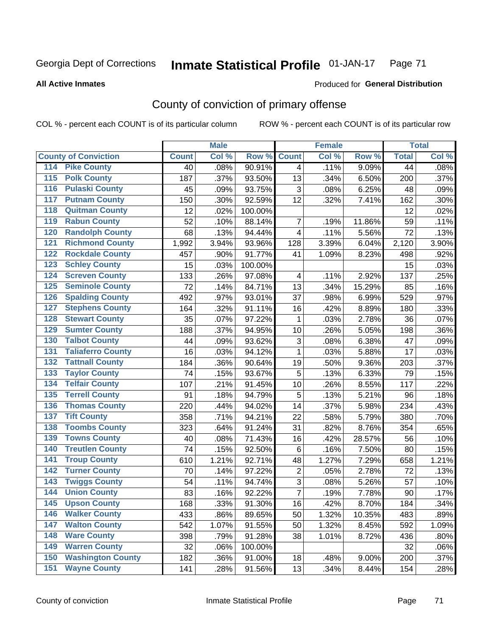#### **Inmate Statistical Profile 01-JAN-17** Page 71

**All Active Inmates** 

### Produced for General Distribution

## County of conviction of primary offense

COL % - percent each COUNT is of its particular column

|                                          |              | <b>Male</b> |         |                | <b>Female</b> |        |              | <b>Total</b> |
|------------------------------------------|--------------|-------------|---------|----------------|---------------|--------|--------------|--------------|
| <b>County of Conviction</b>              | <b>Count</b> | Col %       | Row %   | <b>Count</b>   | Col %         | Row %  | <b>Total</b> | Col %        |
| <b>Pike County</b><br>114                | 40           | .08%        | 90.91%  | $\overline{4}$ | .11%          | 9.09%  | 44           | .08%         |
| <b>Polk County</b><br>$\overline{115}$   | 187          | .37%        | 93.50%  | 13             | .34%          | 6.50%  | 200          | .37%         |
| <b>Pulaski County</b><br>116             | 45           | .09%        | 93.75%  | 3              | .08%          | 6.25%  | 48           | .09%         |
| <b>Putnam County</b><br>117              | 150          | .30%        | 92.59%  | 12             | .32%          | 7.41%  | 162          | .30%         |
| <b>Quitman County</b><br>118             | 12           | .02%        | 100.00% |                |               |        | 12           | .02%         |
| <b>Rabun County</b><br>119               | 52           | .10%        | 88.14%  | $\overline{7}$ | .19%          | 11.86% | 59           | .11%         |
| <b>Randolph County</b><br>120            | 68           | .13%        | 94.44%  | 4              | .11%          | 5.56%  | 72           | .13%         |
| <b>Richmond County</b><br>121            | 1,992        | 3.94%       | 93.96%  | 128            | 3.39%         | 6.04%  | 2,120        | 3.90%        |
| <b>Rockdale County</b><br>122            | 457          | .90%        | 91.77%  | 41             | 1.09%         | 8.23%  | 498          | .92%         |
| <b>Schley County</b><br>123              | 15           | .03%        | 100.00% |                |               |        | 15           | .03%         |
| <b>Screven County</b><br>124             | 133          | .26%        | 97.08%  | 4              | .11%          | 2.92%  | 137          | .25%         |
| <b>Seminole County</b><br>125            | 72           | .14%        | 84.71%  | 13             | .34%          | 15.29% | 85           | .16%         |
| <b>Spalding County</b><br>126            | 492          | .97%        | 93.01%  | 37             | .98%          | 6.99%  | 529          | .97%         |
| <b>Stephens County</b><br>127            | 164          | .32%        | 91.11%  | 16             | .42%          | 8.89%  | 180          | .33%         |
| <b>Stewart County</b><br>128             | 35           | .07%        | 97.22%  | 1              | .03%          | 2.78%  | 36           | .07%         |
| <b>Sumter County</b><br>129              | 188          | .37%        | 94.95%  | 10             | .26%          | 5.05%  | 198          | .36%         |
| <b>Talbot County</b><br>130              | 44           | .09%        | 93.62%  | 3              | .08%          | 6.38%  | 47           | .09%         |
| <b>Taliaferro County</b><br>131          | 16           | .03%        | 94.12%  | 1              | .03%          | 5.88%  | 17           | .03%         |
| <b>Tattnall County</b><br>132            | 184          | .36%        | 90.64%  | 19             | .50%          | 9.36%  | 203          | .37%         |
| <b>Taylor County</b><br>133              | 74           | .15%        | 93.67%  | 5              | .13%          | 6.33%  | 79           | .15%         |
| <b>Telfair County</b><br>134             | 107          | .21%        | 91.45%  | 10             | .26%          | 8.55%  | 117          | .22%         |
| <b>Terrell County</b><br>135             | 91           | .18%        | 94.79%  | 5              | .13%          | 5.21%  | 96           | .18%         |
| <b>Thomas County</b><br>136              | 220          | .44%        | 94.02%  | 14             | .37%          | 5.98%  | 234          | .43%         |
| <b>Tift County</b><br>137                | 358          | .71%        | 94.21%  | 22             | .58%          | 5.79%  | 380          | .70%         |
| <b>Toombs County</b><br>138              | 323          | .64%        | 91.24%  | 31             | .82%          | 8.76%  | 354          | .65%         |
| <b>Towns County</b><br>139               | 40           | .08%        | 71.43%  | 16             | .42%          | 28.57% | 56           | .10%         |
| <b>Treutlen County</b><br>140            | 74           | .15%        | 92.50%  | 6              | .16%          | 7.50%  | 80           | .15%         |
| <b>Troup County</b><br>141               | 610          | 1.21%       | 92.71%  | 48             | 1.27%         | 7.29%  | 658          | 1.21%        |
| <b>Turner County</b><br>142              | 70           | .14%        | 97.22%  | $\overline{2}$ | .05%          | 2.78%  | 72           | .13%         |
| <b>Twiggs County</b><br>$\overline{143}$ | 54           | .11%        | 94.74%  | $\overline{3}$ | .08%          | 5.26%  | 57           | .10%         |
| <b>Union County</b><br>144               | 83           | .16%        | 92.22%  | $\overline{7}$ | .19%          | 7.78%  | 90           | .17%         |
| 145<br><b>Upson County</b>               | 168          | .33%        | 91.30%  | 16             | .42%          | 8.70%  | 184          | .34%         |
| <b>Walker County</b><br>146              | 433          | .86%        | 89.65%  | 50             | 1.32%         | 10.35% | 483          | .89%         |
| <b>Walton County</b><br>147              | 542          | 1.07%       | 91.55%  | 50             | 1.32%         | 8.45%  | 592          | 1.09%        |
| <b>Ware County</b><br>148                | 398          | .79%        | 91.28%  | 38             | 1.01%         | 8.72%  | 436          | .80%         |
| <b>Warren County</b><br>149              | 32           | .06%        | 100.00% |                |               |        | 32           | .06%         |
| <b>Washington County</b><br>150          | 182          | .36%        | 91.00%  | 18             | .48%          | 9.00%  | 200          | .37%         |
| <b>Wayne County</b><br>151               | 141          | .28%        | 91.56%  | 13             | .34%          | 8.44%  | 154          | .28%         |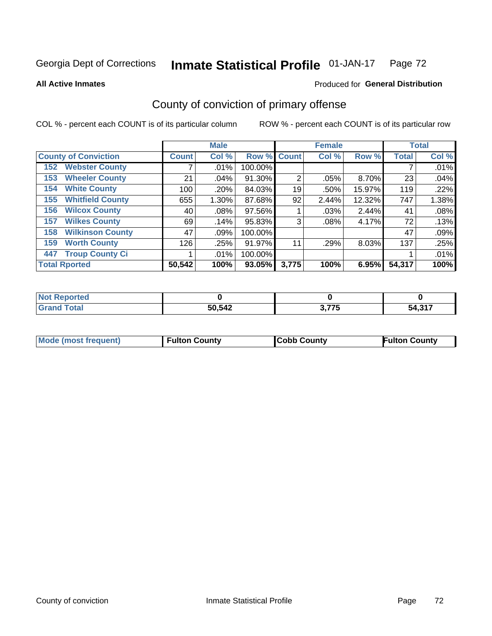#### Inmate Statistical Profile 01-JAN-17 Page 72

**All Active Inmates** 

### Produced for General Distribution

## County of conviction of primary offense

COL % - percent each COUNT is of its particular column

|                                |              | <b>Male</b> |           |             | <b>Female</b> |        |              | <b>Total</b> |
|--------------------------------|--------------|-------------|-----------|-------------|---------------|--------|--------------|--------------|
| <b>County of Conviction</b>    | <b>Count</b> | Col %       |           | Row % Count | Col %         | Row %  | <b>Total</b> | Col %        |
| <b>Webster County</b><br>152   |              | $.01\%$     | 100.00%   |             |               |        |              | .01%         |
| <b>Wheeler County</b><br>153   | 21           | .04%        | 91.30%    | 2           | .05%          | 8.70%  | 23           | .04%         |
| <b>White County</b><br>154     | 100          | $.20\%$     | 84.03%    | 19          | .50%          | 15.97% | 119          | .22%         |
| <b>Whitfield County</b><br>155 | 655          | $1.30\%$    | 87.68%    | 92          | 2.44%         | 12.32% | 747          | 1.38%        |
| <b>Wilcox County</b><br>156    | 40           | .08%        | 97.56%    |             | $.03\%$       | 2.44%  | 41           | .08%         |
| <b>Wilkes County</b><br>157    | 69           | .14%        | 95.83%    | 3           | $.08\%$       | 4.17%  | 72           | .13%         |
| <b>Wilkinson County</b><br>158 | 47           | $.09\%$     | 100.00%   |             |               |        | 47           | .09%         |
| <b>Worth County</b><br>159     | 126          | .25%        | 91.97%    | 11          | .29%          | 8.03%  | 137          | .25%         |
| <b>Troup County Ci</b><br>447  |              | $.01\%$     | 100.00%   |             |               |        |              | .01%         |
| <b>Total Rported</b>           | 50,542       | 100%        | $93.05\%$ | 3,775       | 100%          | 6.95%  | 54,317       | 100%         |

| <b>Not Reported</b> |        |                   |                |
|---------------------|--------|-------------------|----------------|
| <b>Grand Total</b>  | 50,542 | ? 775<br>J. I I J | EA 94フ<br>54.3 |

|  | <b>Mode (most frequent)</b> | <b>Fulton County</b> | <b>Cobb County</b> | <b>Fulton County</b> |
|--|-----------------------------|----------------------|--------------------|----------------------|
|--|-----------------------------|----------------------|--------------------|----------------------|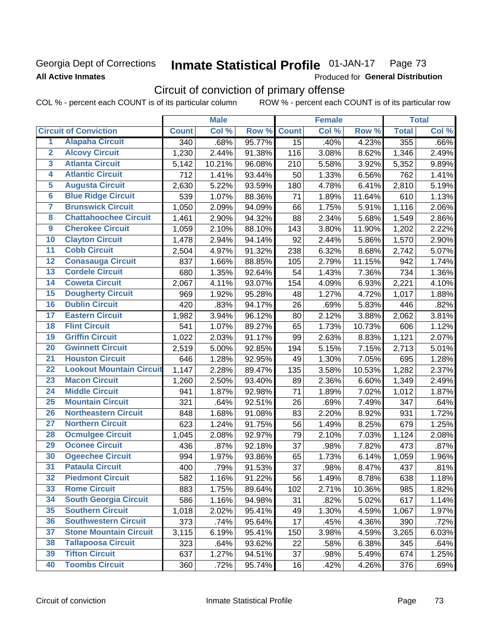## Georgia Dept of Corrections **All Active Inmates**

#### Inmate Statistical Profile 01-JAN-17 Page 73

Produced for General Distribution

## Circuit of conviction of primary offense

COL % - percent each COUNT is of its particular column ROW % - percent each COUNT is of its particular row

|                         |                                 |                  | <b>Male</b> |        |              | <b>Female</b> |        |              | <b>Total</b> |
|-------------------------|---------------------------------|------------------|-------------|--------|--------------|---------------|--------|--------------|--------------|
|                         | <b>Circuit of Conviction</b>    | <b>Count</b>     | Col %       | Row %  | <b>Count</b> | Col %         | Row %  | <b>Total</b> | Col %        |
| 1                       | <b>Alapaha Circuit</b>          | $\overline{340}$ | .68%        | 95.77% | 15           | .40%          | 4.23%  | 355          | .66%         |
| $\overline{2}$          | <b>Alcovy Circuit</b>           | 1,230            | 2.44%       | 91.38% | 116          | 3.08%         | 8.62%  | 1,346        | 2.49%        |
| $\overline{\mathbf{3}}$ | <b>Atlanta Circuit</b>          | 5,142            | 10.21%      | 96.08% | 210          | 5.58%         | 3.92%  | 5,352        | 9.89%        |
| 4                       | <b>Atlantic Circuit</b>         | 712              | 1.41%       | 93.44% | 50           | 1.33%         | 6.56%  | 762          | 1.41%        |
| 5                       | <b>Augusta Circuit</b>          | 2,630            | 5.22%       | 93.59% | 180          | 4.78%         | 6.41%  | 2,810        | 5.19%        |
| $\overline{\bf{6}}$     | <b>Blue Ridge Circuit</b>       | 539              | 1.07%       | 88.36% | 71           | 1.89%         | 11.64% | 610          | 1.13%        |
| 7                       | <b>Brunswick Circuit</b>        | 1,050            | 2.09%       | 94.09% | 66           | 1.75%         | 5.91%  | 1,116        | 2.06%        |
| $\overline{\mathbf{8}}$ | <b>Chattahoochee Circuit</b>    | 1,461            | 2.90%       | 94.32% | 88           | 2.34%         | 5.68%  | 1,549        | 2.86%        |
| $\overline{9}$          | <b>Cherokee Circuit</b>         | 1,059            | 2.10%       | 88.10% | 143          | 3.80%         | 11.90% | 1,202        | 2.22%        |
| 10                      | <b>Clayton Circuit</b>          | 1,478            | 2.94%       | 94.14% | 92           | 2.44%         | 5.86%  | 1,570        | 2.90%        |
| $\overline{11}$         | <b>Cobb Circuit</b>             | 2,504            | 4.97%       | 91.32% | 238          | 6.32%         | 8.68%  | 2,742        | 5.07%        |
| $\overline{12}$         | <b>Conasauga Circuit</b>        | 837              | 1.66%       | 88.85% | 105          | 2.79%         | 11.15% | 942          | 1.74%        |
| 13                      | <b>Cordele Circuit</b>          | 680              | 1.35%       | 92.64% | 54           | 1.43%         | 7.36%  | 734          | 1.36%        |
| $\overline{14}$         | <b>Coweta Circuit</b>           | 2,067            | 4.11%       | 93.07% | 154          | 4.09%         | 6.93%  | 2,221        | 4.10%        |
| 15                      | <b>Dougherty Circuit</b>        | 969              | 1.92%       | 95.28% | 48           | 1.27%         | 4.72%  | 1,017        | 1.88%        |
| 16                      | <b>Dublin Circuit</b>           | 420              | .83%        | 94.17% | 26           | .69%          | 5.83%  | 446          | .82%         |
| 17                      | <b>Eastern Circuit</b>          | 1,982            | 3.94%       | 96.12% | 80           | 2.12%         | 3.88%  | 2,062        | 3.81%        |
| $\overline{18}$         | <b>Flint Circuit</b>            | 541              | 1.07%       | 89.27% | 65           | 1.73%         | 10.73% | 606          | 1.12%        |
| 19                      | <b>Griffin Circuit</b>          | 1,022            | 2.03%       | 91.17% | 99           | 2.63%         | 8.83%  | 1,121        | 2.07%        |
| $\overline{20}$         | <b>Gwinnett Circuit</b>         | 2,519            | 5.00%       | 92.85% | 194          | 5.15%         | 7.15%  | 2,713        | 5.01%        |
| $\overline{21}$         | <b>Houston Circuit</b>          | 646              | 1.28%       | 92.95% | 49           | 1.30%         | 7.05%  | 695          | 1.28%        |
| $\overline{22}$         | <b>Lookout Mountain Circuit</b> | 1,147            | 2.28%       | 89.47% | 135          | 3.58%         | 10.53% | 1,282        | 2.37%        |
| 23                      | <b>Macon Circuit</b>            | 1,260            | 2.50%       | 93.40% | 89           | 2.36%         | 6.60%  | 1,349        | 2.49%        |
| $\overline{24}$         | <b>Middle Circuit</b>           | 941              | 1.87%       | 92.98% | 71           | 1.89%         | 7.02%  | 1,012        | 1.87%        |
| $\overline{25}$         | <b>Mountain Circuit</b>         | 321              | .64%        | 92.51% | 26           | .69%          | 7.49%  | 347          | .64%         |
| 26                      | <b>Northeastern Circuit</b>     | 848              | 1.68%       | 91.08% | 83           | 2.20%         | 8.92%  | 931          | 1.72%        |
| $\overline{27}$         | <b>Northern Circuit</b>         | 623              | 1.24%       | 91.75% | 56           | 1.49%         | 8.25%  | 679          | 1.25%        |
| 28                      | <b>Ocmulgee Circuit</b>         | 1,045            | 2.08%       | 92.97% | 79           | 2.10%         | 7.03%  | 1,124        | 2.08%        |
| 29                      | <b>Oconee Circuit</b>           | 436              | .87%        | 92.18% | 37           | .98%          | 7.82%  | 473          | .87%         |
| 30                      | <b>Ogeechee Circuit</b>         | 994              | 1.97%       | 93.86% | 65           | 1.73%         | 6.14%  | 1,059        | 1.96%        |
| $\overline{31}$         | <b>Pataula Circuit</b>          | 400              | .79%        | 91.53% | 37           | .98%          | 8.47%  | 437          | .81%         |
| 32                      | <b>Piedmont Circuit</b>         | 582              | 1.16%       | 91.22% | 56           | 1.49%         | 8.78%  | 638          | 1.18%        |
| 33                      | <b>Rome Circuit</b>             | 883              | 1.75%       | 89.64% | 102          | 2.71%         | 10.36% | 985          | 1.82%        |
| 34                      | <b>South Georgia Circuit</b>    | 586              | 1.16%       | 94.98% | 31           | .82%          | 5.02%  | 617          | 1.14%        |
| 35                      | <b>Southern Circuit</b>         | 1,018            | 2.02%       | 95.41% | 49           | 1.30%         | 4.59%  | 1,067        | 1.97%        |
| 36                      | <b>Southwestern Circuit</b>     | 373              | .74%        | 95.64% | 17           | .45%          | 4.36%  | 390          | .72%         |
| 37                      | <b>Stone Mountain Circuit</b>   | 3,115            | 6.19%       | 95.41% | 150          | 3.98%         | 4.59%  | 3,265        | 6.03%        |
| 38                      | <b>Tallapoosa Circuit</b>       | 323              | .64%        | 93.62% | 22           | .58%          | 6.38%  | 345          | .64%         |
| 39                      | <b>Tifton Circuit</b>           | 637              | 1.27%       | 94.51% | 37           | .98%          | 5.49%  | 674          | 1.25%        |
| 40                      | <b>Toombs Circuit</b>           | 360              | .72%        | 95.74% | 16           | .42%          | 4.26%  | 376          | .69%         |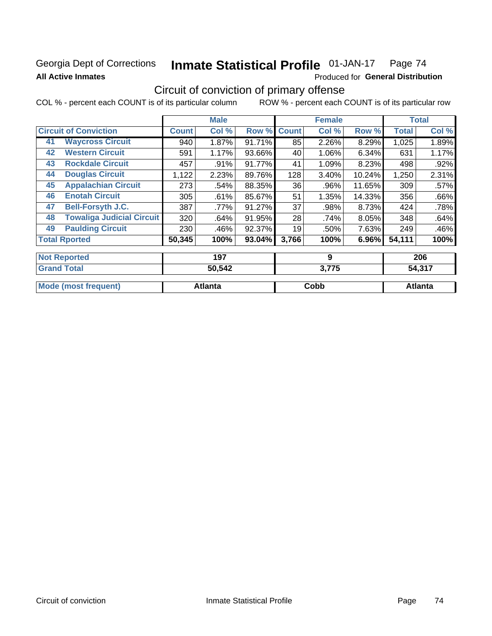## Georgia Dept of Corrections **All Active Inmates**

### Inmate Statistical Profile 01-JAN-17 Page 74

Produced for General Distribution

## Circuit of conviction of primary offense

COL % - percent each COUNT is of its particular column ROW % - percent each COUNT is of its particular row

|                     |                                  |              | <b>Male</b> |        |              | <b>Female</b> |        |              | <b>Total</b> |
|---------------------|----------------------------------|--------------|-------------|--------|--------------|---------------|--------|--------------|--------------|
|                     | <b>Circuit of Conviction</b>     | <b>Count</b> | Col %       | Row %  | <b>Count</b> | Col %         | Row %  | <b>Total</b> | Col %        |
| 41                  | <b>Waycross Circuit</b>          | 940          | 1.87%       | 91.71% | 85           | 2.26%         | 8.29%  | 1,025        | 1.89%        |
| 42                  | <b>Western Circuit</b>           | 591          | 1.17%       | 93.66% | 40           | 1.06%         | 6.34%  | 631          | 1.17%        |
| 43                  | <b>Rockdale Circuit</b>          | 457          | $.91\%$     | 91.77% | 41           | 1.09%         | 8.23%  | 498          | .92%         |
| 44                  | <b>Douglas Circuit</b>           | 1,122        | 2.23%       | 89.76% | 128          | 3.40%         | 10.24% | 1,250        | 2.31%        |
| 45                  | <b>Appalachian Circuit</b>       | 273          | .54%        | 88.35% | 36           | .96%          | 11.65% | 309          | .57%         |
| 46                  | <b>Enotah Circuit</b>            | 305          | .61%        | 85.67% | 51           | 1.35%         | 14.33% | 356          | .66%         |
| 47                  | <b>Bell-Forsyth J.C.</b>         | 387          | .77%        | 91.27% | 37           | .98%          | 8.73%  | 424          | .78%         |
| 48                  | <b>Towaliga Judicial Circuit</b> | 320          | .64%        | 91.95% | 28           | .74%          | 8.05%  | 348          | .64%         |
| 49                  | <b>Paulding Circuit</b>          | 230          | .46%        | 92.37% | 19           | .50%          | 7.63%  | 249          | .46%         |
|                     | <b>Total Rported</b>             | 50,345       | 100%        | 93.04% | 3,766        | 100%          | 6.96%  | 54,111       | 100%         |
| <b>Not Reported</b> |                                  |              | 197         |        |              | 9             |        |              | 206          |

| <b>Grand Total</b>          | 50,542         | <u>ን</u> .775 | <b>A 947</b> |
|-----------------------------|----------------|---------------|--------------|
| <b>Mode (most frequent)</b> | <b>Atlanta</b> | Cobb          | Atlanta      |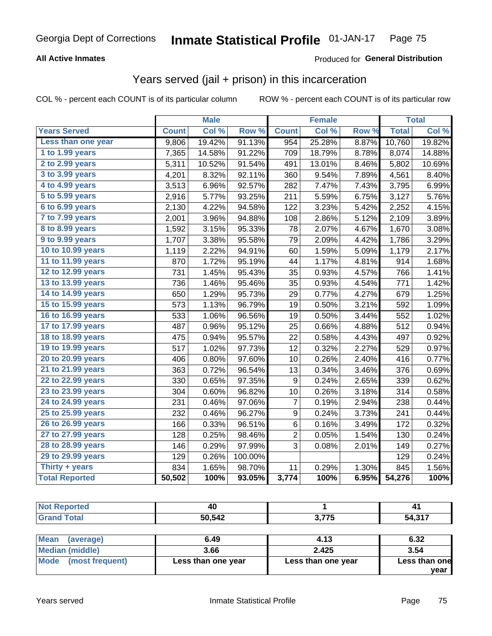#### **All Active Inmates**

#### Produced for **General Distribution**

### Years served (jail + prison) in this incarceration

|                       |              | <b>Male</b> |         |                  | <b>Female</b> |                  |              | <b>Total</b> |
|-----------------------|--------------|-------------|---------|------------------|---------------|------------------|--------------|--------------|
| <b>Years Served</b>   | <b>Count</b> | Col %       | Row %   | <b>Count</b>     | Col %         | Row <sub>%</sub> | <b>Total</b> | Col %        |
| Less than one year    | 9,806        | 19.42%      | 91.13%  | 954              | 25.28%        | 8.87%            | 10,760       | 19.82%       |
| 1 to 1.99 years       | 7,365        | 14.58%      | 91.22%  | 709              | 18.79%        | 8.78%            | 8,074        | 14.88%       |
| 2 to 2.99 years       | 5,311        | 10.52%      | 91.54%  | 491              | 13.01%        | 8.46%            | 5,802        | 10.69%       |
| 3 to 3.99 years       | 4,201        | 8.32%       | 92.11%  | 360              | 9.54%         | 7.89%            | 4,561        | 8.40%        |
| 4 to 4.99 years       | 3,513        | 6.96%       | 92.57%  | 282              | 7.47%         | 7.43%            | 3,795        | 6.99%        |
| 5 to 5.99 years       | 2,916        | 5.77%       | 93.25%  | 211              | 5.59%         | 6.75%            | 3,127        | 5.76%        |
| 6 to 6.99 years       | 2,130        | 4.22%       | 94.58%  | 122              | 3.23%         | 5.42%            | 2,252        | 4.15%        |
| 7 to 7.99 years       | 2,001        | 3.96%       | 94.88%  | 108              | 2.86%         | 5.12%            | 2,109        | 3.89%        |
| 8 to 8.99 years       | 1,592        | 3.15%       | 95.33%  | 78               | 2.07%         | 4.67%            | 1,670        | 3.08%        |
| 9 to 9.99 years       | 1,707        | 3.38%       | 95.58%  | 79               | 2.09%         | 4.42%            | 1,786        | 3.29%        |
| 10 to 10.99 years     | 1,119        | 2.22%       | 94.91%  | 60               | 1.59%         | 5.09%            | 1,179        | 2.17%        |
| 11 to 11.99 years     | 870          | 1.72%       | 95.19%  | 44               | 1.17%         | 4.81%            | 914          | 1.68%        |
| 12 to 12.99 years     | 731          | 1.45%       | 95.43%  | 35               | 0.93%         | 4.57%            | 766          | 1.41%        |
| 13 to 13.99 years     | 736          | 1.46%       | 95.46%  | 35               | 0.93%         | 4.54%            | 771          | 1.42%        |
| 14 to 14.99 years     | 650          | 1.29%       | 95.73%  | 29               | 0.77%         | 4.27%            | 679          | 1.25%        |
| 15 to 15.99 years     | 573          | 1.13%       | 96.79%  | 19               | 0.50%         | 3.21%            | 592          | 1.09%        |
| 16 to 16.99 years     | 533          | 1.06%       | 96.56%  | 19               | 0.50%         | 3.44%            | 552          | 1.02%        |
| 17 to 17.99 years     | 487          | 0.96%       | 95.12%  | 25               | 0.66%         | 4.88%            | 512          | 0.94%        |
| 18 to 18.99 years     | 475          | 0.94%       | 95.57%  | 22               | 0.58%         | 4.43%            | 497          | 0.92%        |
| 19 to 19.99 years     | 517          | 1.02%       | 97.73%  | 12               | 0.32%         | 2.27%            | 529          | 0.97%        |
| 20 to 20.99 years     | 406          | 0.80%       | 97.60%  | 10               | 0.26%         | 2.40%            | 416          | 0.77%        |
| 21 to 21.99 years     | 363          | 0.72%       | 96.54%  | 13               | 0.34%         | 3.46%            | 376          | 0.69%        |
| 22 to 22.99 years     | 330          | 0.65%       | 97.35%  | $\boldsymbol{9}$ | 0.24%         | 2.65%            | 339          | 0.62%        |
| 23 to 23.99 years     | 304          | 0.60%       | 96.82%  | 10               | 0.26%         | 3.18%            | 314          | 0.58%        |
| 24 to 24.99 years     | 231          | 0.46%       | 97.06%  | $\overline{7}$   | 0.19%         | 2.94%            | 238          | 0.44%        |
| 25 to 25.99 years     | 232          | 0.46%       | 96.27%  | 9                | 0.24%         | 3.73%            | 241          | 0.44%        |
| 26 to 26.99 years     | 166          | 0.33%       | 96.51%  | 6                | 0.16%         | 3.49%            | 172          | 0.32%        |
| 27 to 27.99 years     | 128          | 0.25%       | 98.46%  | $\overline{c}$   | 0.05%         | 1.54%            | 130          | 0.24%        |
| 28 to 28.99 years     | 146          | 0.29%       | 97.99%  | 3                | 0.08%         | 2.01%            | 149          | 0.27%        |
| 29 to 29.99 years     | 129          | 0.26%       | 100.00% |                  |               |                  | 129          | 0.24%        |
| Thirty $+$ years      | 834          | 1.65%       | 98.70%  | 11               | 0.29%         | 1.30%            | 845          | 1.56%        |
| <b>Total Reported</b> | 50,502       | 100%        | 93.05%  | 3,774            | 100%          | 6.95%            | 54,276       | 100%         |

| ,,,<br>- u |                                    | 4.            |
|------------|------------------------------------|---------------|
| 50.542     | $\sim$ $\rightarrow$ $\sim$ $\sim$ | E A 247<br>54 |

| <b>Mean</b><br>(average) | 6.49               | 4.13               | 6.32          |
|--------------------------|--------------------|--------------------|---------------|
| Median (middle)          | 3.66               | 2.425              | 3.54          |
| Mode (most frequent)     | Less than one year | Less than one year | Less than one |
|                          |                    |                    | vear          |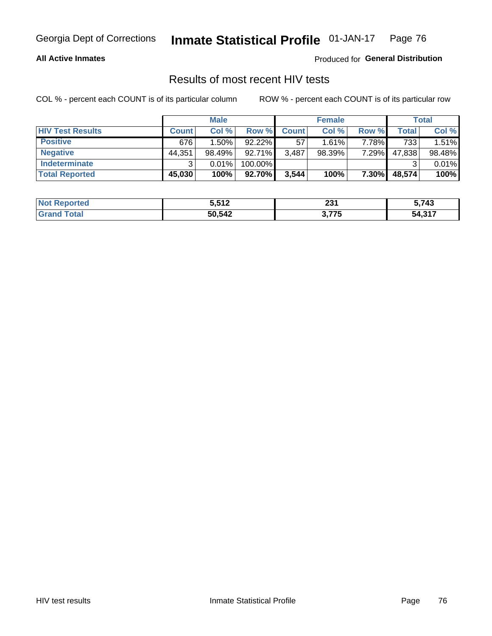#### **All Active Inmates**

Produced for **General Distribution**

### Results of most recent HIV tests

|                         |              | <b>Male</b> |           |              | <b>Female</b> |       |        | Total  |
|-------------------------|--------------|-------------|-----------|--------------|---------------|-------|--------|--------|
| <b>HIV Test Results</b> | <b>Count</b> | Col %       | Row %I    | <b>Count</b> | Col %         | Row % | Total  | Col %  |
| <b>Positive</b>         | 676          | $1.50\%$    | $92.22\%$ | -57          | 1.61%         | 7.78% | 733    | 1.51%  |
| <b>Negative</b>         | 44,351       | 98.49%      | $92.71\%$ | 3,487        | 98.39%        | 7.29% | 47,838 | 98.48% |
| Indeterminate           | ົ            | 0.01%       | 100.00%   |              |               |       |        | 0.01%  |
| <b>Total Reported</b>   | 45,030       | 100%        | 92.70%    | 3,544        | 100%          | 7.30% | 48,574 | 100%   |

| <b>Not Reported</b> | 5,512  | nn 1<br>29 I | 5,743<br>. . |
|---------------------|--------|--------------|--------------|
| `otal               | 50,542 | 2 フフト        | 54,317       |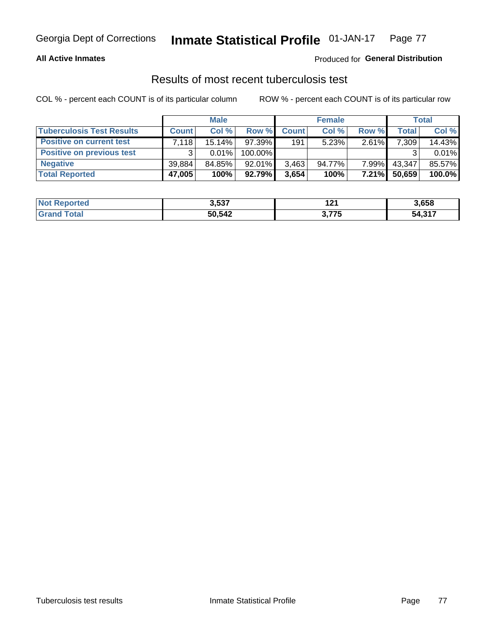#### **All Active Inmates**

#### Produced for **General Distribution**

### Results of most recent tuberculosis test

|                                  |              | <b>Male</b> |           |              | <b>Female</b> |          |              | Total  |
|----------------------------------|--------------|-------------|-----------|--------------|---------------|----------|--------------|--------|
| <b>Tuberculosis Test Results</b> | <b>Count</b> | Col%        | Row %     | <b>Count</b> | Col %         | Row %    | <b>Total</b> | Col %  |
| <b>Positive on current test</b>  | 7.118        | $15.14\%$   | 97.39%    | 191          | 5.23%         | $2.61\%$ | 7,309        | 14.43% |
| <b>Positive on previous test</b> | $\mathbf{r}$ | $0.01\%$    | 100.00%   |              |               |          |              | 0.01%  |
| <b>Negative</b>                  | 39.884       | 84.85%      | $92.01\%$ | 3,463        | 94.77%        | 7.99%    | 43,347       | 85.57% |
| <b>Total Reported</b>            | 47,005       | 100%        | $92.79\%$ | 3,654        | 100%          | $7.21\%$ | 50,659       | 100.0% |

| <b>Not Reported</b> | 3,537  | י הי  | 3,658  |
|---------------------|--------|-------|--------|
| `otal               | 50,542 | 2 フフト | 54,317 |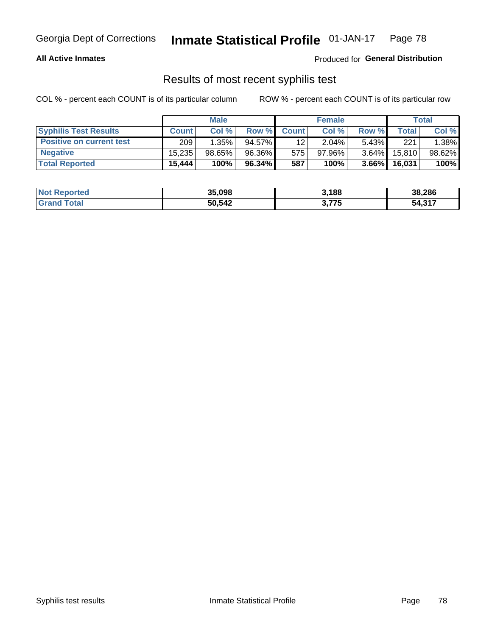#### **All Active Inmates**

Produced for **General Distribution**

### Results of most recent syphilis test

|                                 |              | <b>Male</b> |           |                 | <b>Female</b> |          |         | Total  |
|---------------------------------|--------------|-------------|-----------|-----------------|---------------|----------|---------|--------|
| <b>Syphilis Test Results</b>    | <b>Count</b> | Col%        | Row %     | <b>Count</b>    | Col %         | Row %    | Total I | Col %  |
| <b>Positive on current test</b> | 209          | 1.35%       | $94.57\%$ | 12 <sub>1</sub> | 2.04%         | $5.43\%$ | 221     | 1.38%  |
| <b>Negative</b>                 | 15.235       | $98.65\%$   | 96.36%    | 575             | $97.96\%$     | $3.64\%$ | 15,810  | 98.62% |
| <b>Total Reported</b>           | 15,444       | 100%        | 96.34%    | 587             | 100%          | $3.66\%$ | 16,031  | 100%   |

| <b>Not Reported</b> | 35,098 | 3,188 | 38,286 |
|---------------------|--------|-------|--------|
| <b>Grand Total</b>  | 50,542 | 3,775 | 54,317 |